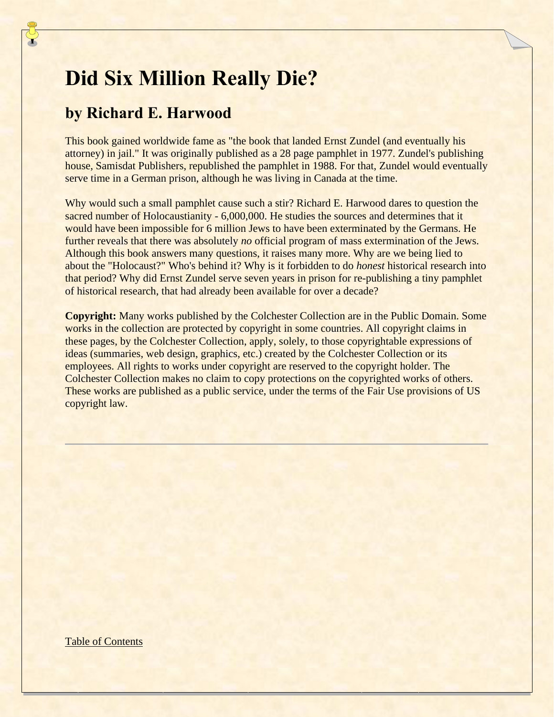# **Did Six Million Really Die?**

# **by Richard E. Harwood**

This book gained worldwide fame as "the book that landed Ernst Zundel (and eventually his attorney) in jail." It was originally published as a 28 page pamphlet in 1977. Zundel's publishing house, Samisdat Publishers, republished the pamphlet in 1988. For that, Zundel would eventually serve time in a German prison, although he was living in Canada at the time.

Why would such a small pamphlet cause such a stir? Richard E. Harwood dares to question the sacred number of Holocaustianity - 6,000,000. He studies the sources and determines that it would have been impossible for 6 million Jews to have been exterminated by the Germans. He further reveals that there was absolutely *no* official program of mass extermination of the Jews. Although this book answers many questions, it raises many more. Why are we being lied to about the "Holocaust?" Who's behind it? Why is it forbidden to do *honest* historical research into that period? Why did Ernst Zundel serve seven years in prison for re-publishing a tiny pamphlet of historical research, that had already been available for over a decade?

**Copyright:** Many works published by the Colchester Collection are in the Public Domain. Some works in the collection are protected by copyright in some countries. All copyright claims in these pages, by the Colchester Collection, apply, solely, to those copyrightable expressions of ideas (summaries, web design, graphics, etc.) created by the Colchester Collection or its employees. All rights to works under copyright are reserved to the copyright holder. The Colchester Collection makes no claim to copy protections on the copyrighted works of others. These works are published as a public service, under the terms of the Fair Use provisions of US copyright law.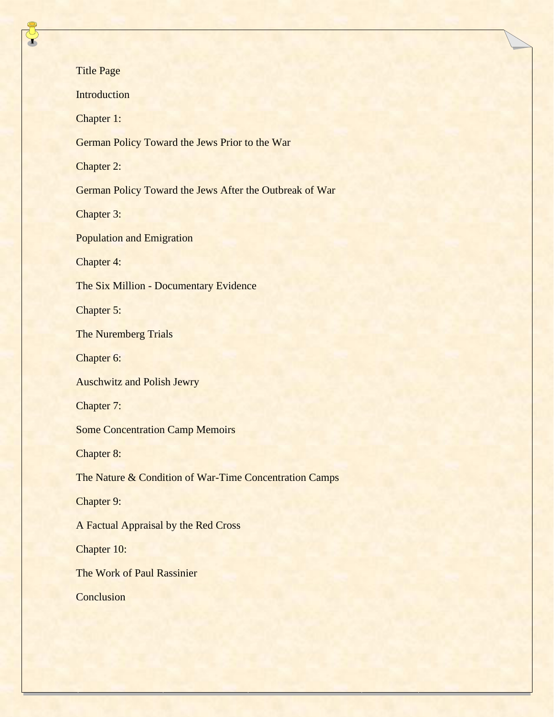Title Page **Introduction**  Chapter 1: German Policy Toward the Jews Prior to the War Chapter 2: German Policy Toward the Jews After the Outbreak of War Chapter 3: Population and Emigration Chapter 4: The Six Million - Documentary Evidence Chapter 5: The Nuremberg Trials Chapter 6: Auschwitz and Polish Jewry Chapter 7: Some Concentration Camp Memoirs Chapter 8: The Nature & Condition of War-Time Concentration Camps Chapter 9: A Factual Appraisal by the Red Cross Chapter 10: The Work of Paul Rassinier **Conclusion**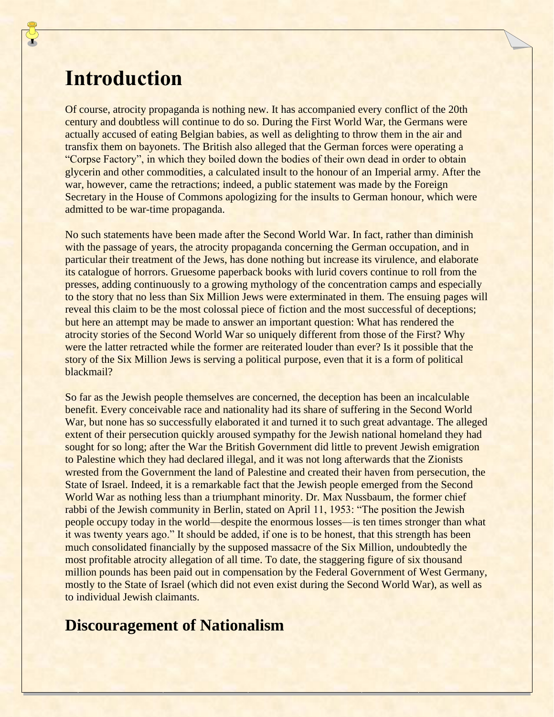# **Introduction**

Of course, atrocity propaganda is nothing new. It has accompanied every conflict of the 20th century and doubtless will continue to do so. During the First World War, the Germans were actually accused of eating Belgian babies, as well as delighting to throw them in the air and transfix them on bayonets. The British also alleged that the German forces were operating a "Corpse Factory", in which they boiled down the bodies of their own dead in order to obtain glycerin and other commodities, a calculated insult to the honour of an Imperial army. After the war, however, came the retractions; indeed, a public statement was made by the Foreign Secretary in the House of Commons apologizing for the insults to German honour, which were admitted to be war-time propaganda.

No such statements have been made after the Second World War. In fact, rather than diminish with the passage of years, the atrocity propaganda concerning the German occupation, and in particular their treatment of the Jews, has done nothing but increase its virulence, and elaborate its catalogue of horrors. Gruesome paperback books with lurid covers continue to roll from the presses, adding continuously to a growing mythology of the concentration camps and especially to the story that no less than Six Million Jews were exterminated in them. The ensuing pages will reveal this claim to be the most colossal piece of fiction and the most successful of deceptions; but here an attempt may be made to answer an important question: What has rendered the atrocity stories of the Second World War so uniquely different from those of the First? Why were the latter retracted while the former are reiterated louder than ever? Is it possible that the story of the Six Million Jews is serving a political purpose, even that it is a form of political blackmail?

So far as the Jewish people themselves are concerned, the deception has been an incalculable benefit. Every conceivable race and nationality had its share of suffering in the Second World War, but none has so successfully elaborated it and turned it to such great advantage. The alleged extent of their persecution quickly aroused sympathy for the Jewish national homeland they had sought for so long; after the War the British Government did little to prevent Jewish emigration to Palestine which they had declared illegal, and it was not long afterwards that the Zionists wrested from the Government the land of Palestine and created their haven from persecution, the State of Israel. Indeed, it is a remarkable fact that the Jewish people emerged from the Second World War as nothing less than a triumphant minority. Dr. Max Nussbaum, the former chief rabbi of the Jewish community in Berlin, stated on April 11, 1953: "The position the Jewish people occupy today in the world—despite the enormous losses—is ten times stronger than what it was twenty years ago." It should be added, if one is to be honest, that this strength has been much consolidated financially by the supposed massacre of the Six Million, undoubtedly the most profitable atrocity allegation of all time. To date, the staggering figure of six thousand million pounds has been paid out in compensation by the Federal Government of West Germany, mostly to the State of Israel (which did not even exist during the Second World War), as well as to individual Jewish claimants.

## **Discouragement of Nationalism**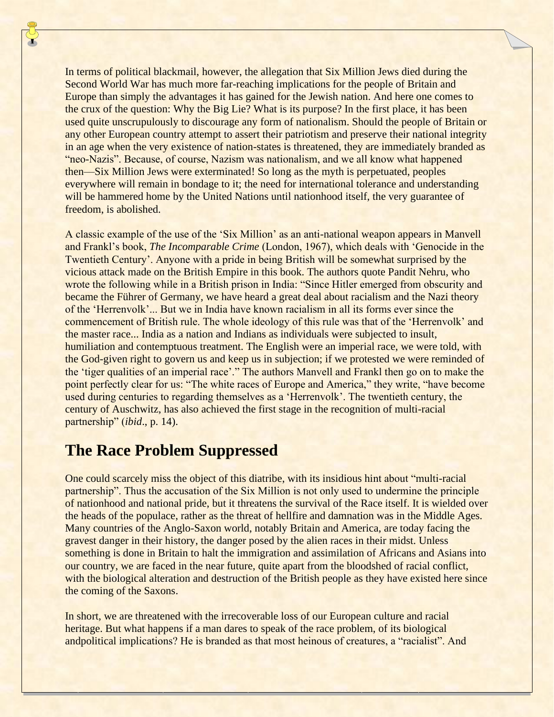In terms of political blackmail, however, the allegation that Six Million Jews died during the Second World War has much more far-reaching implications for the people of Britain and Europe than simply the advantages it has gained for the Jewish nation. And here one comes to the crux of the question: Why the Big Lie? What is its purpose? In the first place, it has been used quite unscrupulously to discourage any form of nationalism. Should the people of Britain or any other European country attempt to assert their patriotism and preserve their national integrity in an age when the very existence of nation-states is threatened, they are immediately branded as "neo-Nazis". Because, of course, Nazism was nationalism, and we all know what happened then—Six Million Jews were exterminated! So long as the myth is perpetuated, peoples everywhere will remain in bondage to it; the need for international tolerance and understanding will be hammered home by the United Nations until nationhood itself, the very guarantee of freedom, is abolished.

A classic example of the use of the 'Six Million' as an anti-national weapon appears in Manvell and Frankl's book, *The Incomparable Crime* (London, 1967), which deals with 'Genocide in the Twentieth Century'. Anyone with a pride in being British will be somewhat surprised by the vicious attack made on the British Empire in this book. The authors quote Pandit Nehru, who wrote the following while in a British prison in India: "Since Hitler emerged from obscurity and became the Führer of Germany, we have heard a great deal about racialism and the Nazi theory of the 'Herrenvolk'... But we in India have known racialism in all its forms ever since the commencement of British rule. The whole ideology of this rule was that of the 'Herrenvolk' and the master race... India as a nation and Indians as individuals were subjected to insult, humiliation and contemptuous treatment. The English were an imperial race, we were told, with the God-given right to govern us and keep us in subjection; if we protested we were reminded of the 'tiger qualities of an imperial race'." The authors Manvell and Frankl then go on to make the point perfectly clear for us: "The white races of Europe and America," they write, "have become used during centuries to regarding themselves as a 'Herrenvolk'. The twentieth century, the century of Auschwitz, has also achieved the first stage in the recognition of multi-racial partnership" (*ibid*., p. 14).

# **The Race Problem Suppressed**

One could scarcely miss the object of this diatribe, with its insidious hint about "multi-racial partnership". Thus the accusation of the Six Million is not only used to undermine the principle of nationhood and national pride, but it threatens the survival of the Race itself. It is wielded over the heads of the populace, rather as the threat of hellfire and damnation was in the Middle Ages. Many countries of the Anglo-Saxon world, notably Britain and America, are today facing the gravest danger in their history, the danger posed by the alien races in their midst. Unless something is done in Britain to halt the immigration and assimilation of Africans and Asians into our country, we are faced in the near future, quite apart from the bloodshed of racial conflict, with the biological alteration and destruction of the British people as they have existed here since the coming of the Saxons.

In short, we are threatened with the irrecoverable loss of our European culture and racial heritage. But what happens if a man dares to speak of the race problem, of its biological andpolitical implications? He is branded as that most heinous of creatures, a "racialist". And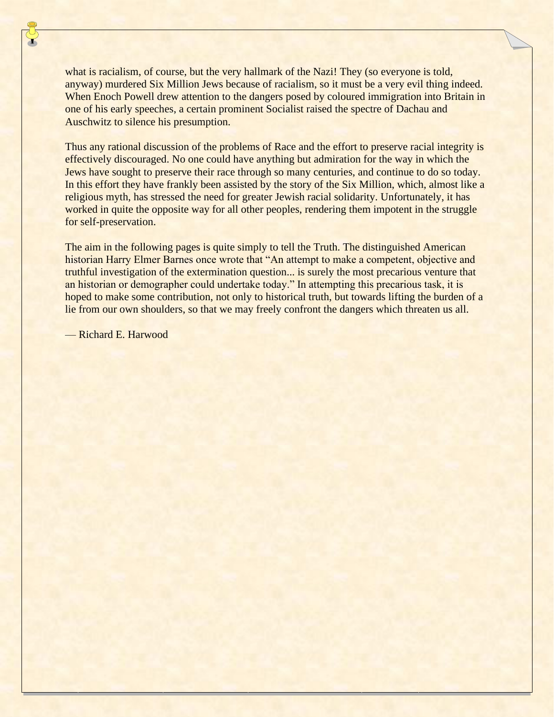what is racialism, of course, but the very hallmark of the Nazi! They (so everyone is told, anyway) murdered Six Million Jews because of racialism, so it must be a very evil thing indeed. When Enoch Powell drew attention to the dangers posed by coloured immigration into Britain in one of his early speeches, a certain prominent Socialist raised the spectre of Dachau and Auschwitz to silence his presumption.

Thus any rational discussion of the problems of Race and the effort to preserve racial integrity is effectively discouraged. No one could have anything but admiration for the way in which the Jews have sought to preserve their race through so many centuries, and continue to do so today. In this effort they have frankly been assisted by the story of the Six Million, which, almost like a religious myth, has stressed the need for greater Jewish racial solidarity. Unfortunately, it has worked in quite the opposite way for all other peoples, rendering them impotent in the struggle for self-preservation.

The aim in the following pages is quite simply to tell the Truth. The distinguished American historian Harry Elmer Barnes once wrote that "An attempt to make a competent, objective and truthful investigation of the extermination question... is surely the most precarious venture that an historian or demographer could undertake today." In attempting this precarious task, it is hoped to make some contribution, not only to historical truth, but towards lifting the burden of a lie from our own shoulders, so that we may freely confront the dangers which threaten us all.

— Richard E. Harwood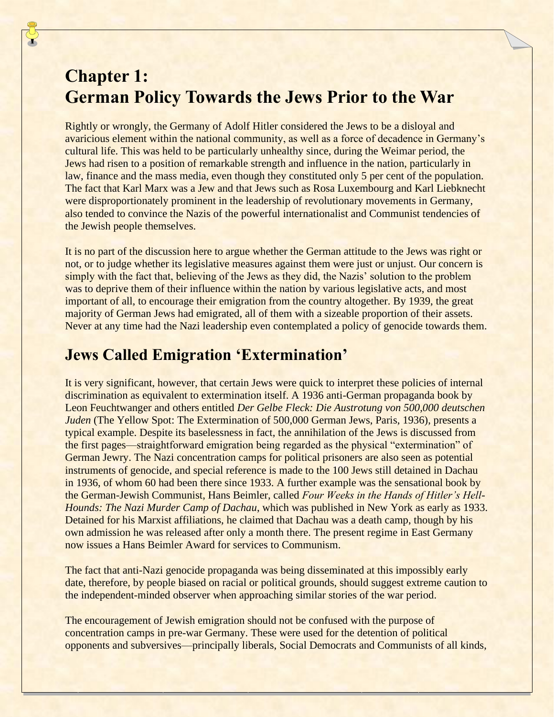# **Chapter 1: German Policy Towards the Jews Prior to the War**

Rightly or wrongly, the Germany of Adolf Hitler considered the Jews to be a disloyal and avaricious element within the national community, as well as a force of decadence in Germany's cultural life. This was held to be particularly unhealthy since, during the Weimar period, the Jews had risen to a position of remarkable strength and influence in the nation, particularly in law, finance and the mass media, even though they constituted only 5 per cent of the population. The fact that Karl Marx was a Jew and that Jews such as Rosa Luxembourg and Karl Liebknecht were disproportionately prominent in the leadership of revolutionary movements in Germany, also tended to convince the Nazis of the powerful internationalist and Communist tendencies of the Jewish people themselves.

It is no part of the discussion here to argue whether the German attitude to the Jews was right or not, or to judge whether its legislative measures against them were just or unjust. Our concern is simply with the fact that, believing of the Jews as they did, the Nazis' solution to the problem was to deprive them of their influence within the nation by various legislative acts, and most important of all, to encourage their emigration from the country altogether. By 1939, the great majority of German Jews had emigrated, all of them with a sizeable proportion of their assets. Never at any time had the Nazi leadership even contemplated a policy of genocide towards them.

## **Jews Called Emigration 'Extermination'**

It is very significant, however, that certain Jews were quick to interpret these policies of internal discrimination as equivalent to extermination itself. A 1936 anti-German propaganda book by Leon Feuchtwanger and others entitled *Der Gelbe Fleck: Die Austrotung von 500,000 deutschen Juden* (The Yellow Spot: The Extermination of 500,000 German Jews, Paris, 1936), presents a typical example. Despite its baselessness in fact, the annihilation of the Jews is discussed from the first pages—straightforward emigration being regarded as the physical "extermination" of German Jewry. The Nazi concentration camps for political prisoners are also seen as potential instruments of genocide, and special reference is made to the 100 Jews still detained in Dachau in 1936, of whom 60 had been there since 1933. A further example was the sensational book by the German-Jewish Communist, Hans Beimler, called *Four Weeks in the Hands of Hitler's Hell-Hounds: The Nazi Murder Camp of Dachau*, which was published in New York as early as 1933. Detained for his Marxist affiliations, he claimed that Dachau was a death camp, though by his own admission he was released after only a month there. The present regime in East Germany now issues a Hans Beimler Award for services to Communism.

The fact that anti-Nazi genocide propaganda was being disseminated at this impossibly early date, therefore, by people biased on racial or political grounds, should suggest extreme caution to the independent-minded observer when approaching similar stories of the war period.

The encouragement of Jewish emigration should not be confused with the purpose of concentration camps in pre-war Germany. These were used for the detention of political opponents and subversives—principally liberals, Social Democrats and Communists of all kinds,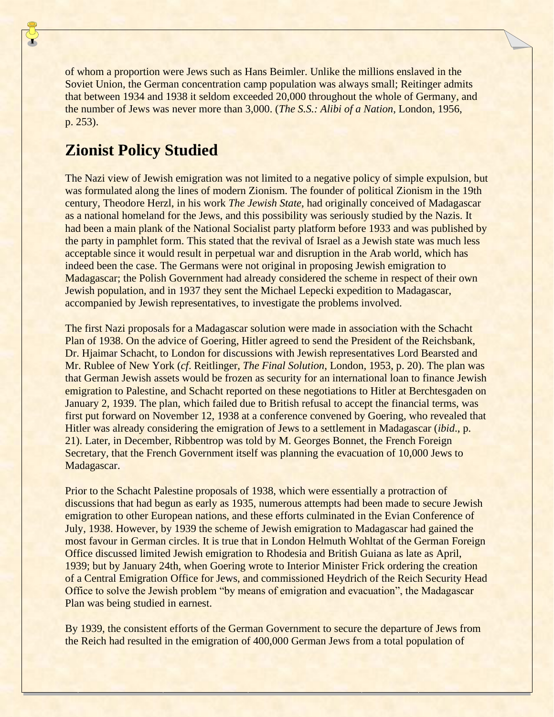of whom a proportion were Jews such as Hans Beimler. Unlike the millions enslaved in the Soviet Union, the German concentration camp population was always small; Reitinger admits that between 1934 and 1938 it seldom exceeded 20,000 throughout the whole of Germany, and the number of Jews was never more than 3,000. (*The S.S.: Alibi of a Nation*, London, 1956, p. 253).

## **Zionist Policy Studied**

The Nazi view of Jewish emigration was not limited to a negative policy of simple expulsion, but was formulated along the lines of modern Zionism. The founder of political Zionism in the 19th century, Theodore Herzl, in his work *The Jewish State*, had originally conceived of Madagascar as a national homeland for the Jews, and this possibility was seriously studied by the Nazis. It had been a main plank of the National Socialist party platform before 1933 and was published by the party in pamphlet form. This stated that the revival of Israel as a Jewish state was much less acceptable since it would result in perpetual war and disruption in the Arab world, which has indeed been the case. The Germans were not original in proposing Jewish emigration to Madagascar; the Polish Government had already considered the scheme in respect of their own Jewish population, and in 1937 they sent the Michael Lepecki expedition to Madagascar, accompanied by Jewish representatives, to investigate the problems involved.

The first Nazi proposals for a Madagascar solution were made in association with the Schacht Plan of 1938. On the advice of Goering, Hitler agreed to send the President of the Reichsbank, Dr. Hjaimar Schacht, to London for discussions with Jewish representatives Lord Bearsted and Mr. Rublee of New York (*cf*. Reitlinger, *The Final Solution*, London, 1953, p. 20). The plan was that German Jewish assets would be frozen as security for an international loan to finance Jewish emigration to Palestine, and Schacht reported on these negotiations to Hitler at Berchtesgaden on January 2, 1939. The plan, which failed due to British refusal to accept the financial terms, was first put forward on November 12, 1938 at a conference convened by Goering, who revealed that Hitler was already considering the emigration of Jews to a settlement in Madagascar (*ibid*., p. 21). Later, in December, Ribbentrop was told by M. Georges Bonnet, the French Foreign Secretary, that the French Government itself was planning the evacuation of 10,000 Jews to Madagascar.

Prior to the Schacht Palestine proposals of 1938, which were essentially a protraction of discussions that had begun as early as 1935, numerous attempts had been made to secure Jewish emigration to other European nations, and these efforts culminated in the Evian Conference of July, 1938. However, by 1939 the scheme of Jewish emigration to Madagascar had gained the most favour in German circles. It is true that in London Helmuth Wohltat of the German Foreign Office discussed limited Jewish emigration to Rhodesia and British Guiana as late as April, 1939; but by January 24th, when Goering wrote to Interior Minister Frick ordering the creation of a Central Emigration Office for Jews, and commissioned Heydrich of the Reich Security Head Office to solve the Jewish problem "by means of emigration and evacuation", the Madagascar Plan was being studied in earnest.

By 1939, the consistent efforts of the German Government to secure the departure of Jews from the Reich had resulted in the emigration of 400,000 German Jews from a total population of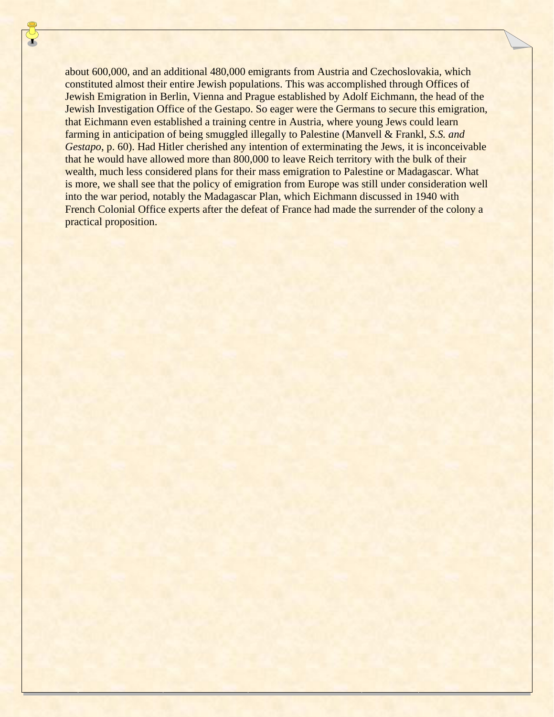about 600,000, and an additional 480,000 emigrants from Austria and Czechoslovakia, which constituted almost their entire Jewish populations. This was accomplished through Offices of Jewish Emigration in Berlin, Vienna and Prague established by Adolf Eichmann, the head of the Jewish Investigation Office of the Gestapo. So eager were the Germans to secure this emigration, that Eichmann even established a training centre in Austria, where young Jews could learn farming in anticipation of being smuggled illegally to Palestine (Manvell & Frankl, *S.S. and Gestapo*, p. 60). Had Hitler cherished any intention of exterminating the Jews, it is inconceivable that he would have allowed more than 800,000 to leave Reich territory with the bulk of their wealth, much less considered plans for their mass emigration to Palestine or Madagascar. What is more, we shall see that the policy of emigration from Europe was still under consideration well into the war period, notably the Madagascar Plan, which Eichmann discussed in 1940 with French Colonial Office experts after the defeat of France had made the surrender of the colony a practical proposition.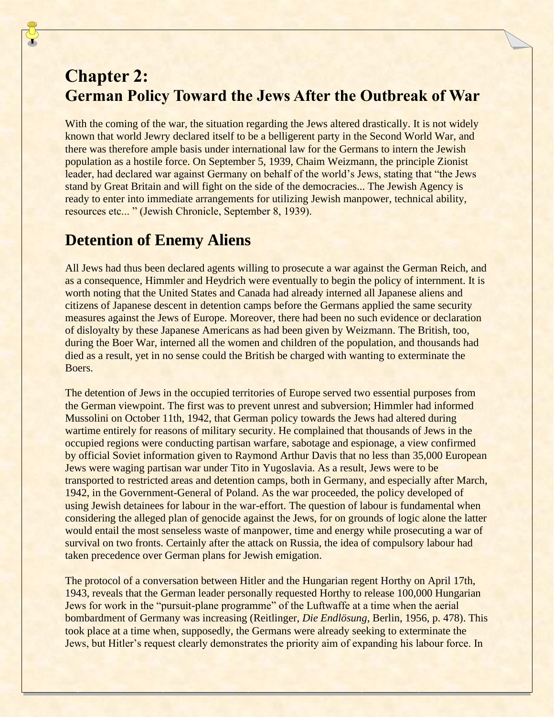# **Chapter 2: German Policy Toward the Jews After the Outbreak of War**

With the coming of the war, the situation regarding the Jews altered drastically. It is not widely known that world Jewry declared itself to be a belligerent party in the Second World War, and there was therefore ample basis under international law for the Germans to intern the Jewish population as a hostile force. On September 5, 1939, Chaim Weizmann, the principle Zionist leader, had declared war against Germany on behalf of the world's Jews, stating that "the Jews stand by Great Britain and will fight on the side of the democracies... The Jewish Agency is ready to enter into immediate arrangements for utilizing Jewish manpower, technical ability, resources etc... " (Jewish Chronicle, September 8, 1939).

#### **Detention of Enemy Aliens**

All Jews had thus been declared agents willing to prosecute a war against the German Reich, and as a consequence, Himmler and Heydrich were eventually to begin the policy of internment. It is worth noting that the United States and Canada had already interned all Japanese aliens and citizens of Japanese descent in detention camps before the Germans applied the same security measures against the Jews of Europe. Moreover, there had been no such evidence or declaration of disloyalty by these Japanese Americans as had been given by Weizmann. The British, too, during the Boer War, interned all the women and children of the population, and thousands had died as a result, yet in no sense could the British be charged with wanting to exterminate the Boers.

The detention of Jews in the occupied territories of Europe served two essential purposes from the German viewpoint. The first was to prevent unrest and subversion; Himmler had informed Mussolini on October 11th, 1942, that German policy towards the Jews had altered during wartime entirely for reasons of military security. He complained that thousands of Jews in the occupied regions were conducting partisan warfare, sabotage and espionage, a view confirmed by official Soviet information given to Raymond Arthur Davis that no less than 35,000 European Jews were waging partisan war under Tito in Yugoslavia. As a result, Jews were to be transported to restricted areas and detention camps, both in Germany, and especially after March, 1942, in the Government-General of Poland. As the war proceeded, the policy developed of using Jewish detainees for labour in the war-effort. The question of labour is fundamental when considering the alleged plan of genocide against the Jews, for on grounds of logic alone the latter would entail the most senseless waste of manpower, time and energy while prosecuting a war of survival on two fronts. Certainly after the attack on Russia, the idea of compulsory labour had taken precedence over German plans for Jewish emigation.

The protocol of a conversation between Hitler and the Hungarian regent Horthy on April 17th, 1943, reveals that the German leader personally requested Horthy to release 100,000 Hungarian Jews for work in the "pursuit-plane programme" of the Luftwaffe at a time when the aerial bombardment of Germany was increasing (Reitlinger, *Die Endlösung*, Berlin, 1956, p. 478). This took place at a time when, supposedly, the Germans were already seeking to exterminate the Jews, but Hitler's request clearly demonstrates the priority aim of expanding his labour force. In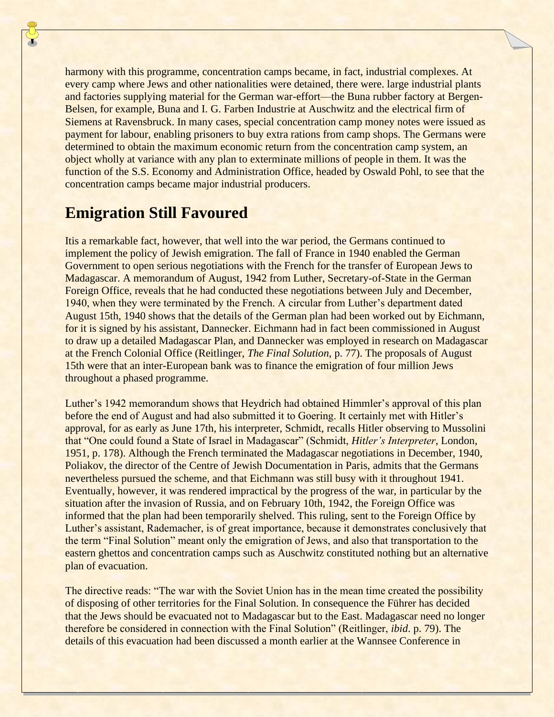harmony with this programme, concentration camps became, in fact, industrial complexes. At every camp where Jews and other nationalities were detained, there were. large industrial plants and factories supplying material for the German war-effort—the Buna rubber factory at Bergen-Belsen, for example, Buna and I. G. Farben Industrie at Auschwitz and the electrical firm of Siemens at Ravensbruck. In many cases, special concentration camp money notes were issued as payment for labour, enabling prisoners to buy extra rations from camp shops. The Germans were determined to obtain the maximum economic return from the concentration camp system, an object wholly at variance with any plan to exterminate millions of people in them. It was the function of the S.S. Economy and Administration Office, headed by Oswald Pohl, to see that the concentration camps became major industrial producers.

#### **Emigration Still Favoured**

Itis a remarkable fact, however, that well into the war period, the Germans continued to implement the policy of Jewish emigration. The fall of France in 1940 enabled the German Government to open serious negotiations with the French for the transfer of European Jews to Madagascar. A memorandum of August, 1942 from Luther, Secretary-of-State in the German Foreign Office, reveals that he had conducted these negotiations between July and December, 1940, when they were terminated by the French. A circular from Luther's department dated August 15th, 1940 shows that the details of the German plan had been worked out by Eichmann, for it is signed by his assistant, Dannecker. Eichmann had in fact been commissioned in August to draw up a detailed Madagascar Plan, and Dannecker was employed in research on Madagascar at the French Colonial Office (Reitlinger, *The Final Solution*, p. 77). The proposals of August 15th were that an inter-European bank was to finance the emigration of four million Jews throughout a phased programme.

Luther's 1942 memorandum shows that Heydrich had obtained Himmler's approval of this plan before the end of August and had also submitted it to Goering. It certainly met with Hitler's approval, for as early as June 17th, his interpreter, Schmidt, recalls Hitler observing to Mussolini that "One could found a State of Israel in Madagascar" (Schmidt, *Hitler's Interpreter*, London, 1951, p. 178). Although the French terminated the Madagascar negotiations in December, 1940, Poliakov, the director of the Centre of Jewish Documentation in Paris, admits that the Germans nevertheless pursued the scheme, and that Eichmann was still busy with it throughout 1941. Eventually, however, it was rendered impractical by the progress of the war, in particular by the situation after the invasion of Russia, and on February 10th, 1942, the Foreign Office was informed that the plan had been temporarily shelved. This ruling, sent to the Foreign Office by Luther's assistant, Rademacher, is of great importance, because it demonstrates conclusively that the term "Final Solution" meant only the emigration of Jews, and also that transportation to the eastern ghettos and concentration camps such as Auschwitz constituted nothing but an alternative plan of evacuation.

The directive reads: "The war with the Soviet Union has in the mean time created the possibility of disposing of other territories for the Final Solution. In consequence the Führer has decided that the Jews should be evacuated not to Madagascar but to the East. Madagascar need no longer therefore be considered in connection with the Final Solution" (Reitlinger, *ibid*. p. 79). The details of this evacuation had been discussed a month earlier at the Wannsee Conference in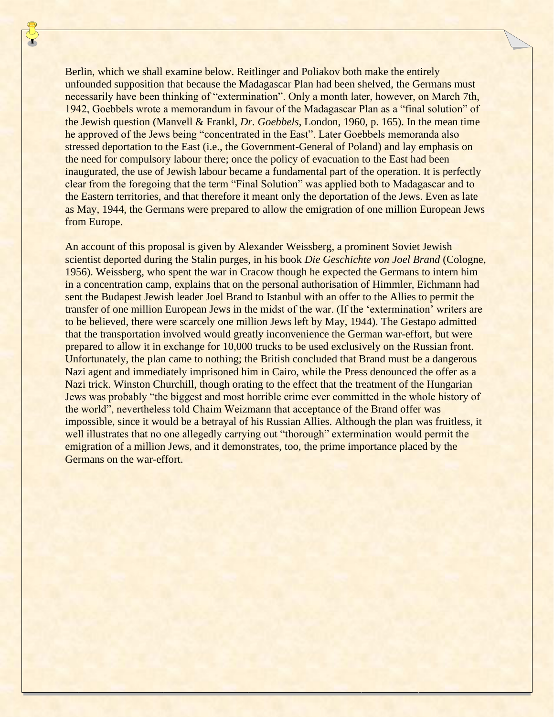Berlin, which we shall examine below. Reitlinger and Poliakov both make the entirely unfounded supposition that because the Madagascar Plan had been shelved, the Germans must necessarily have been thinking of "extermination". Only a month later, however, on March 7th, 1942, Goebbels wrote a memorandum in favour of the Madagascar Plan as a "final solution" of the Jewish question (Manvell & Frankl, *Dr. Goebbels*, London, 1960, p. 165). In the mean time he approved of the Jews being "concentrated in the East". Later Goebbels memoranda also stressed deportation to the East (i.e., the Government-General of Poland) and lay emphasis on the need for compulsory labour there; once the policy of evacuation to the East had been inaugurated, the use of Jewish labour became a fundamental part of the operation. It is perfectly clear from the foregoing that the term "Final Solution" was applied both to Madagascar and to the Eastern territories, and that therefore it meant only the deportation of the Jews. Even as late as May, 1944, the Germans were prepared to allow the emigration of one million European Jews from Europe.

An account of this proposal is given by Alexander Weissberg, a prominent Soviet Jewish scientist deported during the Stalin purges, in his book *Die Geschichte von Joel Brand* (Cologne, 1956). Weissberg, who spent the war in Cracow though he expected the Germans to intern him in a concentration camp, explains that on the personal authorisation of Himmler, Eichmann had sent the Budapest Jewish leader Joel Brand to Istanbul with an offer to the Allies to permit the transfer of one million European Jews in the midst of the war. (If the 'extermination' writers are to be believed, there were scarcely one million Jews left by May, 1944). The Gestapo admitted that the transportation involved would greatly inconvenience the German war-effort, but were prepared to allow it in exchange for 10,000 trucks to be used exclusively on the Russian front. Unfortunately, the plan came to nothing; the British concluded that Brand must be a dangerous Nazi agent and immediately imprisoned him in Cairo, while the Press denounced the offer as a Nazi trick. Winston Churchill, though orating to the effect that the treatment of the Hungarian Jews was probably "the biggest and most horrible crime ever committed in the whole history of the world", nevertheless told Chaim Weizmann that acceptance of the Brand offer was impossible, since it would be a betrayal of his Russian Allies. Although the plan was fruitless, it well illustrates that no one allegedly carrying out "thorough" extermination would permit the emigration of a million Jews, and it demonstrates, too, the prime importance placed by the Germans on the war-effort.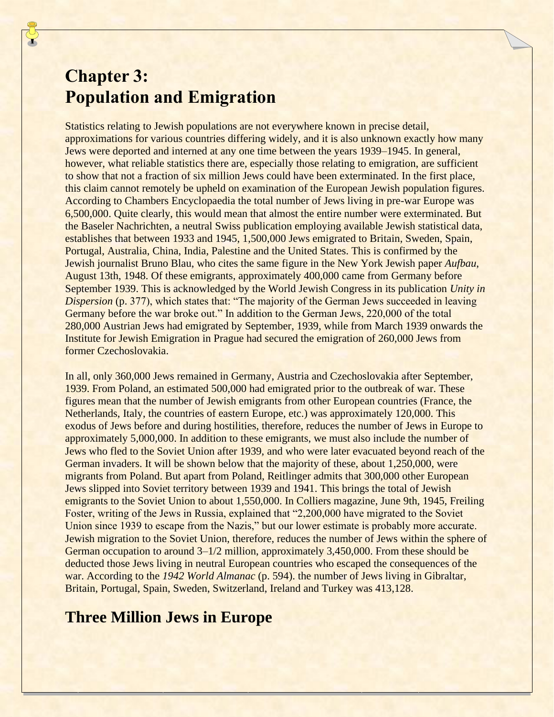# **Chapter 3: Population and Emigration**

Statistics relating to Jewish populations are not everywhere known in precise detail, approximations for various countries differing widely, and it is also unknown exactly how many Jews were deported and interned at any one time between the years 1939–1945. In general, however, what reliable statistics there are, especially those relating to emigration, are sufficient to show that not a fraction of six million Jews could have been exterminated. In the first place, this claim cannot remotely be upheld on examination of the European Jewish population figures. According to Chambers Encyclopaedia the total number of Jews living in pre-war Europe was 6,500,000. Quite clearly, this would mean that almost the entire number were exterminated. But the Baseler Nachrichten, a neutral Swiss publication employing available Jewish statistical data, establishes that between 1933 and 1945, 1,500,000 Jews emigrated to Britain, Sweden, Spain, Portugal, Australia, China, India, Palestine and the United States. This is confirmed by the Jewish journalist Bruno Blau, who cites the same figure in the New York Jewish paper *Aufbau*, August 13th, 1948. Of these emigrants, approximately 400,000 came from Germany before September 1939. This is acknowledged by the World Jewish Congress in its publication *Unity in Dispersion* (p. 377), which states that: "The majority of the German Jews succeeded in leaving Germany before the war broke out." In addition to the German Jews, 220,000 of the total 280,000 Austrian Jews had emigrated by September, 1939, while from March 1939 onwards the Institute for Jewish Emigration in Prague had secured the emigration of 260,000 Jews from former Czechoslovakia.

In all, only 360,000 Jews remained in Germany, Austria and Czechoslovakia after September, 1939. From Poland, an estimated 500,000 had emigrated prior to the outbreak of war. These figures mean that the number of Jewish emigrants from other European countries (France, the Netherlands, Italy, the countries of eastern Europe, etc.) was approximately 120,000. This exodus of Jews before and during hostilities, therefore, reduces the number of Jews in Europe to approximately 5,000,000. In addition to these emigrants, we must also include the number of Jews who fled to the Soviet Union after 1939, and who were later evacuated beyond reach of the German invaders. It will be shown below that the majority of these, about 1,250,000, were migrants from Poland. But apart from Poland, Reitlinger admits that 300,000 other European Jews slipped into Soviet territory between 1939 and 1941. This brings the total of Jewish emigrants to the Soviet Union to about 1,550,000. In Colliers magazine, June 9th, 1945, Freiling Foster, writing of the Jews in Russia, explained that "2,200,000 have migrated to the Soviet Union since 1939 to escape from the Nazis," but our lower estimate is probably more accurate. Jewish migration to the Soviet Union, therefore, reduces the number of Jews within the sphere of German occupation to around 3–1/2 million, approximately 3,450,000. From these should be deducted those Jews living in neutral European countries who escaped the consequences of the war. According to the *1942 World Almanac* (p. 594). the number of Jews living in Gibraltar, Britain, Portugal, Spain, Sweden, Switzerland, Ireland and Turkey was 413,128.

#### **Three Million Jews in Europe**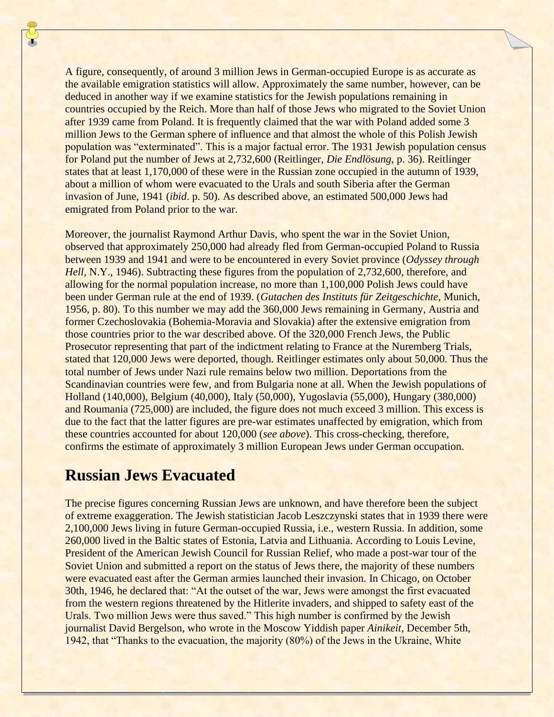A figure, consequently, of around 3 million Jews in German-occupied Europe is as accurate as the available emigration statistics will allow. Approximately the same number, however, can be deduced in another way if we examine statistics for the Jewish populations remaining in countries occupied by the Reich. More than half of those Jews who migrated to the Soviet Union after 1939 came from Poland. It is frequently claimed that the war with Poland added some 3 million Jews to the German sphere of influence and that almost the whole of this Polish Jewish population was "exterminated". This is a major factual error. The 1931 Jewish population census for Poland put the number of Jews at 2,732,600 (Reitlinger, *Die Endlösung*, p. 36). Reitlinger states that at least 1,170,000 of these were in the Russian zone occupied in the autumn of 1939, about a million of whom were evacuated to the Urals and south Siberia after the German invasion of June, 1941 (*ibid*. p. 50). As described above, an estimated 500,000 Jews had emigrated from Poland prior to the war.

Moreover, the journalist Raymond Arthur Davis, who spent the war in the Soviet Union, observed that approximately 250,000 had already fled from German-occupied Poland to Russia between 1939 and 1941 and were to be encountered in every Soviet province (*Odyssey through Hell*, N.Y., 1946). Subtracting these figures from the population of 2,732,600, therefore, and allowing for the normal population increase, no more than 1,100,000 Polish Jews could have been under German rule at the end of 1939. (*Gutachen des Instituts für Zeitgeschichte*, Munich, 1956, p. 80). To this number we may add the 360,000 Jews remaining in Germany, Austria and former Czechoslovakia (Bohemia-Moravia and Slovakia) after the extensive emigration from those countries prior to the war described above. Of the 320,000 French Jews, the Public Prosecutor representing that part of the indictment relating to France at the Nuremberg Trials, stated that 120,000 Jews were deported, though. Reitlinger estimates only about 50,000. Thus the total number of Jews under Nazi rule remains below two million. Deportations from the Scandinavian countries were few, and from Bulgaria none at all. When the Jewish populations of Holland (140,000), Belgium (40,000), Italy (50,000), Yugoslavia (55,000), Hungary (380,000) and Roumania (725,000) are included, the figure does not much exceed 3 million. This excess is due to the fact that the latter figures are pre-war estimates unaffected by emigration, which from these countries accounted for about 120,000 (*see above*). This cross-checking, therefore, confirms the estimate of approximately 3 million European Jews under German occupation.

## **Russian Jews Evacuated**

The precise figures concerning Russian Jews are unknown, and have therefore been the subject of extreme exaggeration. The Jewish statistician Jacob Leszczynski states that in 1939 there were 2,100,000 Jews living in future German-occupied Russia, i.e., western Russia. In addition, some 260,000 lived in the Baltic states of Estonia, Latvia and Lithuania. According to Louis Levine, President of the American Jewish Council for Russian Relief, who made a post-war tour of the Soviet Union and submitted a report on the status of Jews there, the majority of these numbers were evacuated east after the German armies launched their invasion. In Chicago, on October 30th, 1946, he declared that: "At the outset of the war, Jews were amongst the first evacuated from the western regions threatened by the Hitlerite invaders, and shipped to safety east of the Urals. Two million Jews were thus saved." This high number is confirmed by the Jewish journalist David Bergelson, who wrote in the Moscow Yiddish paper *Ainikeit*, December 5th, 1942, that "Thanks to the evacuation, the majority (80%) of the Jews in the Ukraine, White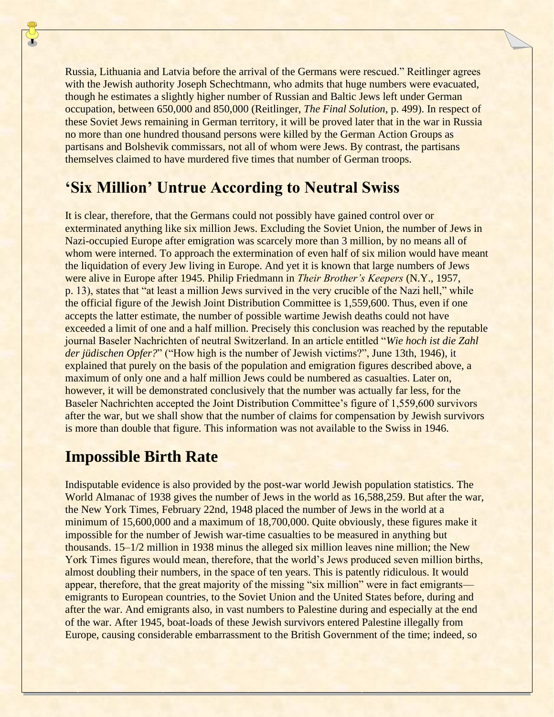Russia, Lithuania and Latvia before the arrival of the Germans were rescued." Reitlinger agrees with the Jewish authority Joseph Schechtmann, who admits that huge numbers were evacuated, though he estimates a slightly higher number of Russian and Baltic Jews left under German occupation, between 650,000 and 850,000 (Reitlinger, *The Final Solution*, p. 499). In respect of these Soviet Jews remaining in German territory, it will be proved later that in the war in Russia no more than one hundred thousand persons were killed by the German Action Groups as partisans and Bolshevik commissars, not all of whom were Jews. By contrast, the partisans themselves claimed to have murdered five times that number of German troops.

# **'Six Million' Untrue According to Neutral Swiss**

It is clear, therefore, that the Germans could not possibly have gained control over or exterminated anything like six million Jews. Excluding the Soviet Union, the number of Jews in Nazi-occupied Europe after emigration was scarcely more than 3 million, by no means all of whom were interned. To approach the extermination of even half of six milion would have meant the liquidation of every Jew living in Europe. And yet it is known that large numbers of Jews were alive in Europe after 1945. Philip Friedmann in *Their Brother's Keepers* (N.Y., 1957, p. 13), states that "at least a million Jews survived in the very crucible of the Nazi hell," while the official figure of the Jewish Joint Distribution Committee is 1,559,600. Thus, even if one accepts the latter estimate, the number of possible wartime Jewish deaths could not have exceeded a limit of one and a half million. Precisely this conclusion was reached by the reputable journal Baseler Nachrichten of neutral Switzerland. In an article entitled "*Wie hoch ist die Zahl der jüdischen Opfer?*" ("How high is the number of Jewish victims?", June 13th, 1946), it explained that purely on the basis of the population and emigration figures described above, a maximum of only one and a half million Jews could be numbered as casualties. Later on, however, it will be demonstrated conclusively that the number was actually far less, for the Baseler Nachrichten accepted the Joint Distribution Committee's figure of 1,559,600 survivors after the war, but we shall show that the number of claims for compensation by Jewish survivors is more than double that figure. This information was not available to the Swiss in 1946.

#### **Impossible Birth Rate**

Indisputable evidence is also provided by the post-war world Jewish population statistics. The World Almanac of 1938 gives the number of Jews in the world as 16,588,259. But after the war, the New York Times, February 22nd, 1948 placed the number of Jews in the world at a minimum of 15,600,000 and a maximum of 18,700,000. Quite obviously, these figures make it impossible for the number of Jewish war-time casualties to be measured in anything but thousands. 15–1/2 million in 1938 minus the alleged six million leaves nine million; the New York Times figures would mean, therefore, that the world's Jews produced seven million births, almost doubling their numbers, in the space of ten years. This is patently ridiculous. It would appear, therefore, that the great majority of the missing "six million" were in fact emigrants emigrants to European countries, to the Soviet Union and the United States before, during and after the war. And emigrants also, in vast numbers to Palestine during and especially at the end of the war. After 1945, boat-loads of these Jewish survivors entered Palestine illegally from Europe, causing considerable embarrassment to the British Government of the time; indeed, so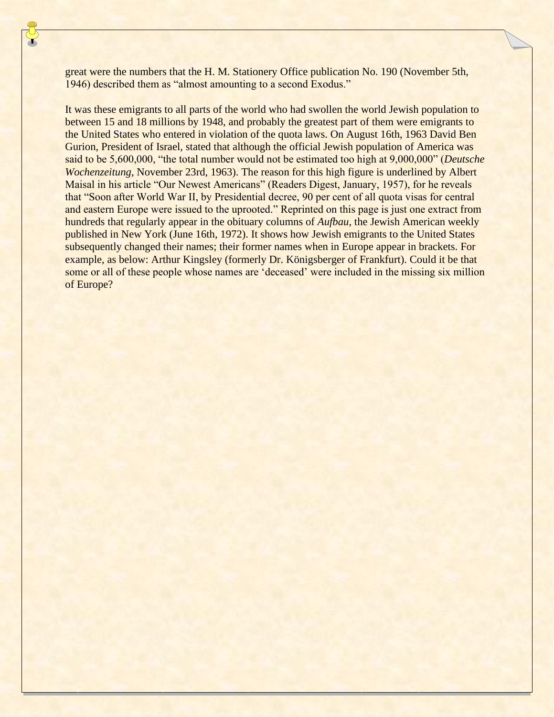great were the numbers that the H. M. Stationery Office publication No. 190 (November 5th, 1946) described them as "almost amounting to a second Exodus."

It was these emigrants to all parts of the world who had swollen the world Jewish population to between 15 and 18 millions by 1948, and probably the greatest part of them were emigrants to the United States who entered in violation of the quota laws. On August 16th, 1963 David Ben Gurion, President of Israel, stated that although the official Jewish population of America was said to be 5,600,000, "the total number would not be estimated too high at 9,000,000" (*Deutsche Wochenzeitung*, November 23rd, 1963). The reason for this high figure is underlined by Albert Maisal in his article "Our Newest Americans" (Readers Digest, January, 1957), for he reveals that "Soon after World War II, by Presidential decree, 90 per cent of all quota visas for central and eastern Europe were issued to the uprooted." Reprinted on this page is just one extract from hundreds that regularly appear in the obituary columns of *Aufbau*, the Jewish American weekly published in New York (June 16th, 1972). It shows how Jewish emigrants to the United States subsequently changed their names; their former names when in Europe appear in brackets. For example, as below: Arthur Kingsley (formerly Dr. Königsberger of Frankfurt). Could it be that some or all of these people whose names are 'deceased' were included in the missing six million of Europe?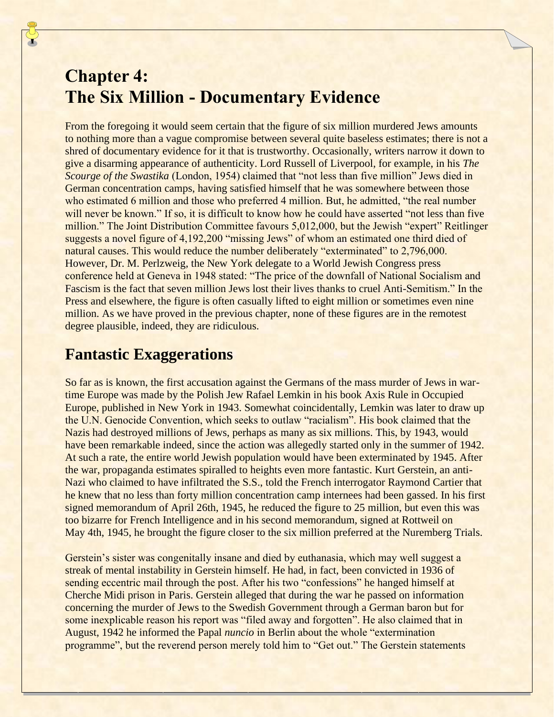# **Chapter 4: The Six Million - Documentary Evidence**

From the foregoing it would seem certain that the figure of six million murdered Jews amounts to nothing more than a vague compromise between several quite baseless estimates; there is not a shred of documentary evidence for it that is trustworthy. Occasionally, writers narrow it down to give a disarming appearance of authenticity. Lord Russell of Liverpool, for example, in his *The Scourge of the Swastika* (London, 1954) claimed that "not less than five million" Jews died in German concentration camps, having satisfied himself that he was somewhere between those who estimated 6 million and those who preferred 4 million. But, he admitted, "the real number will never be known." If so, it is difficult to know how he could have asserted "not less than five million." The Joint Distribution Committee favours 5,012,000, but the Jewish "expert" Reitlinger suggests a novel figure of 4,192,200 "missing Jews" of whom an estimated one third died of natural causes. This would reduce the number deliberately "exterminated" to 2,796,000. However, Dr. M. Perlzweig, the New York delegate to a World Jewish Congress press conference held at Geneva in 1948 stated: "The price of the downfall of National Socialism and Fascism is the fact that seven million Jews lost their lives thanks to cruel Anti-Semitism." In the Press and elsewhere, the figure is often casually lifted to eight million or sometimes even nine million. As we have proved in the previous chapter, none of these figures are in the remotest degree plausible, indeed, they are ridiculous.

#### **Fantastic Exaggerations**

So far as is known, the first accusation against the Germans of the mass murder of Jews in wartime Europe was made by the Polish Jew Rafael Lemkin in his book Axis Rule in Occupied Europe, published in New York in 1943. Somewhat coincidentally, Lemkin was later to draw up the U.N. Genocide Convention, which seeks to outlaw "racialism". His book claimed that the Nazis had destroyed millions of Jews, perhaps as many as six millions. This, by 1943, would have been remarkable indeed, since the action was allegedly started only in the summer of 1942. At such a rate, the entire world Jewish population would have been exterminated by 1945. After the war, propaganda estimates spiralled to heights even more fantastic. Kurt Gerstein, an anti-Nazi who claimed to have infiltrated the S.S., told the French interrogator Raymond Cartier that he knew that no less than forty million concentration camp internees had been gassed. In his first signed memorandum of April 26th, 1945, he reduced the figure to 25 million, but even this was too bizarre for French Intelligence and in his second memorandum, signed at Rottweil on May 4th, 1945, he brought the figure closer to the six million preferred at the Nuremberg Trials.

Gerstein's sister was congenitally insane and died by euthanasia, which may well suggest a streak of mental instability in Gerstein himself. He had, in fact, been convicted in 1936 of sending eccentric mail through the post. After his two "confessions" he hanged himself at Cherche Midi prison in Paris. Gerstein alleged that during the war he passed on information concerning the murder of Jews to the Swedish Government through a German baron but for some inexplicable reason his report was "filed away and forgotten". He also claimed that in August, 1942 he informed the Papal *nuncio* in Berlin about the whole "extermination programme", but the reverend person merely told him to "Get out." The Gerstein statements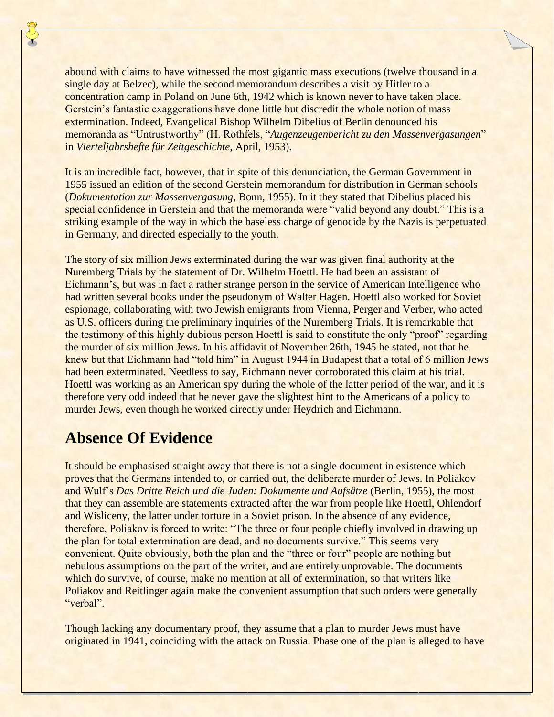abound with claims to have witnessed the most gigantic mass executions (twelve thousand in a single day at Belzec), while the second memorandum describes a visit by Hitler to a concentration camp in Poland on June 6th, 1942 which is known never to have taken place. Gerstein's fantastic exaggerations have done little but discredit the whole notion of mass extermination. Indeed, Evangelical Bishop Wilhelm Dibelius of Berlin denounced his memoranda as "Untrustworthy" (H. Rothfels, "*Augenzeugenbericht zu den Massenvergasungen*" in *Vierteljahrshefte für Zeitgeschichte*, April, 1953).

It is an incredible fact, however, that in spite of this denunciation, the German Government in 1955 issued an edition of the second Gerstein memorandum for distribution in German schools (*Dokumentation zur Massenvergasung*, Bonn, 1955). In it they stated that Dibelius placed his special confidence in Gerstein and that the memoranda were "valid beyond any doubt." This is a striking example of the way in which the baseless charge of genocide by the Nazis is perpetuated in Germany, and directed especially to the youth.

The story of six million Jews exterminated during the war was given final authority at the Nuremberg Trials by the statement of Dr. Wilhelm Hoettl. He had been an assistant of Eichmann's, but was in fact a rather strange person in the service of American Intelligence who had written several books under the pseudonym of Walter Hagen. Hoettl also worked for Soviet espionage, collaborating with two Jewish emigrants from Vienna, Perger and Verber, who acted as U.S. officers during the preliminary inquiries of the Nuremberg Trials. It is remarkable that the testimony of this highly dubious person Hoettl is said to constitute the only "proof" regarding the murder of six million Jews. In his affidavit of November 26th, 1945 he stated, not that he knew but that Eichmann had "told him" in August 1944 in Budapest that a total of 6 million Jews had been exterminated. Needless to say, Eichmann never corroborated this claim at his trial. Hoettl was working as an American spy during the whole of the latter period of the war, and it is therefore very odd indeed that he never gave the slightest hint to the Americans of a policy to murder Jews, even though he worked directly under Heydrich and Eichmann.

#### **Absence Of Evidence**

It should be emphasised straight away that there is not a single document in existence which proves that the Germans intended to, or carried out, the deliberate murder of Jews. In Poliakov and Wulf's *Das Dritte Reich und die Juden: Dokumente und Aufsätze* (Berlin, 1955), the most that they can assemble are statements extracted after the war from people like Hoettl, Ohlendorf and Wisliceny, the latter under torture in a Soviet prison. In the absence of any evidence, therefore, Poliakov is forced to write: "The three or four people chiefly involved in drawing up the plan for total extermination are dead, and no documents survive." This seems very convenient. Quite obviously, both the plan and the "three or four" people are nothing but nebulous assumptions on the part of the writer, and are entirely unprovable. The documents which do survive, of course, make no mention at all of extermination, so that writers like Poliakov and Reitlinger again make the convenient assumption that such orders were generally "verbal".

Though lacking any documentary proof, they assume that a plan to murder Jews must have originated in 1941, coinciding with the attack on Russia. Phase one of the plan is alleged to have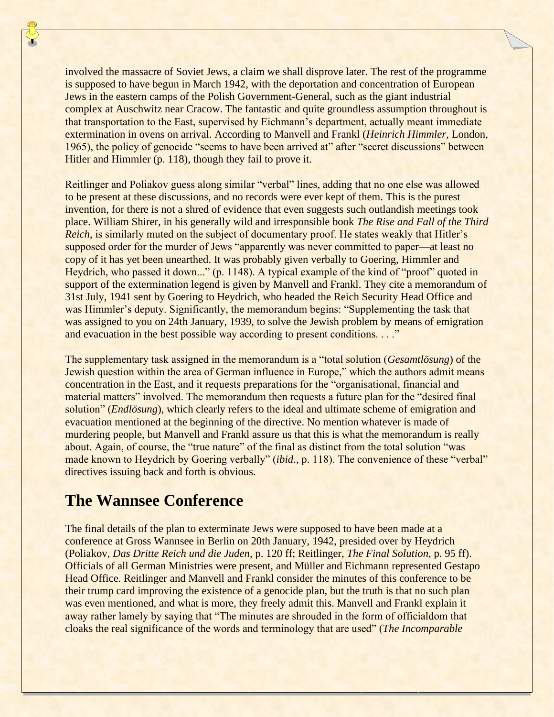involved the massacre of Soviet Jews, a claim we shall disprove later. The rest of the programme is supposed to have begun in March 1942, with the deportation and concentration of European Jews in the eastern camps of the Polish Government-General, such as the giant industrial complex at Auschwitz near Cracow. The fantastic and quite groundless assumption throughout is that transportation to the East, supervised by Eichmann's department, actually meant immediate extermination in ovens on arrival. According to Manvell and Frankl (*Heinrich Himmler*, London, 1965), the policy of genocide "seems to have been arrived at" after "secret discussions" between Hitler and Himmler (p. 118), though they fail to prove it.

Reitlinger and Poliakov guess along similar "verbal" lines, adding that no one else was allowed to be present at these discussions, and no records were ever kept of them. This is the purest invention, for there is not a shred of evidence that even suggests such outlandish meetings took place. William Shirer, in his generally wild and irresponsible book *The Rise and Fall of the Third Reich*, is similarly muted on the subject of documentary proof. He states weakly that Hitler's supposed order for the murder of Jews "apparently was never committed to paper—at least no copy of it has yet been unearthed. It was probably given verbally to Goering, Himmler and Heydrich, who passed it down..." (p. 1148). A typical example of the kind of "proof" quoted in support of the extermination legend is given by Manvell and Frankl. They cite a memorandum of 31st July, 1941 sent by Goering to Heydrich, who headed the Reich Security Head Office and was Himmler's deputy. Significantly, the memorandum begins: "Supplementing the task that was assigned to you on 24th January, 1939, to solve the Jewish problem by means of emigration and evacuation in the best possible way according to present conditions. . . ."

The supplementary task assigned in the memorandum is a "total solution (*Gesamtlösung*) of the Jewish question within the area of German influence in Europe," which the authors admit means concentration in the East, and it requests preparations for the "organisational, financial and material matters" involved. The memorandum then requests a future plan for the "desired final solution" (*Endlösung*), which clearly refers to the ideal and ultimate scheme of emigration and evacuation mentioned at the beginning of the directive. No mention whatever is made of murdering people, but Manvell and Frankl assure us that this is what the memorandum is really about. Again, of course, the "true nature" of the final as distinct from the total solution "was made known to Heydrich by Goering verbally" (*ibid*., p. 118). The convenience of these "verbal" directives issuing back and forth is obvious.

### **The Wannsee Conference**

The final details of the plan to exterminate Jews were supposed to have been made at a conference at Gross Wannsee in Berlin on 20th January, 1942, presided over by Heydrich (Poliakov, *Das Dritte Reich und die Juden*, p. 120 ff; Reitlinger, *The Final Solution*, p. 95 ff). Officials of all German Ministries were present, and Müller and Eichmann represented Gestapo Head Office. Reitlinger and Manvell and Frankl consider the minutes of this conference to be their trump card improving the existence of a genocide plan, but the truth is that no such plan was even mentioned, and what is more, they freely admit this. Manvell and Frankl explain it away rather lamely by saying that "The minutes are shrouded in the form of officialdom that cloaks the real significance of the words and terminology that are used" (*The Incomparable*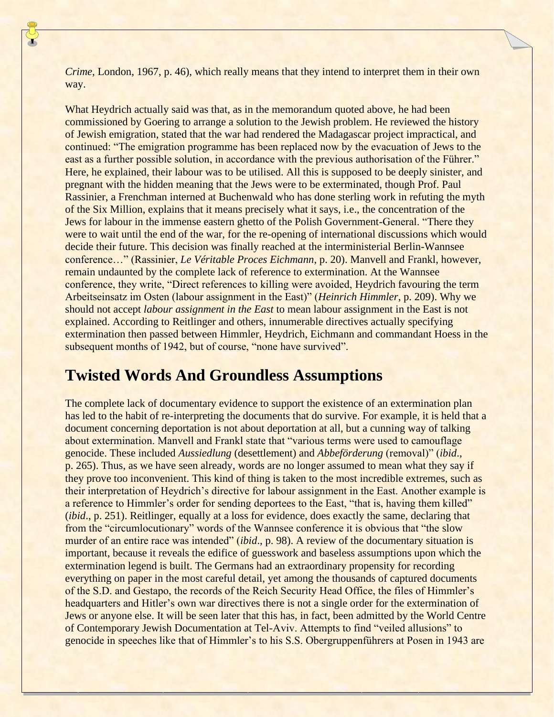*Crime*, London, 1967, p. 46), which really means that they intend to interpret them in their own way.

What Heydrich actually said was that, as in the memorandum quoted above, he had been commissioned by Goering to arrange a solution to the Jewish problem. He reviewed the history of Jewish emigration, stated that the war had rendered the Madagascar project impractical, and continued: "The emigration programme has been replaced now by the evacuation of Jews to the east as a further possible solution, in accordance with the previous authorisation of the Führer." Here, he explained, their labour was to be utilised. All this is supposed to be deeply sinister, and pregnant with the hidden meaning that the Jews were to be exterminated, though Prof. Paul Rassinier, a Frenchman interned at Buchenwald who has done sterling work in refuting the myth of the Six Million, explains that it means precisely what it says, i.e., the concentration of the Jews for labour in the immense eastern ghetto of the Polish Government-General. "There they were to wait until the end of the war, for the re-opening of international discussions which would decide their future. This decision was finally reached at the interministerial Berlin-Wannsee conference…" (Rassinier, *Le Véritable Proces Eichmann*, p. 20). Manvell and Frankl, however, remain undaunted by the complete lack of reference to extermination. At the Wannsee conference, they write, "Direct references to killing were avoided, Heydrich favouring the term Arbeitseinsatz im Osten (labour assignment in the East)" (*Heinrich Himmler*, p. 209). Why we should not accept *labour assignment in the East* to mean labour assignment in the East is not explained. According to Reitlinger and others, innumerable directives actually specifying extermination then passed between Himmler, Heydrich, Eichmann and commandant Hoess in the subsequent months of 1942, but of course, "none have survived".

#### **Twisted Words And Groundless Assumptions**

The complete lack of documentary evidence to support the existence of an extermination plan has led to the habit of re-interpreting the documents that do survive. For example, it is held that a document concerning deportation is not about deportation at all, but a cunning way of talking about extermination. Manvell and Frankl state that "various terms were used to camouflage genocide. These included *Aussiedlung* (desettlement) and *Abbeförderung* (removal)" (*ibid*., p. 265). Thus, as we have seen already, words are no longer assumed to mean what they say if they prove too inconvenient. This kind of thing is taken to the most incredible extremes, such as their interpretation of Heydrich's directive for labour assignment in the East. Another example is a reference to Himmler's order for sending deportees to the East, "that is, having them killed" (*ibid*., p. 251). Reitlinger, equally at a loss for evidence, does exactly the same, declaring that from the "circumlocutionary" words of the Wannsee conference it is obvious that "the slow murder of an entire race was intended" (*ibid*., p. 98). A review of the documentary situation is important, because it reveals the edifice of guesswork and baseless assumptions upon which the extermination legend is built. The Germans had an extraordinary propensity for recording everything on paper in the most careful detail, yet among the thousands of captured documents of the S.D. and Gestapo, the records of the Reich Security Head Office, the files of Himmler's headquarters and Hitler's own war directives there is not a single order for the extermination of Jews or anyone else. It will be seen later that this has, in fact, been admitted by the World Centre of Contemporary Jewish Documentation at Tel-Aviv. Attempts to find "veiled allusions" to genocide in speeches like that of Himmler's to his S.S. Obergruppenführers at Posen in 1943 are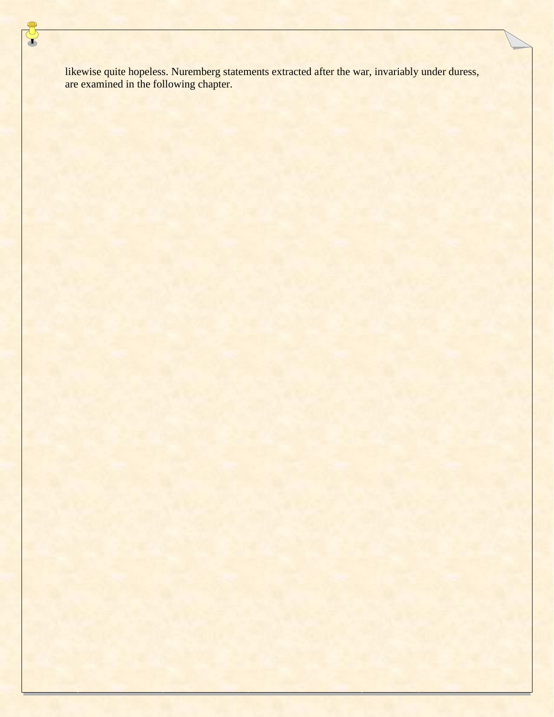likewise quite hopeless. Nuremberg statements extracted after the war, invariably under duress, are examined in the following chapter.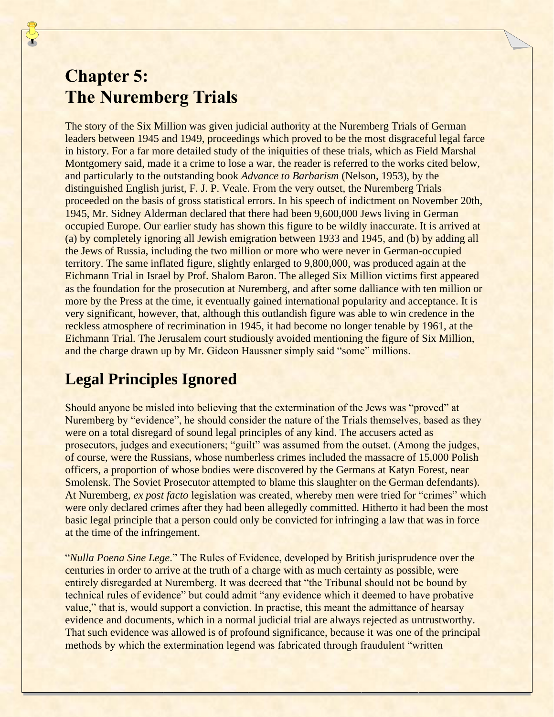# **Chapter 5: The Nuremberg Trials**

The story of the Six Million was given judicial authority at the Nuremberg Trials of German leaders between 1945 and 1949, proceedings which proved to be the most disgraceful legal farce in history. For a far more detailed study of the iniquities of these trials, which as Field Marshal Montgomery said, made it a crime to lose a war, the reader is referred to the works cited below, and particularly to the outstanding book *Advance to Barbarism* (Nelson, 1953), by the distinguished English jurist, F. J. P. Veale. From the very outset, the Nuremberg Trials proceeded on the basis of gross statistical errors. In his speech of indictment on November 20th, 1945, Mr. Sidney Alderman declared that there had been 9,600,000 Jews living in German occupied Europe. Our earlier study has shown this figure to be wildly inaccurate. It is arrived at (a) by completely ignoring all Jewish emigration between 1933 and 1945, and (b) by adding all the Jews of Russia, including the two million or more who were never in German-occupied territory. The same inflated figure, slightly enlarged to 9,800,000, was produced again at the Eichmann Trial in Israel by Prof. Shalom Baron. The alleged Six Million victims first appeared as the foundation for the prosecution at Nuremberg, and after some dalliance with ten million or more by the Press at the time, it eventually gained international popularity and acceptance. It is very significant, however, that, although this outlandish figure was able to win credence in the reckless atmosphere of recrimination in 1945, it had become no longer tenable by 1961, at the Eichmann Trial. The Jerusalem court studiously avoided mentioning the figure of Six Million, and the charge drawn up by Mr. Gideon Haussner simply said "some" millions.

# **Legal Principles Ignored**

Should anyone be misled into believing that the extermination of the Jews was "proved" at Nuremberg by "evidence", he should consider the nature of the Trials themselves, based as they were on a total disregard of sound legal principles of any kind. The accusers acted as prosecutors, judges and executioners; "guilt" was assumed from the outset. (Among the judges, of course, were the Russians, whose numberless crimes included the massacre of 15,000 Polish officers, a proportion of whose bodies were discovered by the Germans at Katyn Forest, near Smolensk. The Soviet Prosecutor attempted to blame this slaughter on the German defendants). At Nuremberg, *ex post facto* legislation was created, whereby men were tried for "crimes" which were only declared crimes after they had been allegedly committed. Hitherto it had been the most basic legal principle that a person could only be convicted for infringing a law that was in force at the time of the infringement.

"*Nulla Poena Sine Lege*." The Rules of Evidence, developed by British jurisprudence over the centuries in order to arrive at the truth of a charge with as much certainty as possible, were entirely disregarded at Nuremberg. It was decreed that "the Tribunal should not be bound by technical rules of evidence" but could admit "any evidence which it deemed to have probative value," that is, would support a conviction. In practise, this meant the admittance of hearsay evidence and documents, which in a normal judicial trial are always rejected as untrustworthy. That such evidence was allowed is of profound significance, because it was one of the principal methods by which the extermination legend was fabricated through fraudulent "written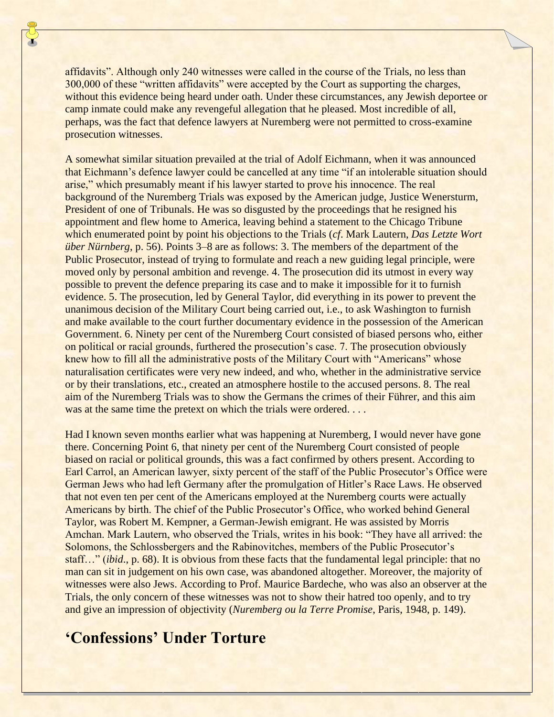affidavits". Although only 240 witnesses were called in the course of the Trials, no less than 300,000 of these "written affidavits" were accepted by the Court as supporting the charges, without this evidence being heard under oath. Under these circumstances, any Jewish deportee or camp inmate could make any revengeful allegation that he pleased. Most incredible of all, perhaps, was the fact that defence lawyers at Nuremberg were not permitted to cross-examine prosecution witnesses.

A somewhat similar situation prevailed at the trial of Adolf Eichmann, when it was announced that Eichmann's defence lawyer could be cancelled at any time "if an intolerable situation should arise," which presumably meant if his lawyer started to prove his innocence. The real background of the Nuremberg Trials was exposed by the American judge, Justice Wenersturm, President of one of Tribunals. He was so disgusted by the proceedings that he resigned his appointment and flew home to America, leaving behind a statement to the Chicago Tribune which enumerated point by point his objections to the Trials (*cf*. Mark Lautern, *Das Letzte Wort über Nürnberg*, p. 56). Points 3–8 are as follows: 3. The members of the department of the Public Prosecutor, instead of trying to formulate and reach a new guiding legal principle, were moved only by personal ambition and revenge. 4. The prosecution did its utmost in every way possible to prevent the defence preparing its case and to make it impossible for it to furnish evidence. 5. The prosecution, led by General Taylor, did everything in its power to prevent the unanimous decision of the Military Court being carried out, i.e., to ask Washington to furnish and make available to the court further documentary evidence in the possession of the American Government. 6. Ninety per cent of the Nuremberg Court consisted of biased persons who, either on political or racial grounds, furthered the prosecution's case. 7. The prosecution obviously knew how to fill all the administrative posts of the Military Court with "Americans" whose naturalisation certificates were very new indeed, and who, whether in the administrative service or by their translations, etc., created an atmosphere hostile to the accused persons. 8. The real aim of the Nuremberg Trials was to show the Germans the crimes of their Führer, and this aim was at the same time the pretext on which the trials were ordered. . . .

Had I known seven months earlier what was happening at Nuremberg, I would never have gone there. Concerning Point 6, that ninety per cent of the Nuremberg Court consisted of people biased on racial or political grounds, this was a fact confirmed by others present. According to Earl Carrol, an American lawyer, sixty percent of the staff of the Public Prosecutor's Office were German Jews who had left Germany after the promulgation of Hitler's Race Laws. He observed that not even ten per cent of the Americans employed at the Nuremberg courts were actually Americans by birth. The chief of the Public Prosecutor's Office, who worked behind General Taylor, was Robert M. Kempner, a German-Jewish emigrant. He was assisted by Morris Amchan. Mark Lautern, who observed the Trials, writes in his book: "They have all arrived: the Solomons, the Schlossbergers and the Rabinovitches, members of the Public Prosecutor's staff…" (*ibid*., p. 68). It is obvious from these facts that the fundamental legal principle: that no man can sit in judgement on his own case, was abandoned altogether. Moreover, the majority of witnesses were also Jews. According to Prof. Maurice Bardeche, who was also an observer at the Trials, the only concern of these witnesses was not to show their hatred too openly, and to try and give an impression of objectivity (*Nuremberg ou la Terre Promise*, Paris, 1948, p. 149).

## **'Confessions' Under Torture**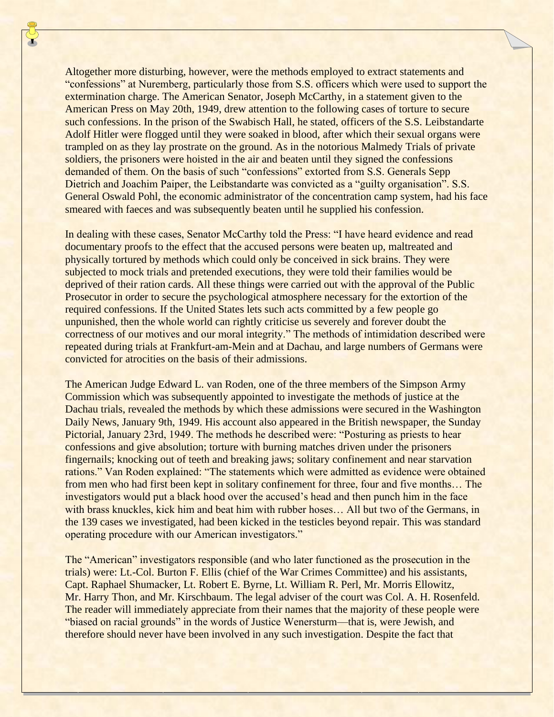Altogether more disturbing, however, were the methods employed to extract statements and "confessions" at Nuremberg, particularly those from S.S. officers which were used to support the extermination charge. The American Senator, Joseph McCarthy, in a statement given to the American Press on May 20th, 1949, drew attention to the following cases of torture to secure such confessions. In the prison of the Swabisch Hall, he stated, officers of the S.S. Leibstandarte Adolf Hitler were flogged until they were soaked in blood, after which their sexual organs were trampled on as they lay prostrate on the ground. As in the notorious Malmedy Trials of private soldiers, the prisoners were hoisted in the air and beaten until they signed the confessions demanded of them. On the basis of such "confessions" extorted from S.S. Generals Sepp Dietrich and Joachim Paiper, the Leibstandarte was convicted as a "guilty organisation". S.S. General Oswald Pohl, the economic administrator of the concentration camp system, had his face smeared with faeces and was subsequently beaten until he supplied his confession.

In dealing with these cases, Senator McCarthy told the Press: "I have heard evidence and read documentary proofs to the effect that the accused persons were beaten up, maltreated and physically tortured by methods which could only be conceived in sick brains. They were subjected to mock trials and pretended executions, they were told their families would be deprived of their ration cards. All these things were carried out with the approval of the Public Prosecutor in order to secure the psychological atmosphere necessary for the extortion of the required confessions. If the United States lets such acts committed by a few people go unpunished, then the whole world can rightly criticise us severely and forever doubt the correctness of our motives and our moral integrity." The methods of intimidation described were repeated during trials at Frankfurt-am-Mein and at Dachau, and large numbers of Germans were convicted for atrocities on the basis of their admissions.

The American Judge Edward L. van Roden, one of the three members of the Simpson Army Commission which was subsequently appointed to investigate the methods of justice at the Dachau trials, revealed the methods by which these admissions were secured in the Washington Daily News, January 9th, 1949. His account also appeared in the British newspaper, the Sunday Pictorial, January 23rd, 1949. The methods he described were: "Posturing as priests to hear confessions and give absolution; torture with burning matches driven under the prisoners fingernails; knocking out of teeth and breaking jaws; solitary confinement and near starvation rations." Van Roden explained: "The statements which were admitted as evidence were obtained from men who had first been kept in solitary confinement for three, four and five months… The investigators would put a black hood over the accused's head and then punch him in the face with brass knuckles, kick him and beat him with rubber hoses… All but two of the Germans, in the 139 cases we investigated, had been kicked in the testicles beyond repair. This was standard operating procedure with our American investigators."

The "American" investigators responsible (and who later functioned as the prosecution in the trials) were: Lt.-Col. Burton F. Ellis (chief of the War Crimes Committee) and his assistants, Capt. Raphael Shumacker, Lt. Robert E. Byrne, Lt. William R. Perl, Mr. Morris Ellowitz, Mr. Harry Thon, and Mr. Kirschbaum. The legal adviser of the court was Col. A. H. Rosenfeld. The reader will immediately appreciate from their names that the majority of these people were "biased on racial grounds" in the words of Justice Wenersturm—that is, were Jewish, and therefore should never have been involved in any such investigation. Despite the fact that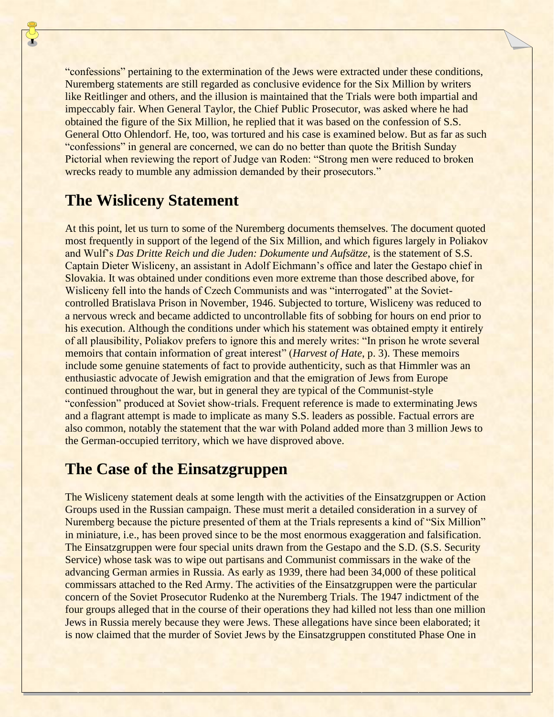"confessions" pertaining to the extermination of the Jews were extracted under these conditions, Nuremberg statements are still regarded as conclusive evidence for the Six Million by writers like Reitlinger and others, and the illusion is maintained that the Trials were both impartial and impeccably fair. When General Taylor, the Chief Public Prosecutor, was asked where he had obtained the figure of the Six Million, he replied that it was based on the confession of S.S. General Otto Ohlendorf. He, too, was tortured and his case is examined below. But as far as such "confessions" in general are concerned, we can do no better than quote the British Sunday Pictorial when reviewing the report of Judge van Roden: "Strong men were reduced to broken wrecks ready to mumble any admission demanded by their prosecutors."

#### **The Wisliceny Statement**

At this point, let us turn to some of the Nuremberg documents themselves. The document quoted most frequently in support of the legend of the Six Million, and which figures largely in Poliakov and Wulf's *Das Dritte Reich und die Juden: Dokumente und Aufsätze*, is the statement of S.S. Captain Dieter Wisliceny, an assistant in Adolf Eichmann's office and later the Gestapo chief in Slovakia. It was obtained under conditions even more extreme than those described above, for Wisliceny fell into the hands of Czech Communists and was "interrogated" at the Sovietcontrolled Bratislava Prison in November, 1946. Subjected to torture, Wisliceny was reduced to a nervous wreck and became addicted to uncontrollable fits of sobbing for hours on end prior to his execution. Although the conditions under which his statement was obtained empty it entirely of all plausibility, Poliakov prefers to ignore this and merely writes: "In prison he wrote several memoirs that contain information of great interest" (*Harvest of Hate*, p. 3). These memoirs include some genuine statements of fact to provide authenticity, such as that Himmler was an enthusiastic advocate of Jewish emigration and that the emigration of Jews from Europe continued throughout the war, but in general they are typical of the Communist-style "confession" produced at Soviet show-trials. Frequent reference is made to exterminating Jews and a flagrant attempt is made to implicate as many S.S. leaders as possible. Factual errors are also common, notably the statement that the war with Poland added more than 3 million Jews to the German-occupied territory, which we have disproved above.

#### **The Case of the Einsatzgruppen**

The Wisliceny statement deals at some length with the activities of the Einsatzgruppen or Action Groups used in the Russian campaign. These must merit a detailed consideration in a survey of Nuremberg because the picture presented of them at the Trials represents a kind of "Six Million" in miniature, i.e., has been proved since to be the most enormous exaggeration and falsification. The Einsatzgruppen were four special units drawn from the Gestapo and the S.D. (S.S. Security Service) whose task was to wipe out partisans and Communist commissars in the wake of the advancing German armies in Russia. As early as 1939, there had been 34,000 of these political commissars attached to the Red Army. The activities of the Einsatzgruppen were the particular concern of the Soviet Prosecutor Rudenko at the Nuremberg Trials. The 1947 indictment of the four groups alleged that in the course of their operations they had killed not less than one million Jews in Russia merely because they were Jews. These allegations have since been elaborated; it is now claimed that the murder of Soviet Jews by the Einsatzgruppen constituted Phase One in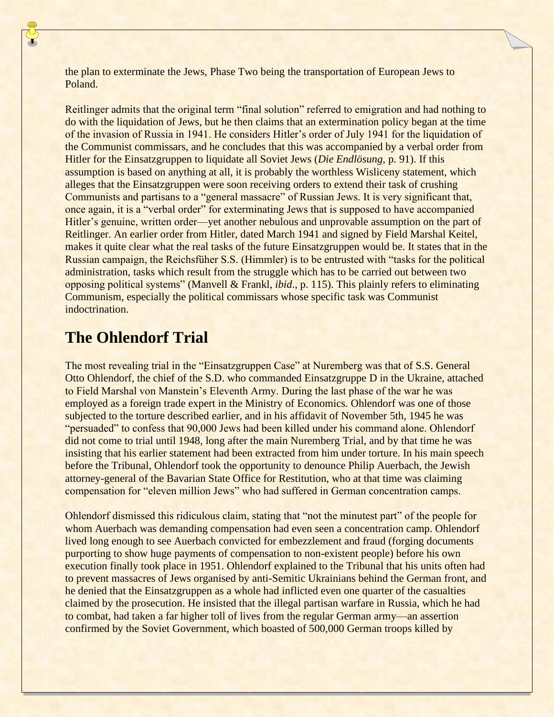the plan to exterminate the Jews, Phase Two being the transportation of European Jews to Poland.

Reitlinger admits that the original term "final solution" referred to emigration and had nothing to do with the liquidation of Jews, but he then claims that an extermination policy began at the time of the invasion of Russia in 1941. He considers Hitler's order of July 1941 for the liquidation of the Communist commissars, and he concludes that this was accompanied by a verbal order from Hitler for the Einsatzgruppen to liquidate all Soviet Jews (*Die Endlösung*, p. 91). If this assumption is based on anything at all, it is probably the worthless Wisliceny statement, which alleges that the Einsatzgruppen were soon receiving orders to extend their task of crushing Communists and partisans to a "general massacre" of Russian Jews. It is very significant that, once again, it is a "verbal order" for exterminating Jews that is supposed to have accompanied Hitler's genuine, written order—yet another nebulous and unprovable assumption on the part of Reitlinger. An earlier order from Hitler, dated March 1941 and signed by Field Marshal Keitel, makes it quite clear what the real tasks of the future Einsatzgruppen would be. It states that in the Russian campaign, the Reichsfüher S.S. (Himmler) is to be entrusted with "tasks for the political administration, tasks which result from the struggle which has to be carried out between two opposing political systems" (Manvell & Frankl, *ibid*., p. 115). This plainly refers to eliminating Communism, especially the political commissars whose specific task was Communist indoctrination.

#### **The Ohlendorf Trial**

The most revealing trial in the "Einsatzgruppen Case" at Nuremberg was that of S.S. General Otto Ohlendorf, the chief of the S.D. who commanded Einsatzgruppe D in the Ukraine, attached to Field Marshal von Manstein's Eleventh Army. During the last phase of the war he was employed as a foreign trade expert in the Ministry of Economics. Ohlendorf was one of those subjected to the torture described earlier, and in his affidavit of November 5th, 1945 he was "persuaded" to confess that 90,000 Jews had been killed under his command alone. Ohlendorf did not come to trial until 1948, long after the main Nuremberg Trial, and by that time he was insisting that his earlier statement had been extracted from him under torture. In his main speech before the Tribunal, Ohlendorf took the opportunity to denounce Philip Auerbach, the Jewish attorney-general of the Bavarian State Office for Restitution, who at that time was claiming compensation for "eleven million Jews" who had suffered in German concentration camps.

Ohlendorf dismissed this ridiculous claim, stating that "not the minutest part" of the people for whom Auerbach was demanding compensation had even seen a concentration camp. Ohlendorf lived long enough to see Auerbach convicted for embezzlement and fraud (forging documents purporting to show huge payments of compensation to non-existent people) before his own execution finally took place in 1951. Ohlendorf explained to the Tribunal that his units often had to prevent massacres of Jews organised by anti-Semitic Ukrainians behind the German front, and he denied that the Einsatzgruppen as a whole had inflicted even one quarter of the casualties claimed by the prosecution. He insisted that the illegal partisan warfare in Russia, which he had to combat, had taken a far higher toll of lives from the regular German army—an assertion confirmed by the Soviet Government, which boasted of 500,000 German troops killed by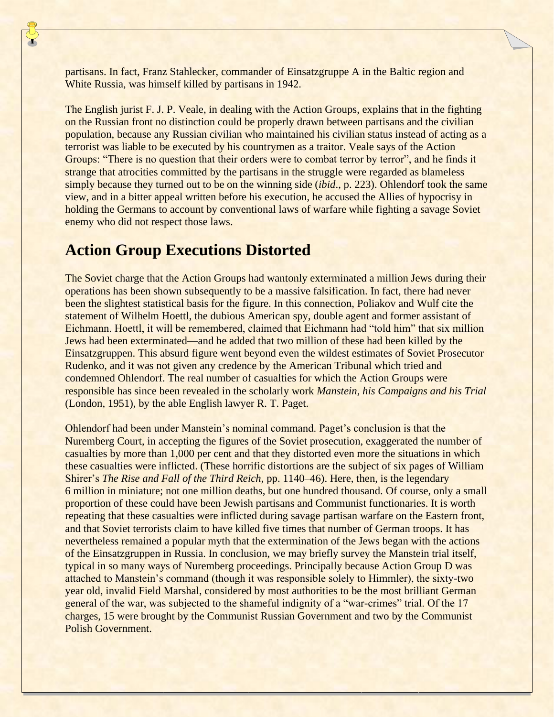partisans. In fact, Franz Stahlecker, commander of Einsatzgruppe A in the Baltic region and White Russia, was himself killed by partisans in 1942.

The English jurist F. J. P. Veale, in dealing with the Action Groups, explains that in the fighting on the Russian front no distinction could be properly drawn between partisans and the civilian population, because any Russian civilian who maintained his civilian status instead of acting as a terrorist was liable to be executed by his countrymen as a traitor. Veale says of the Action Groups: "There is no question that their orders were to combat terror by terror", and he finds it strange that atrocities committed by the partisans in the struggle were regarded as blameless simply because they turned out to be on the winning side (*ibid*., p. 223). Ohlendorf took the same view, and in a bitter appeal written before his execution, he accused the Allies of hypocrisy in holding the Germans to account by conventional laws of warfare while fighting a savage Soviet enemy who did not respect those laws.

#### **Action Group Executions Distorted**

The Soviet charge that the Action Groups had wantonly exterminated a million Jews during their operations has been shown subsequently to be a massive falsification. In fact, there had never been the slightest statistical basis for the figure. In this connection, Poliakov and Wulf cite the statement of Wilhelm Hoettl, the dubious American spy, double agent and former assistant of Eichmann. Hoettl, it will be remembered, claimed that Eichmann had "told him" that six million Jews had been exterminated—and he added that two million of these had been killed by the Einsatzgruppen. This absurd figure went beyond even the wildest estimates of Soviet Prosecutor Rudenko, and it was not given any credence by the American Tribunal which tried and condemned Ohlendorf. The real number of casualties for which the Action Groups were responsible has since been revealed in the scholarly work *Manstein, his Campaigns and his Trial* (London, 1951), by the able English lawyer R. T. Paget.

Ohlendorf had been under Manstein's nominal command. Paget's conclusion is that the Nuremberg Court, in accepting the figures of the Soviet prosecution, exaggerated the number of casualties by more than 1,000 per cent and that they distorted even more the situations in which these casualties were inflicted. (These horrific distortions are the subject of six pages of William Shirer's *The Rise and Fall of the Third Reich*, pp. 1140–46). Here, then, is the legendary 6 million in miniature; not one million deaths, but one hundred thousand. Of course, only a small proportion of these could have been Jewish partisans and Communist functionaries. It is worth repeating that these casualties were inflicted during savage partisan warfare on the Eastern front, and that Soviet terrorists claim to have killed five times that number of German troops. It has nevertheless remained a popular myth that the extermination of the Jews began with the actions of the Einsatzgruppen in Russia. In conclusion, we may briefly survey the Manstein trial itself, typical in so many ways of Nuremberg proceedings. Principally because Action Group D was attached to Manstein's command (though it was responsible solely to Himmler), the sixty-two year old, invalid Field Marshal, considered by most authorities to be the most brilliant German general of the war, was subjected to the shameful indignity of a "war-crimes" trial. Of the 17 charges, 15 were brought by the Communist Russian Government and two by the Communist Polish Government.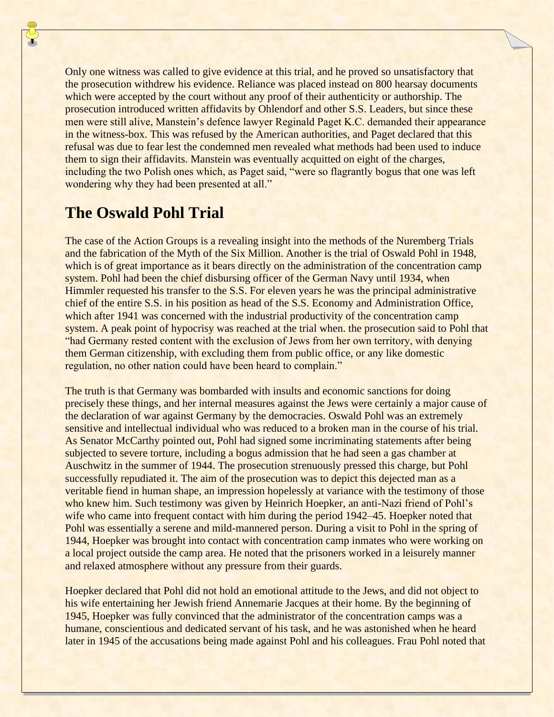Only one witness was called to give evidence at this trial, and he proved so unsatisfactory that the prosecution withdrew his evidence. Reliance was placed instead on 800 hearsay documents which were accepted by the court without any proof of their authenticity or authorship. The prosecution introduced written affidavits by Ohlendorf and other S.S. Leaders, but since these men were still alive, Manstein's defence lawyer Reginald Paget K.C. demanded their appearance in the witness-box. This was refused by the American authorities, and Paget declared that this refusal was due to fear lest the condemned men revealed what methods had been used to induce them to sign their affidavits. Manstein was eventually acquitted on eight of the charges, including the two Polish ones which, as Paget said, "were so flagrantly bogus that one was left wondering why they had been presented at all."

#### **The Oswald Pohl Trial**

The case of the Action Groups is a revealing insight into the methods of the Nuremberg Trials and the fabrication of the Myth of the Six Million. Another is the trial of Oswald Pohl in 1948, which is of great importance as it bears directly on the administration of the concentration camp system. Pohl had been the chief disbursing officer of the German Navy until 1934, when Himmler requested his transfer to the S.S. For eleven years he was the principal administrative chief of the entire S.S. in his position as head of the S.S. Economy and Administration Office, which after 1941 was concerned with the industrial productivity of the concentration camp system. A peak point of hypocrisy was reached at the trial when, the prosecution said to Pohl that "had Germany rested content with the exclusion of Jews from her own territory, with denying them German citizenship, with excluding them from public office, or any like domestic regulation, no other nation could have been heard to complain."

The truth is that Germany was bombarded with insults and economic sanctions for doing precisely these things, and her internal measures against the Jews were certainly a major cause of the declaration of war against Germany by the democracies. Oswald Pohl was an extremely sensitive and intellectual individual who was reduced to a broken man in the course of his trial. As Senator McCarthy pointed out, Pohl had signed some incriminating statements after being subjected to severe torture, including a bogus admission that he had seen a gas chamber at Auschwitz in the summer of 1944. The prosecution strenuously pressed this charge, but Pohl successfully repudiated it. The aim of the prosecution was to depict this dejected man as a veritable fiend in human shape, an impression hopelessly at variance with the testimony of those who knew him. Such testimony was given by Heinrich Hoepker, an anti-Nazi friend of Pohl's wife who came into frequent contact with him during the period 1942–45. Hoepker noted that Pohl was essentially a serene and mild-mannered person. During a visit to Pohl in the spring of 1944, Hoepker was brought into contact with concentration camp inmates who were working on a local project outside the camp area. He noted that the prisoners worked in a leisurely manner and relaxed atmosphere without any pressure from their guards.

Hoepker declared that Pohl did not hold an emotional attitude to the Jews, and did not object to his wife entertaining her Jewish friend Annemarie Jacques at their home. By the beginning of 1945, Hoepker was fully convinced that the administrator of the concentration camps was a humane, conscientious and dedicated servant of his task, and he was astonished when he heard later in 1945 of the accusations being made against Pohl and his colleagues. Frau Pohl noted that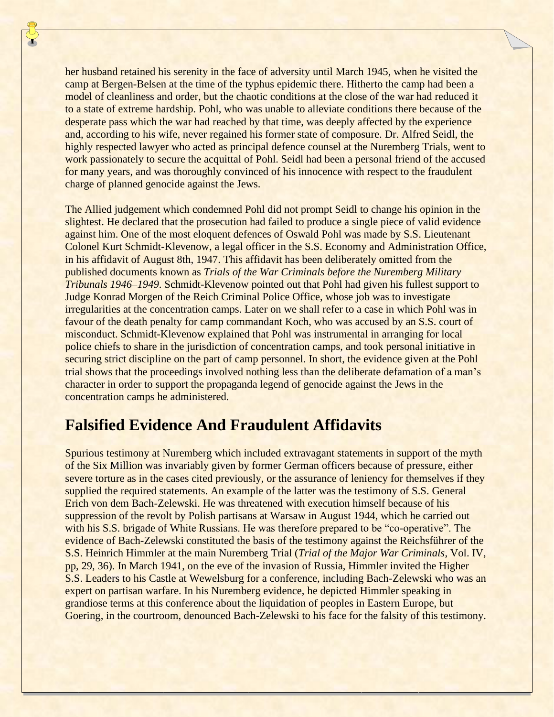her husband retained his serenity in the face of adversity until March 1945, when he visited the camp at Bergen-Belsen at the time of the typhus epidemic there. Hitherto the camp had been a model of cleanliness and order, but the chaotic conditions at the close of the war had reduced it to a state of extreme hardship. Pohl, who was unable to alleviate conditions there because of the desperate pass which the war had reached by that time, was deeply affected by the experience and, according to his wife, never regained his former state of composure. Dr. Alfred Seidl, the highly respected lawyer who acted as principal defence counsel at the Nuremberg Trials, went to work passionately to secure the acquittal of Pohl. Seidl had been a personal friend of the accused for many years, and was thoroughly convinced of his innocence with respect to the fraudulent charge of planned genocide against the Jews.

The Allied judgement which condemned Pohl did not prompt Seidl to change his opinion in the slightest. He declared that the prosecution had failed to produce a single piece of valid evidence against him. One of the most eloquent defences of Oswald Pohl was made by S.S. Lieutenant Colonel Kurt Schmidt-Klevenow, a legal officer in the S.S. Economy and Administration Office, in his affidavit of August 8th, 1947. This affidavit has been deliberately omitted from the published documents known as *Trials of the War Criminals before the Nuremberg Military Tribunals 1946–1949*. Schmidt-Klevenow pointed out that Pohl had given his fullest support to Judge Konrad Morgen of the Reich Criminal Police Office, whose job was to investigate irregularities at the concentration camps. Later on we shall refer to a case in which Pohl was in favour of the death penalty for camp commandant Koch, who was accused by an S.S. court of misconduct. Schmidt-Klevenow explained that Pohl was instrumental in arranging for local police chiefs to share in the jurisdiction of concentration camps, and took personal initiative in securing strict discipline on the part of camp personnel. In short, the evidence given at the Pohl trial shows that the proceedings involved nothing less than the deliberate defamation of a man's character in order to support the propaganda legend of genocide against the Jews in the concentration camps he administered.

#### **Falsified Evidence And Fraudulent Affidavits**

Spurious testimony at Nuremberg which included extravagant statements in support of the myth of the Six Million was invariably given by former German officers because of pressure, either severe torture as in the cases cited previously, or the assurance of leniency for themselves if they supplied the required statements. An example of the latter was the testimony of S.S. General Erich von dem Bach-Zelewski. He was threatened with execution himself because of his suppression of the revolt by Polish partisans at Warsaw in August 1944, which he carried out with his S.S. brigade of White Russians. He was therefore prepared to be "co-operative". The evidence of Bach-Zelewski constituted the basis of the testimony against the Reichsführer of the S.S. Heinrich Himmler at the main Nuremberg Trial (*Trial of the Major War Criminals*, Vol. IV, pp, 29, 36). In March 1941, on the eve of the invasion of Russia, Himmler invited the Higher S.S. Leaders to his Castle at Wewelsburg for a conference, including Bach-Zelewski who was an expert on partisan warfare. In his Nuremberg evidence, he depicted Himmler speaking in grandiose terms at this conference about the liquidation of peoples in Eastern Europe, but Goering, in the courtroom, denounced Bach-Zelewski to his face for the falsity of this testimony.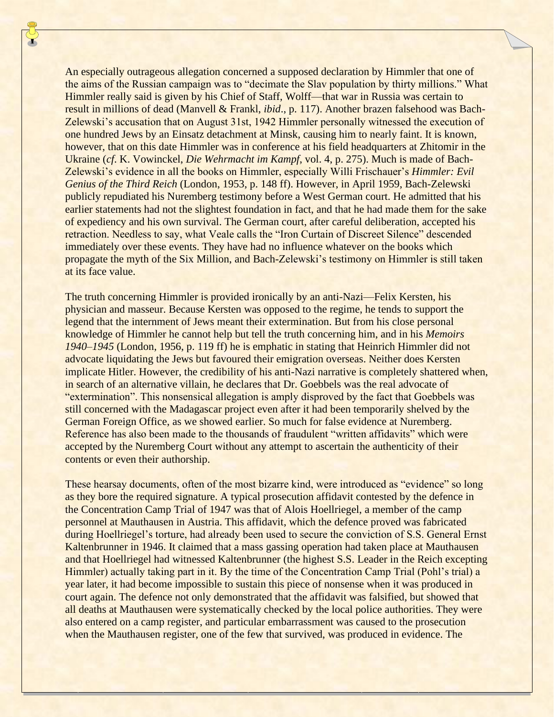An especially outrageous allegation concerned a supposed declaration by Himmler that one of the aims of the Russian campaign was to "decimate the Slav population by thirty millions." What Himmler really said is given by his Chief of Staff, Wolff—that war in Russia was certain to result in millions of dead (Manvell & Frankl, *ibid*., p. 117). Another brazen falsehood was Bach-Zelewski's accusation that on August 31st, 1942 Himmler personally witnessed the execution of one hundred Jews by an Einsatz detachment at Minsk, causing him to nearly faint. It is known, however, that on this date Himmler was in conference at his field headquarters at Zhitomir in the Ukraine (*cf*. K. Vowinckel, *Die Wehrmacht im Kampf*, vol. 4, p. 275). Much is made of Bach-Zelewski's evidence in all the books on Himmler, especially Willi Frischauer's *Himmler: Evil Genius of the Third Reich* (London, 1953, p. 148 ff). However, in April 1959, Bach-Zelewski publicly repudiated his Nuremberg testimony before a West German court. He admitted that his earlier statements had not the slightest foundation in fact, and that he had made them for the sake of expediency and his own survival. The German court, after careful deliberation, accepted his retraction. Needless to say, what Veale calls the "Iron Curtain of Discreet Silence" descended immediately over these events. They have had no influence whatever on the books which propagate the myth of the Six Million, and Bach-Zelewski's testimony on Himmler is still taken at its face value.

The truth concerning Himmler is provided ironically by an anti-Nazi—Felix Kersten, his physician and masseur. Because Kersten was opposed to the regime, he tends to support the legend that the internment of Jews meant their extermination. But from his close personal knowledge of Himmler he cannot help but tell the truth concerning him, and in his *Memoirs 1940–1945* (London, 1956, p. 119 ff) he is emphatic in stating that Heinrich Himmler did not advocate liquidating the Jews but favoured their emigration overseas. Neither does Kersten implicate Hitler. However, the credibility of his anti-Nazi narrative is completely shattered when, in search of an alternative villain, he declares that Dr. Goebbels was the real advocate of "extermination". This nonsensical allegation is amply disproved by the fact that Goebbels was still concerned with the Madagascar project even after it had been temporarily shelved by the German Foreign Office, as we showed earlier. So much for false evidence at Nuremberg. Reference has also been made to the thousands of fraudulent "written affidavits" which were accepted by the Nuremberg Court without any attempt to ascertain the authenticity of their contents or even their authorship.

These hearsay documents, often of the most bizarre kind, were introduced as "evidence" so long as they bore the required signature. A typical prosecution affidavit contested by the defence in the Concentration Camp Trial of 1947 was that of Alois Hoellriegel, a member of the camp personnel at Mauthausen in Austria. This affidavit, which the defence proved was fabricated during Hoellriegel's torture, had already been used to secure the conviction of S.S. General Ernst Kaltenbrunner in 1946. It claimed that a mass gassing operation had taken place at Mauthausen and that Hoellriegel had witnessed Kaltenbrunner (the highest S.S. Leader in the Reich excepting Himmler) actually taking part in it. By the time of the Concentration Camp Trial (Pohl's trial) a year later, it had become impossible to sustain this piece of nonsense when it was produced in court again. The defence not only demonstrated that the affidavit was falsified, but showed that all deaths at Mauthausen were systematically checked by the local police authorities. They were also entered on a camp register, and particular embarrassment was caused to the prosecution when the Mauthausen register, one of the few that survived, was produced in evidence. The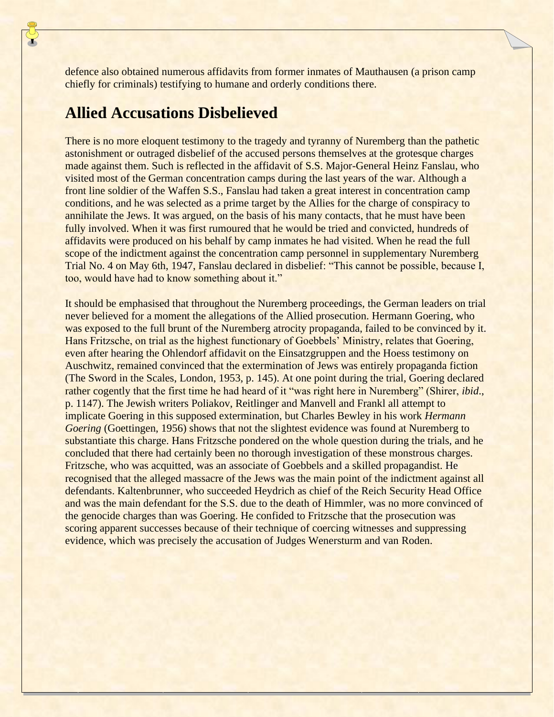defence also obtained numerous affidavits from former inmates of Mauthausen (a prison camp chiefly for criminals) testifying to humane and orderly conditions there.

### **Allied Accusations Disbelieved**

There is no more eloquent testimony to the tragedy and tyranny of Nuremberg than the pathetic astonishment or outraged disbelief of the accused persons themselves at the grotesque charges made against them. Such is reflected in the affidavit of S.S. Major-General Heinz Fanslau, who visited most of the German concentration camps during the last years of the war. Although a front line soldier of the Waffen S.S., Fanslau had taken a great interest in concentration camp conditions, and he was selected as a prime target by the Allies for the charge of conspiracy to annihilate the Jews. It was argued, on the basis of his many contacts, that he must have been fully involved. When it was first rumoured that he would be tried and convicted, hundreds of affidavits were produced on his behalf by camp inmates he had visited. When he read the full scope of the indictment against the concentration camp personnel in supplementary Nuremberg Trial No. 4 on May 6th, 1947, Fanslau declared in disbelief: "This cannot be possible, because I, too, would have had to know something about it."

It should be emphasised that throughout the Nuremberg proceedings, the German leaders on trial never believed for a moment the allegations of the Allied prosecution. Hermann Goering, who was exposed to the full brunt of the Nuremberg atrocity propaganda, failed to be convinced by it. Hans Fritzsche, on trial as the highest functionary of Goebbels' Ministry, relates that Goering, even after hearing the Ohlendorf affidavit on the Einsatzgruppen and the Hoess testimony on Auschwitz, remained convinced that the extermination of Jews was entirely propaganda fiction (The Sword in the Scales, London, 1953, p. 145). At one point during the trial, Goering declared rather cogently that the first time he had heard of it "was right here in Nuremberg" (Shirer, *ibid*., p. 1147). The Jewish writers Poliakov, Reitlinger and Manvell and Frankl all attempt to implicate Goering in this supposed extermination, but Charles Bewley in his work *Hermann Goering* (Goettingen, 1956) shows that not the slightest evidence was found at Nuremberg to substantiate this charge. Hans Fritzsche pondered on the whole question during the trials, and he concluded that there had certainly been no thorough investigation of these monstrous charges. Fritzsche, who was acquitted, was an associate of Goebbels and a skilled propagandist. He recognised that the alleged massacre of the Jews was the main point of the indictment against all defendants. Kaltenbrunner, who succeeded Heydrich as chief of the Reich Security Head Office and was the main defendant for the S.S. due to the death of Himmler, was no more convinced of the genocide charges than was Goering. He confided to Fritzsche that the prosecution was scoring apparent successes because of their technique of coercing witnesses and suppressing evidence, which was precisely the accusation of Judges Wenersturm and van Roden.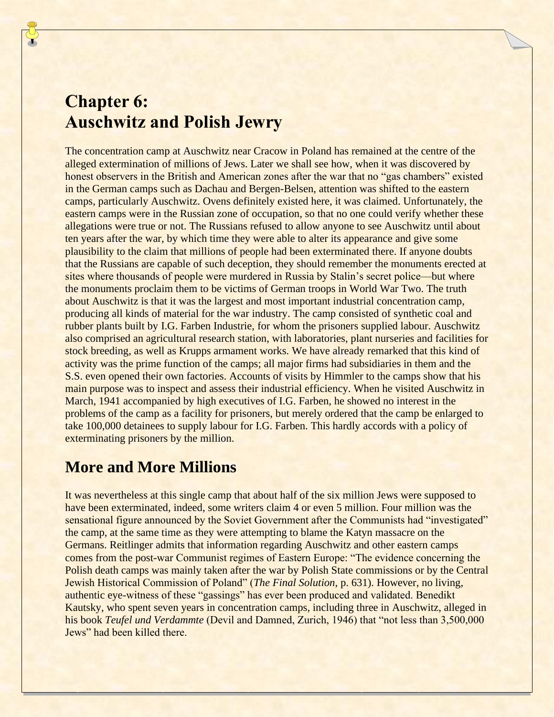# **Chapter 6: Auschwitz and Polish Jewry**

The concentration camp at Auschwitz near Cracow in Poland has remained at the centre of the alleged extermination of millions of Jews. Later we shall see how, when it was discovered by honest observers in the British and American zones after the war that no "gas chambers" existed in the German camps such as Dachau and Bergen-Belsen, attention was shifted to the eastern camps, particularly Auschwitz. Ovens definitely existed here, it was claimed. Unfortunately, the eastern camps were in the Russian zone of occupation, so that no one could verify whether these allegations were true or not. The Russians refused to allow anyone to see Auschwitz until about ten years after the war, by which time they were able to alter its appearance and give some plausibility to the claim that millions of people had been exterminated there. If anyone doubts that the Russians are capable of such deception, they should remember the monuments erected at sites where thousands of people were murdered in Russia by Stalin's secret police—but where the monuments proclaim them to be victims of German troops in World War Two. The truth about Auschwitz is that it was the largest and most important industrial concentration camp, producing all kinds of material for the war industry. The camp consisted of synthetic coal and rubber plants built by I.G. Farben Industrie, for whom the prisoners supplied labour. Auschwitz also comprised an agricultural research station, with laboratories, plant nurseries and facilities for stock breeding, as well as Krupps armament works. We have already remarked that this kind of activity was the prime function of the camps; all major firms had subsidiaries in them and the S.S. even opened their own factories. Accounts of visits by Himmler to the camps show that his main purpose was to inspect and assess their industrial efficiency. When he visited Auschwitz in March, 1941 accompanied by high executives of I.G. Farben, he showed no interest in the problems of the camp as a facility for prisoners, but merely ordered that the camp be enlarged to take 100,000 detainees to supply labour for I.G. Farben. This hardly accords with a policy of exterminating prisoners by the million.

### **More and More Millions**

It was nevertheless at this single camp that about half of the six million Jews were supposed to have been exterminated, indeed, some writers claim 4 or even 5 million. Four million was the sensational figure announced by the Soviet Government after the Communists had "investigated" the camp, at the same time as they were attempting to blame the Katyn massacre on the Germans. Reitlinger admits that information regarding Auschwitz and other eastern camps comes from the post-war Communist regimes of Eastern Europe: "The evidence concerning the Polish death camps was mainly taken after the war by Polish State commissions or by the Central Jewish Historical Commission of Poland" (*The Final Solution*, p. 631). However, no living, authentic eye-witness of these "gassings" has ever been produced and validated. Benedikt Kautsky, who spent seven years in concentration camps, including three in Auschwitz, alleged in his book *Teufel und Verdammte* (Devil and Damned, Zurich, 1946) that "not less than 3,500,000 Jews" had been killed there.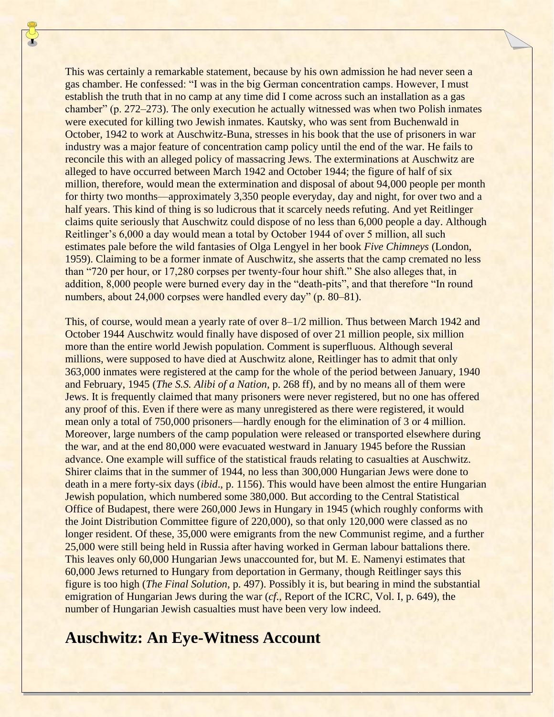This was certainly a remarkable statement, because by his own admission he had never seen a gas chamber. He confessed: "I was in the big German concentration camps. However, I must establish the truth that in no camp at any time did I come across such an installation as a gas chamber" (p. 272–273). The only execution he actually witnessed was when two Polish inmates were executed for killing two Jewish inmates. Kautsky, who was sent from Buchenwald in October, 1942 to work at Auschwitz-Buna, stresses in his book that the use of prisoners in war industry was a major feature of concentration camp policy until the end of the war. He fails to reconcile this with an alleged policy of massacring Jews. The exterminations at Auschwitz are alleged to have occurred between March 1942 and October 1944; the figure of half of six million, therefore, would mean the extermination and disposal of about 94,000 people per month for thirty two months—approximately 3,350 people everyday, day and night, for over two and a half years. This kind of thing is so ludicrous that it scarcely needs refuting. And yet Reitlinger claims quite seriously that Auschwitz could dispose of no less than 6,000 people a day. Although Reitlinger's 6,000 a day would mean a total by October 1944 of over 5 million, all such estimates pale before the wild fantasies of Olga Lengyel in her book *Five Chimneys* (London, 1959). Claiming to be a former inmate of Auschwitz, she asserts that the camp cremated no less than "720 per hour, or 17,280 corpses per twenty-four hour shift." She also alleges that, in addition, 8,000 people were burned every day in the "death-pits", and that therefore "In round numbers, about 24,000 corpses were handled every day" (p. 80–81).

This, of course, would mean a yearly rate of over 8–1/2 million. Thus between March 1942 and October 1944 Auschwitz would finally have disposed of over 21 million people, six million more than the entire world Jewish population. Comment is superfluous. Although several millions, were supposed to have died at Auschwitz alone, Reitlinger has to admit that only 363,000 inmates were registered at the camp for the whole of the period between January, 1940 and February, 1945 (*The S.S. Alibi of a Nation*, p. 268 ff), and by no means all of them were Jews. It is frequently claimed that many prisoners were never registered, but no one has offered any proof of this. Even if there were as many unregistered as there were registered, it would mean only a total of 750,000 prisoners—hardly enough for the elimination of 3 or 4 million. Moreover, large numbers of the camp population were released or transported elsewhere during the war, and at the end 80,000 were evacuated westward in January 1945 before the Russian advance. One example will suffice of the statistical frauds relating to casualties at Auschwitz. Shirer claims that in the summer of 1944, no less than 300,000 Hungarian Jews were done to death in a mere forty-six days (*ibid*., p. 1156). This would have been almost the entire Hungarian Jewish population, which numbered some 380,000. But according to the Central Statistical Office of Budapest, there were 260,000 Jews in Hungary in 1945 (which roughly conforms with the Joint Distribution Committee figure of 220,000), so that only 120,000 were classed as no longer resident. Of these, 35,000 were emigrants from the new Communist regime, and a further 25,000 were still being held in Russia after having worked in German labour battalions there. This leaves only 60,000 Hungarian Jews unaccounted for, but M. E. Namenyi estimates that 60,000 Jews returned to Hungary from deportation in Germany, though Reitlinger says this figure is too high (*The Final Solution*, p. 497). Possibly it is, but bearing in mind the substantial emigration of Hungarian Jews during the war (*cf*., Report of the ICRC, Vol. I, p. 649), the number of Hungarian Jewish casualties must have been very low indeed.

#### **Auschwitz: An Eye-Witness Account**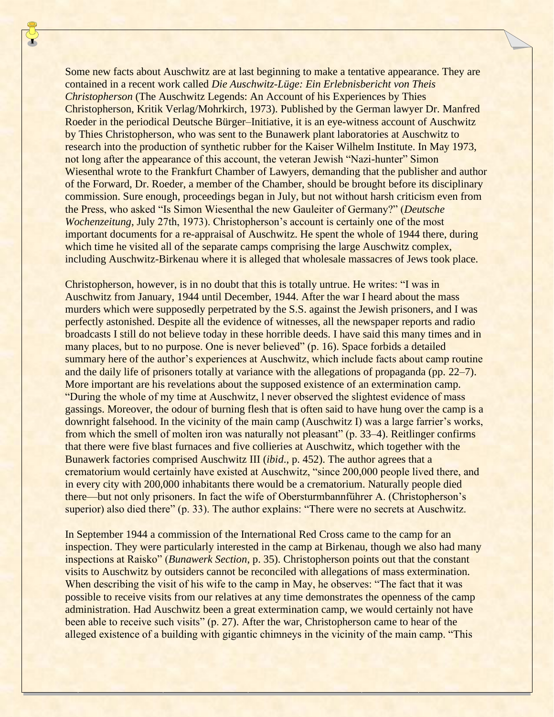Some new facts about Auschwitz are at last beginning to make a tentative appearance. They are contained in a recent work called *Die Auschwitz-Lüge: Ein Erlebnisbericht von Theis Christopherson* (The Auschwitz Legends: An Account of his Experiences by Thies Christopherson, Kritik Verlag/Mohrkirch, 1973). Published by the German lawyer Dr. Manfred Roeder in the periodical Deutsche Bürger–Initiative, it is an eye-witness account of Auschwitz by Thies Christopherson, who was sent to the Bunawerk plant laboratories at Auschwitz to research into the production of synthetic rubber for the Kaiser Wilhelm Institute. In May 1973, not long after the appearance of this account, the veteran Jewish "Nazi-hunter" Simon Wiesenthal wrote to the Frankfurt Chamber of Lawyers, demanding that the publisher and author of the Forward, Dr. Roeder, a member of the Chamber, should be brought before its disciplinary commission. Sure enough, proceedings began in July, but not without harsh criticism even from the Press, who asked "Is Simon Wiesenthal the new Gauleiter of Germany?" (*Deutsche Wochenzeitung*, July 27th, 1973). Christopherson's account is certainly one of the most important documents for a re-appraisal of Auschwitz. He spent the whole of 1944 there, during which time he visited all of the separate camps comprising the large Auschwitz complex, including Auschwitz-Birkenau where it is alleged that wholesale massacres of Jews took place.

Christopherson, however, is in no doubt that this is totally untrue. He writes: "I was in Auschwitz from January, 1944 until December, 1944. After the war I heard about the mass murders which were supposedly perpetrated by the S.S. against the Jewish prisoners, and I was perfectly astonished. Despite all the evidence of witnesses, all the newspaper reports and radio broadcasts I still do not believe today in these horrible deeds. I have said this many times and in many places, but to no purpose. One is never believed" (p. 16). Space forbids a detailed summary here of the author's experiences at Auschwitz, which include facts about camp routine and the daily life of prisoners totally at variance with the allegations of propaganda (pp. 22–7). More important are his revelations about the supposed existence of an extermination camp. "During the whole of my time at Auschwitz, l never observed the slightest evidence of mass gassings. Moreover, the odour of burning flesh that is often said to have hung over the camp is a downright falsehood. In the vicinity of the main camp (Auschwitz I) was a large farrier's works, from which the smell of molten iron was naturally not pleasant" (p. 33–4). Reitlinger confirms that there were five blast furnaces and five collieries at Auschwitz, which together with the Bunawerk factories comprised Auschwitz III (*ibid*., p. 452). The author agrees that a crematorium would certainly have existed at Auschwitz, "since 200,000 people lived there, and in every city with 200,000 inhabitants there would be a crematorium. Naturally people died there—but not only prisoners. In fact the wife of Obersturmbannführer A. (Christopherson's superior) also died there" (p. 33). The author explains: "There were no secrets at Auschwitz.

In September 1944 a commission of the International Red Cross came to the camp for an inspection. They were particularly interested in the camp at Birkenau, though we also had many inspections at Raisko" (*Bunawerk Section*, p. 35). Christopherson points out that the constant visits to Auschwitz by outsiders cannot be reconciled with allegations of mass extermination. When describing the visit of his wife to the camp in May, he observes: "The fact that it was possible to receive visits from our relatives at any time demonstrates the openness of the camp administration. Had Auschwitz been a great extermination camp, we would certainly not have been able to receive such visits" (p. 27). After the war, Christopherson came to hear of the alleged existence of a building with gigantic chimneys in the vicinity of the main camp. "This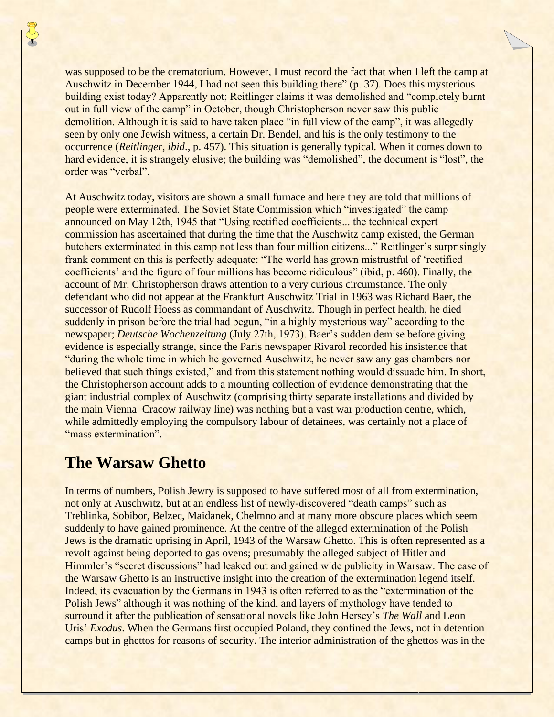was supposed to be the crematorium. However, I must record the fact that when I left the camp at Auschwitz in December 1944, I had not seen this building there" (p. 37). Does this mysterious building exist today? Apparently not; Reitlinger claims it was demolished and "completely burnt out in full view of the camp" in October, though Christopherson never saw this public demolition. Although it is said to have taken place "in full view of the camp", it was allegedly seen by only one Jewish witness, a certain Dr. Bendel, and his is the only testimony to the occurrence (*Reitlinger*, *ibid*., p. 457). This situation is generally typical. When it comes down to hard evidence, it is strangely elusive; the building was "demolished", the document is "lost", the order was "verbal".

At Auschwitz today, visitors are shown a small furnace and here they are told that millions of people were exterminated. The Soviet State Commission which "investigated" the camp announced on May 12th, 1945 that "Using rectified coefficients... the technical expert commission has ascertained that during the time that the Auschwitz camp existed, the German butchers exterminated in this camp not less than four million citizens..." Reitlinger's surprisingly frank comment on this is perfectly adequate: "The world has grown mistrustful of 'rectified coefficients' and the figure of four millions has become ridiculous" (ibid, p. 460). Finally, the account of Mr. Christopherson draws attention to a very curious circumstance. The only defendant who did not appear at the Frankfurt Auschwitz Trial in 1963 was Richard Baer, the successor of Rudolf Hoess as commandant of Auschwitz. Though in perfect health, he died suddenly in prison before the trial had begun, "in a highly mysterious way" according to the newspaper; *Deutsche Wochenzeitung* (July 27th, 1973). Baer's sudden demise before giving evidence is especially strange, since the Paris newspaper Rivarol recorded his insistence that "during the whole time in which he governed Auschwitz, he never saw any gas chambers nor believed that such things existed," and from this statement nothing would dissuade him. In short, the Christopherson account adds to a mounting collection of evidence demonstrating that the giant industrial complex of Auschwitz (comprising thirty separate installations and divided by the main Vienna–Cracow railway line) was nothing but a vast war production centre, which, while admittedly employing the compulsory labour of detainees, was certainly not a place of "mass extermination".

# **The Warsaw Ghetto**

In terms of numbers, Polish Jewry is supposed to have suffered most of all from extermination, not only at Auschwitz, but at an endless list of newly-discovered "death camps" such as Treblinka, Sobibor, Belzec, Maidanek, Chelmno and at many more obscure places which seem suddenly to have gained prominence. At the centre of the alleged extermination of the Polish Jews is the dramatic uprising in April, 1943 of the Warsaw Ghetto. This is often represented as a revolt against being deported to gas ovens; presumably the alleged subject of Hitler and Himmler's "secret discussions" had leaked out and gained wide publicity in Warsaw. The case of the Warsaw Ghetto is an instructive insight into the creation of the extermination legend itself. Indeed, its evacuation by the Germans in 1943 is often referred to as the "extermination of the Polish Jews" although it was nothing of the kind, and layers of mythology have tended to surround it after the publication of sensational novels like John Hersey's *The Wall* and Leon Uris' *Exodus*. When the Germans first occupied Poland, they confined the Jews, not in detention camps but in ghettos for reasons of security. The interior administration of the ghettos was in the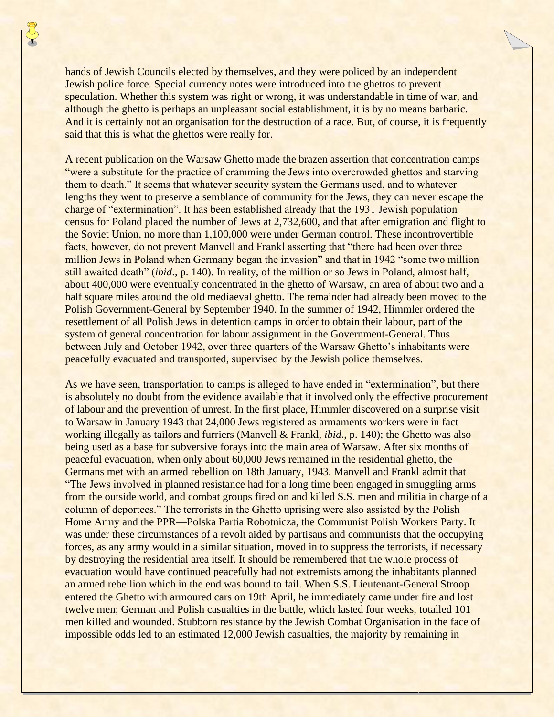hands of Jewish Councils elected by themselves, and they were policed by an independent Jewish police force. Special currency notes were introduced into the ghettos to prevent speculation. Whether this system was right or wrong, it was understandable in time of war, and although the ghetto is perhaps an unpleasant social establishment, it is by no means barbaric. And it is certainly not an organisation for the destruction of a race. But, of course, it is frequently said that this is what the ghettos were really for.

A recent publication on the Warsaw Ghetto made the brazen assertion that concentration camps "were a substitute for the practice of cramming the Jews into overcrowded ghettos and starving them to death." It seems that whatever security system the Germans used, and to whatever lengths they went to preserve a semblance of community for the Jews, they can never escape the charge of "extermination". It has been established already that the 1931 Jewish population census for Poland placed the number of Jews at 2,732,600, and that after emigration and flight to the Soviet Union, no more than 1,100,000 were under German control. These incontrovertible facts, however, do not prevent Manvell and Frankl asserting that "there had been over three million Jews in Poland when Germany began the invasion" and that in 1942 "some two million still awaited death" (*ibid*., p. 140). In reality, of the million or so Jews in Poland, almost half, about 400,000 were eventually concentrated in the ghetto of Warsaw, an area of about two and a half square miles around the old mediaeval ghetto. The remainder had already been moved to the Polish Government-General by September 1940. In the summer of 1942, Himmler ordered the resettlement of all Polish Jews in detention camps in order to obtain their labour, part of the system of general concentration for labour assignment in the Government-General. Thus between July and October 1942, over three quarters of the Warsaw Ghetto's inhabitants were peacefully evacuated and transported, supervised by the Jewish police themselves.

As we have seen, transportation to camps is alleged to have ended in "extermination", but there is absolutely no doubt from the evidence available that it involved only the effective procurement of labour and the prevention of unrest. In the first place, Himmler discovered on a surprise visit to Warsaw in January 1943 that 24,000 Jews registered as armaments workers were in fact working illegally as tailors and furriers (Manvell & Frankl, *ibid*., p. 140); the Ghetto was also being used as a base for subversive forays into the main area of Warsaw. After six months of peaceful evacuation, when only about 60,000 Jews remained in the residential ghetto, the Germans met with an armed rebellion on 18th January, 1943. Manvell and Frankl admit that "The Jews involved in planned resistance had for a long time been engaged in smuggling arms from the outside world, and combat groups fired on and killed S.S. men and militia in charge of a column of deportees." The terrorists in the Ghetto uprising were also assisted by the Polish Home Army and the PPR—Polska Partia Robotnicza, the Communist Polish Workers Party. It was under these circumstances of a revolt aided by partisans and communists that the occupying forces, as any army would in a similar situation, moved in to suppress the terrorists, if necessary by destroying the residential area itself. It should be remembered that the whole process of evacuation would have continued peacefully had not extremists among the inhabitants planned an armed rebellion which in the end was bound to fail. When S.S. Lieutenant-General Stroop entered the Ghetto with armoured cars on 19th April, he immediately came under fire and lost twelve men; German and Polish casualties in the battle, which lasted four weeks, totalled 101 men killed and wounded. Stubborn resistance by the Jewish Combat Organisation in the face of impossible odds led to an estimated 12,000 Jewish casualties, the majority by remaining in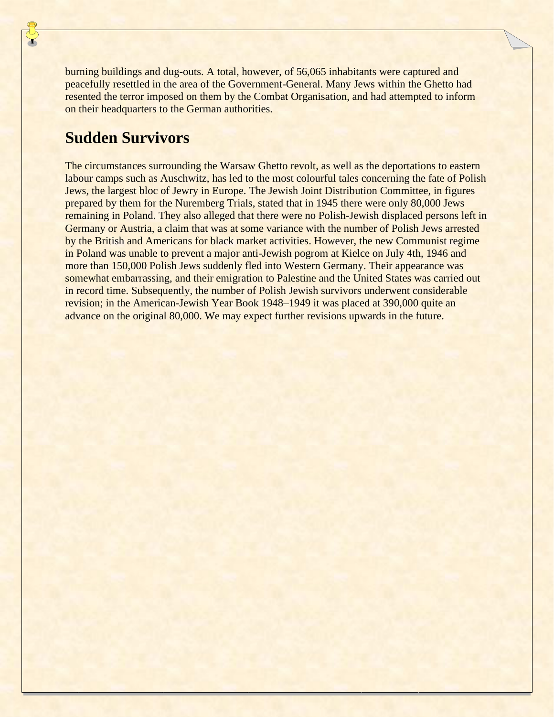burning buildings and dug-outs. A total, however, of 56,065 inhabitants were captured and peacefully resettled in the area of the Government-General. Many Jews within the Ghetto had resented the terror imposed on them by the Combat Organisation, and had attempted to inform on their headquarters to the German authorities.

## **Sudden Survivors**

The circumstances surrounding the Warsaw Ghetto revolt, as well as the deportations to eastern labour camps such as Auschwitz, has led to the most colourful tales concerning the fate of Polish Jews, the largest bloc of Jewry in Europe. The Jewish Joint Distribution Committee, in figures prepared by them for the Nuremberg Trials, stated that in 1945 there were only 80,000 Jews remaining in Poland. They also alleged that there were no Polish-Jewish displaced persons left in Germany or Austria, a claim that was at some variance with the number of Polish Jews arrested by the British and Americans for black market activities. However, the new Communist regime in Poland was unable to prevent a major anti-Jewish pogrom at Kielce on July 4th, 1946 and more than 150,000 Polish Jews suddenly fled into Western Germany. Their appearance was somewhat embarrassing, and their emigration to Palestine and the United States was carried out in record time. Subsequently, the number of Polish Jewish survivors underwent considerable revision; in the American-Jewish Year Book 1948–1949 it was placed at 390,000 quite an advance on the original 80,000. We may expect further revisions upwards in the future.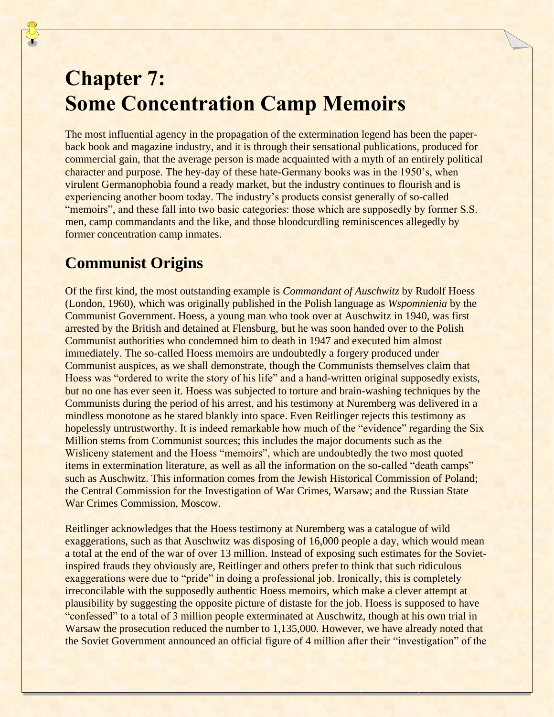# **Chapter 7: Some Concentration Camp Memoirs**

The most influential agency in the propagation of the extermination legend has been the paperback book and magazine industry, and it is through their sensational publications, produced for commercial gain, that the average person is made acquainted with a myth of an entirely political character and purpose. The hey-day of these hate-Germany books was in the 1950's, when virulent Germanophobia found a ready market, but the industry continues to flourish and is experiencing another boom today. The industry's products consist generally of so-called "memoirs", and these fall into two basic categories: those which are supposedly by former S.S. men, camp commandants and the like, and those bloodcurdling reminiscences allegedly by former concentration camp inmates.

### **Communist Origins**

Of the first kind, the most outstanding example is *Commandant of Auschwitz* by Rudolf Hoess (London, 1960), which was originally published in the Polish language as *Wspomnienia* by the Communist Government. Hoess, a young man who took over at Auschwitz in 1940, was first arrested by the British and detained at Flensburg, but he was soon handed over to the Polish Communist authorities who condemned him to death in 1947 and executed him almost immediately. The so-called Hoess memoirs are undoubtedly a forgery produced under Communist auspices, as we shall demonstrate, though the Communists themselves claim that Hoess was "ordered to write the story of his life" and a hand-written original supposedly exists, but no one has ever seen it. Hoess was subjected to torture and brain-washing techniques by the Communists during the period of his arrest, and his testimony at Nuremberg was delivered in a mindless monotone as he stared blankly into space. Even Reitlinger rejects this testimony as hopelessly untrustworthy. It is indeed remarkable how much of the "evidence" regarding the Six Million stems from Communist sources; this includes the major documents such as the Wisliceny statement and the Hoess "memoirs", which are undoubtedly the two most quoted items in extermination literature, as well as all the information on the so-called "death camps" such as Auschwitz. This information comes from the Jewish Historical Commission of Poland; the Central Commission for the Investigation of War Crimes, Warsaw; and the Russian State War Crimes Commission, Moscow.

Reitlinger acknowledges that the Hoess testimony at Nuremberg was a catalogue of wild exaggerations, such as that Auschwitz was disposing of 16,000 people a day, which would mean a total at the end of the war of over 13 million. Instead of exposing such estimates for the Sovietinspired frauds they obviously are, Reitlinger and others prefer to think that such ridiculous exaggerations were due to "pride" in doing a professional job. Ironically, this is completely irreconcilable with the supposedly authentic Hoess memoirs, which make a clever attempt at plausibility by suggesting the opposite picture of distaste for the job. Hoess is supposed to have "confessed" to a total of 3 million people exterminated at Auschwitz, though at his own trial in Warsaw the prosecution reduced the number to 1,135,000. However, we have already noted that the Soviet Government announced an official figure of 4 million after their "investigation" of the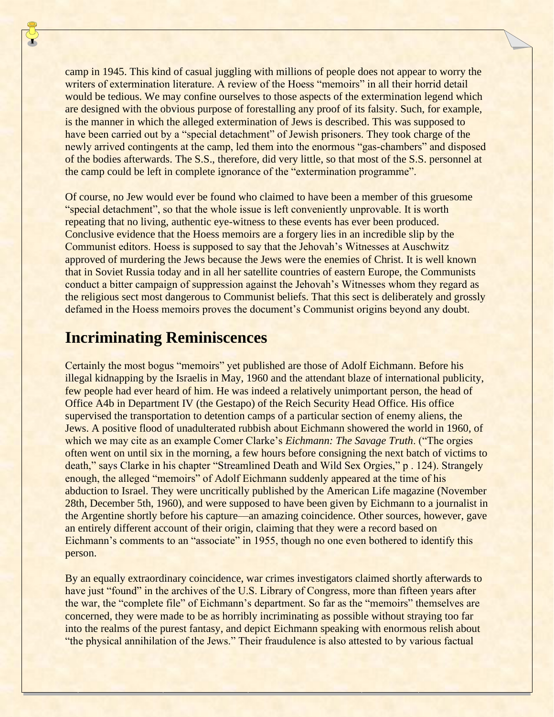camp in 1945. This kind of casual juggling with millions of people does not appear to worry the writers of extermination literature. A review of the Hoess "memoirs" in all their horrid detail would be tedious. We may confine ourselves to those aspects of the extermination legend which are designed with the obvious purpose of forestalling any proof of its falsity. Such, for example, is the manner in which the alleged extermination of Jews is described. This was supposed to have been carried out by a "special detachment" of Jewish prisoners. They took charge of the newly arrived contingents at the camp, led them into the enormous "gas-chambers" and disposed of the bodies afterwards. The S.S., therefore, did very little, so that most of the S.S. personnel at the camp could be left in complete ignorance of the "extermination programme".

Of course, no Jew would ever be found who claimed to have been a member of this gruesome "special detachment", so that the whole issue is left conveniently unprovable. It is worth repeating that no living, authentic eye-witness to these events has ever been produced. Conclusive evidence that the Hoess memoirs are a forgery lies in an incredible slip by the Communist editors. Hoess is supposed to say that the Jehovah's Witnesses at Auschwitz approved of murdering the Jews because the Jews were the enemies of Christ. It is well known that in Soviet Russia today and in all her satellite countries of eastern Europe, the Communists conduct a bitter campaign of suppression against the Jehovah's Witnesses whom they regard as the religious sect most dangerous to Communist beliefs. That this sect is deliberately and grossly defamed in the Hoess memoirs proves the document's Communist origins beyond any doubt.

#### **Incriminating Reminiscences**

Certainly the most bogus "memoirs" yet published are those of Adolf Eichmann. Before his illegal kidnapping by the Israelis in May, 1960 and the attendant blaze of international publicity, few people had ever heard of him. He was indeed a relatively unimportant person, the head of Office A4b in Department IV (the Gestapo) of the Reich Security Head Office. His office supervised the transportation to detention camps of a particular section of enemy aliens, the Jews. A positive flood of unadulterated rubbish about Eichmann showered the world in 1960, of which we may cite as an example Comer Clarke's *Eichmann: The Savage Truth*. ("The orgies often went on until six in the morning, a few hours before consigning the next batch of victims to death," says Clarke in his chapter "Streamlined Death and Wild Sex Orgies," p. 124). Strangely enough, the alleged "memoirs" of Adolf Eichmann suddenly appeared at the time of his abduction to Israel. They were uncritically published by the American Life magazine (November 28th, December 5th, 1960), and were supposed to have been given by Eichmann to a journalist in the Argentine shortly before his capture—an amazing coincidence. Other sources, however, gave an entirely different account of their origin, claiming that they were a record based on Eichmann's comments to an "associate" in 1955, though no one even bothered to identify this person.

By an equally extraordinary coincidence, war crimes investigators claimed shortly afterwards to have just "found" in the archives of the U.S. Library of Congress, more than fifteen years after the war, the "complete file" of Eichmann's department. So far as the "memoirs" themselves are concerned, they were made to be as horribly incriminating as possible without straying too far into the realms of the purest fantasy, and depict Eichmann speaking with enormous relish about "the physical annihilation of the Jews." Their fraudulence is also attested to by various factual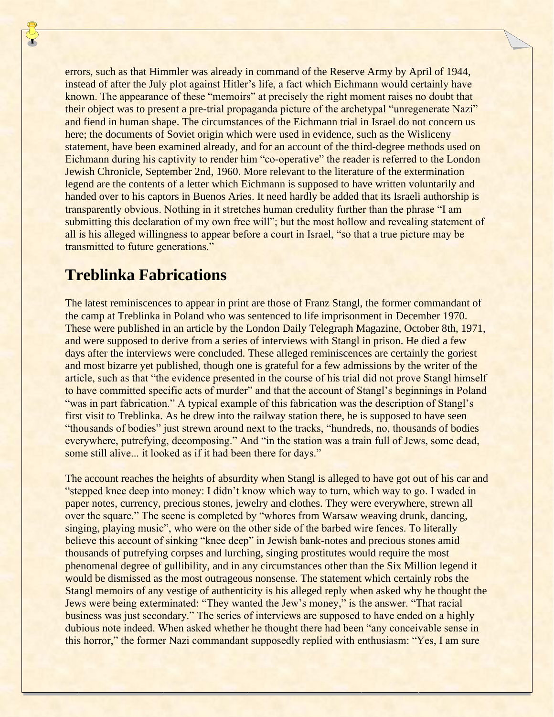errors, such as that Himmler was already in command of the Reserve Army by April of 1944, instead of after the July plot against Hitler's life, a fact which Eichmann would certainly have known. The appearance of these "memoirs" at precisely the right moment raises no doubt that their object was to present a pre-trial propaganda picture of the archetypal "unregenerate Nazi" and fiend in human shape. The circumstances of the Eichmann trial in Israel do not concern us here; the documents of Soviet origin which were used in evidence, such as the Wisliceny statement, have been examined already, and for an account of the third-degree methods used on Eichmann during his captivity to render him "co-operative" the reader is referred to the London Jewish Chronicle, September 2nd, 1960. More relevant to the literature of the extermination legend are the contents of a letter which Eichmann is supposed to have written voluntarily and handed over to his captors in Buenos Aries. It need hardly be added that its Israeli authorship is transparently obvious. Nothing in it stretches human credulity further than the phrase "I am submitting this declaration of my own free will"; but the most hollow and revealing statement of all is his alleged willingness to appear before a court in Israel, "so that a true picture may be transmitted to future generations."

### **Treblinka Fabrications**

The latest reminiscences to appear in print are those of Franz Stangl, the former commandant of the camp at Treblinka in Poland who was sentenced to life imprisonment in December 1970. These were published in an article by the London Daily Telegraph Magazine, October 8th, 1971, and were supposed to derive from a series of interviews with Stangl in prison. He died a few days after the interviews were concluded. These alleged reminiscences are certainly the goriest and most bizarre yet published, though one is grateful for a few admissions by the writer of the article, such as that "the evidence presented in the course of his trial did not prove Stangl himself to have committed specific acts of murder" and that the account of Stangl's beginnings in Poland "was in part fabrication." A typical example of this fabrication was the description of Stangl's first visit to Treblinka. As he drew into the railway station there, he is supposed to have seen "thousands of bodies" just strewn around next to the tracks, "hundreds, no, thousands of bodies everywhere, putrefying, decomposing." And "in the station was a train full of Jews, some dead, some still alive... it looked as if it had been there for days."

The account reaches the heights of absurdity when Stangl is alleged to have got out of his car and "stepped knee deep into money: I didn't know which way to turn, which way to go. I waded in paper notes, currency, precious stones, jewelry and clothes. They were everywhere, strewn all over the square." The scene is completed by "whores from Warsaw weaving drunk, dancing, singing, playing music", who were on the other side of the barbed wire fences. To literally believe this account of sinking "knee deep" in Jewish bank-notes and precious stones amid thousands of putrefying corpses and lurching, singing prostitutes would require the most phenomenal degree of gullibility, and in any circumstances other than the Six Million legend it would be dismissed as the most outrageous nonsense. The statement which certainly robs the Stangl memoirs of any vestige of authenticity is his alleged reply when asked why he thought the Jews were being exterminated: "They wanted the Jew's money," is the answer. "That racial business was just secondary." The series of interviews are supposed to have ended on a highly dubious note indeed. When asked whether he thought there had been "any conceivable sense in this horror," the former Nazi commandant supposedly replied with enthusiasm: "Yes, I am sure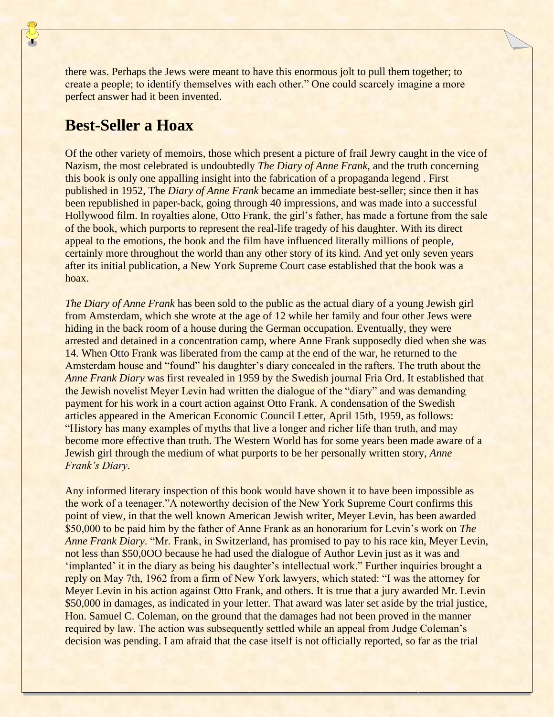there was. Perhaps the Jews were meant to have this enormous jolt to pull them together; to create a people; to identify themselves with each other." One could scarcely imagine a more perfect answer had it been invented.

#### **Best-Seller a Hoax**

Of the other variety of memoirs, those which present a picture of frail Jewry caught in the vice of Nazism, the most celebrated is undoubtedly *The Diary of Anne Frank*, and the truth concerning this book is only one appalling insight into the fabrication of a propaganda legend . First published in 1952, The *Diary of Anne Frank* became an immediate best-seller; since then it has been republished in paper-back, going through 40 impressions, and was made into a successful Hollywood film. In royalties alone, Otto Frank, the girl's father, has made a fortune from the sale of the book, which purports to represent the real-life tragedy of his daughter. With its direct appeal to the emotions, the book and the film have influenced literally millions of people, certainly more throughout the world than any other story of its kind. And yet only seven years after its initial publication, a New York Supreme Court case established that the book was a hoax.

*The Diary of Anne Frank* has been sold to the public as the actual diary of a young Jewish girl from Amsterdam, which she wrote at the age of 12 while her family and four other Jews were hiding in the back room of a house during the German occupation. Eventually, they were arrested and detained in a concentration camp, where Anne Frank supposedly died when she was 14. When Otto Frank was liberated from the camp at the end of the war, he returned to the Amsterdam house and "found" his daughter's diary concealed in the rafters. The truth about the *Anne Frank Diary* was first revealed in 1959 by the Swedish journal Fria Ord. It established that the Jewish novelist Meyer Levin had written the dialogue of the "diary" and was demanding payment for his work in a court action against Otto Frank. A condensation of the Swedish articles appeared in the American Economic Council Letter, April 15th, 1959, as follows: "History has many examples of myths that live a longer and richer life than truth, and may become more effective than truth. The Western World has for some years been made aware of a Jewish girl through the medium of what purports to be her personally written story, *Anne Frank's Diary*.

Any informed literary inspection of this book would have shown it to have been impossible as the work of a teenager."A noteworthy decision of the New York Supreme Court confirms this point of view, in that the well known American Jewish writer, Meyer Levin, has been awarded \$50,000 to be paid him by the father of Anne Frank as an honorarium for Levin's work on *The Anne Frank Diary*. "Mr. Frank, in Switzerland, has promised to pay to his race kin, Meyer Levin, not less than \$50,0OO because he had used the dialogue of Author Levin just as it was and 'implanted' it in the diary as being his daughter's intellectual work." Further inquiries brought a reply on May 7th, 1962 from a firm of New York lawyers, which stated: "I was the attorney for Meyer Levin in his action against Otto Frank, and others. It is true that a jury awarded Mr. Levin \$50,000 in damages, as indicated in your letter. That award was later set aside by the trial justice, Hon. Samuel C. Coleman, on the ground that the damages had not been proved in the manner required by law. The action was subsequently settled while an appeal from Judge Coleman's decision was pending. I am afraid that the case itself is not officially reported, so far as the trial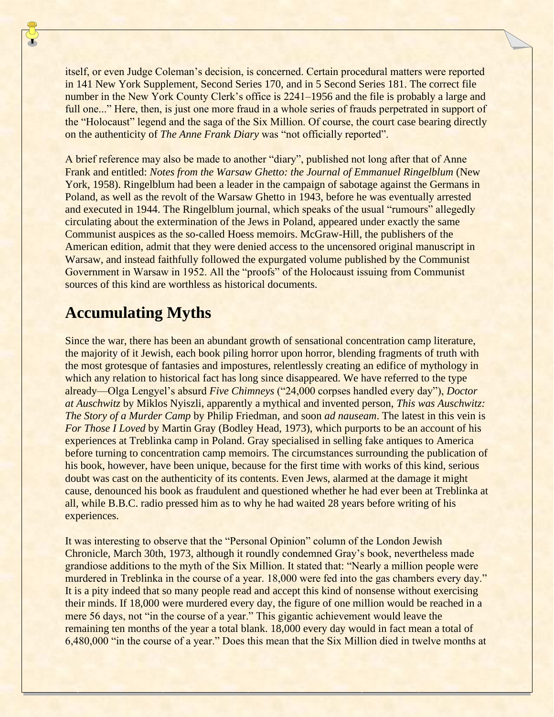itself, or even Judge Coleman's decision, is concerned. Certain procedural matters were reported in 141 New York Supplement, Second Series 170, and in 5 Second Series 181. The correct file number in the New York County Clerk's office is 2241–1956 and the file is probably a large and full one..." Here, then, is just one more fraud in a whole series of frauds perpetrated in support of the "Holocaust" legend and the saga of the Six Million. Of course, the court case bearing directly on the authenticity of *The Anne Frank Diary* was "not officially reported".

A brief reference may also be made to another "diary", published not long after that of Anne Frank and entitled: *Notes from the Warsaw Ghetto: the Journal of Emmanuel Ringelblum* (New York, 1958). Ringelblum had been a leader in the campaign of sabotage against the Germans in Poland, as well as the revolt of the Warsaw Ghetto in 1943, before he was eventually arrested and executed in 1944. The Ringelblum journal, which speaks of the usual "rumours" allegedly circulating about the extermination of the Jews in Poland, appeared under exactly the same Communist auspices as the so-called Hoess memoirs. McGraw-Hill, the publishers of the American edition, admit that they were denied access to the uncensored original manuscript in Warsaw, and instead faithfully followed the expurgated volume published by the Communist Government in Warsaw in 1952. All the "proofs" of the Holocaust issuing from Communist sources of this kind are worthless as historical documents.

### **Accumulating Myths**

Since the war, there has been an abundant growth of sensational concentration camp literature, the majority of it Jewish, each book piling horror upon horror, blending fragments of truth with the most grotesque of fantasies and impostures, relentlessly creating an edifice of mythology in which any relation to historical fact has long since disappeared. We have referred to the type already—Olga Lengyel's absurd *Five Chimneys* ("24,000 corpses handled every day"), *Doctor at Auschwitz* by Miklos Nyiszli, apparently a mythical and invented person, *This was Auschwitz: The Story of a Murder Camp* by Philip Friedman, and soon *ad nauseam*. The latest in this vein is *For Those I Loved* by Martin Gray (Bodley Head, 1973), which purports to be an account of his experiences at Treblinka camp in Poland. Gray specialised in selling fake antiques to America before turning to concentration camp memoirs. The circumstances surrounding the publication of his book, however, have been unique, because for the first time with works of this kind, serious doubt was cast on the authenticity of its contents. Even Jews, alarmed at the damage it might cause, denounced his book as fraudulent and questioned whether he had ever been at Treblinka at all, while B.B.C. radio pressed him as to why he had waited 28 years before writing of his experiences.

It was interesting to observe that the "Personal Opinion" column of the London Jewish Chronicle, March 30th, 1973, although it roundly condemned Gray's book, nevertheless made grandiose additions to the myth of the Six Million. It stated that: "Nearly a million people were murdered in Treblinka in the course of a year. 18,000 were fed into the gas chambers every day." It is a pity indeed that so many people read and accept this kind of nonsense without exercising their minds. If 18,000 were murdered every day, the figure of one million would be reached in a mere 56 days, not "in the course of a year." This gigantic achievement would leave the remaining ten months of the year a total blank. 18,000 every day would in fact mean a total of 6,480,000 "in the course of a year." Does this mean that the Six Million died in twelve months at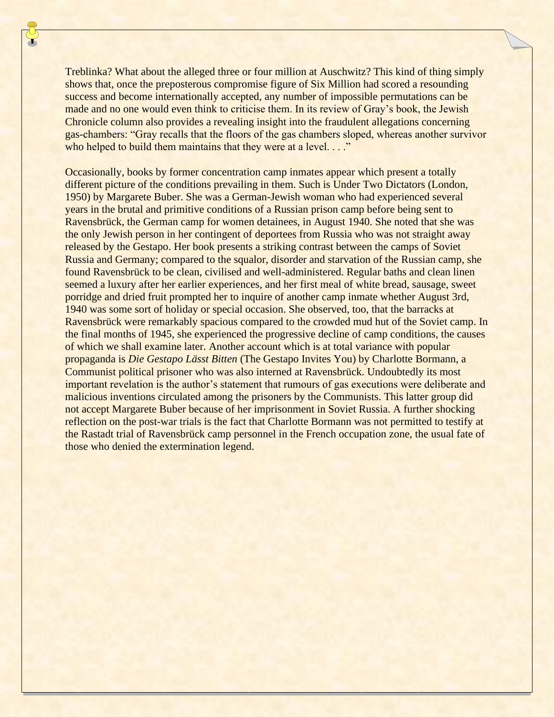Treblinka? What about the alleged three or four million at Auschwitz? This kind of thing simply shows that, once the preposterous compromise figure of Six Million had scored a resounding success and become internationally accepted, any number of impossible permutations can be made and no one would even think to criticise them. In its review of Gray's book, the Jewish Chronicle column also provides a revealing insight into the fraudulent allegations concerning gas-chambers: "Gray recalls that the floors of the gas chambers sloped, whereas another survivor who helped to build them maintains that they were at a level. . . ."

Occasionally, books by former concentration camp inmates appear which present a totally different picture of the conditions prevailing in them. Such is Under Two Dictators (London, 1950) by Margarete Buber. She was a German-Jewish woman who had experienced several years in the brutal and primitive conditions of a Russian prison camp before being sent to Ravensbrück, the German camp for women detainees, in August 1940. She noted that she was the only Jewish person in her contingent of deportees from Russia who was not straight away released by the Gestapo. Her book presents a striking contrast between the camps of Soviet Russia and Germany; compared to the squalor, disorder and starvation of the Russian camp, she found Ravensbrück to be clean, civilised and well-administered. Regular baths and clean linen seemed a luxury after her earlier experiences, and her first meal of white bread, sausage, sweet porridge and dried fruit prompted her to inquire of another camp inmate whether August 3rd, 1940 was some sort of holiday or special occasion. She observed, too, that the barracks at Ravensbrück were remarkably spacious compared to the crowded mud hut of the Soviet camp. In the final months of 1945, she experienced the progressive decline of camp conditions, the causes of which we shall examine later. Another account which is at total variance with popular propaganda is *Die Gestapo Lässt Bitten* (The Gestapo Invites You) by Charlotte Bormann, a Communist political prisoner who was also interned at Ravensbrück. Undoubtedly its most important revelation is the author's statement that rumours of gas executions were deliberate and malicious inventions circulated among the prisoners by the Communists. This latter group did not accept Margarete Buber because of her imprisonment in Soviet Russia. A further shocking reflection on the post-war trials is the fact that Charlotte Bormann was not permitted to testify at the Rastadt trial of Ravensbrück camp personnel in the French occupation zone, the usual fate of those who denied the extermination legend.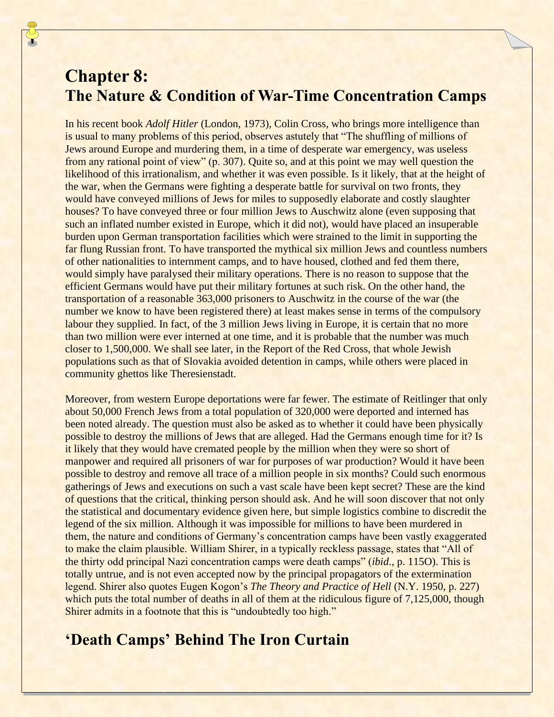# **Chapter 8: The Nature & Condition of War-Time Concentration Camps**

In his recent book *Adolf Hitler* (London, 1973), Colin Cross, who brings more intelligence than is usual to many problems of this period, observes astutely that "The shuffling of millions of Jews around Europe and murdering them, in a time of desperate war emergency, was useless from any rational point of view" (p. 307). Quite so, and at this point we may well question the likelihood of this irrationalism, and whether it was even possible. Is it likely, that at the height of the war, when the Germans were fighting a desperate battle for survival on two fronts, they would have conveyed millions of Jews for miles to supposedly elaborate and costly slaughter houses? To have conveyed three or four million Jews to Auschwitz alone (even supposing that such an inflated number existed in Europe, which it did not), would have placed an insuperable burden upon German transportation facilities which were strained to the limit in supporting the far flung Russian front. To have transported the mythical six million Jews and countless numbers of other nationalities to internment camps, and to have housed, clothed and fed them there, would simply have paralysed their military operations. There is no reason to suppose that the efficient Germans would have put their military fortunes at such risk. On the other hand, the transportation of a reasonable 363,000 prisoners to Auschwitz in the course of the war (the number we know to have been registered there) at least makes sense in terms of the compulsory labour they supplied. In fact, of the 3 million Jews living in Europe, it is certain that no more than two million were ever interned at one time, and it is probable that the number was much closer to 1,500,000. We shall see later, in the Report of the Red Cross, that whole Jewish populations such as that of Slovakia avoided detention in camps, while others were placed in community ghettos like Theresienstadt.

Moreover, from western Europe deportations were far fewer. The estimate of Reitlinger that only about 50,000 French Jews from a total population of 320,000 were deported and interned has been noted already. The question must also be asked as to whether it could have been physically possible to destroy the millions of Jews that are alleged. Had the Germans enough time for it? Is it likely that they would have cremated people by the million when they were so short of manpower and required all prisoners of war for purposes of war production? Would it have been possible to destroy and remove all trace of a million people in six months? Could such enormous gatherings of Jews and executions on such a vast scale have been kept secret? These are the kind of questions that the critical, thinking person should ask. And he will soon discover that not only the statistical and documentary evidence given here, but simple logistics combine to discredit the legend of the six million. Although it was impossible for millions to have been murdered in them, the nature and conditions of Germany's concentration camps have been vastly exaggerated to make the claim plausible. William Shirer, in a typically reckless passage, states that "All of the thirty odd principal Nazi concentration camps were death camps" (*ibid*., p. 115O). This is totally untrue, and is not even accepted now by the principal propagators of the extermination legend. Shirer also quotes Eugen Kogon's *The Theory and Practice of Hell* (N.Y. 1950, p. 227) which puts the total number of deaths in all of them at the ridiculous figure of 7,125,000, though Shirer admits in a footnote that this is "undoubtedly too high."

# **'Death Camps' Behind The Iron Curtain**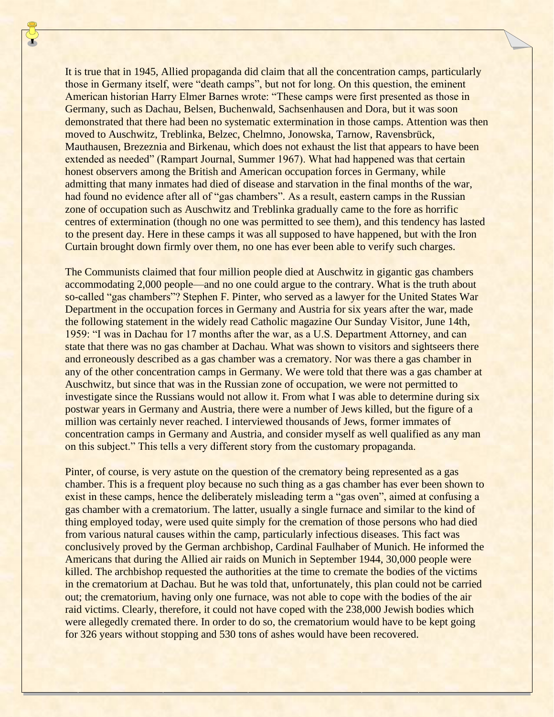It is true that in 1945, Allied propaganda did claim that all the concentration camps, particularly those in Germany itself, were "death camps", but not for long. On this question, the eminent American historian Harry Elmer Barnes wrote: "These camps were first presented as those in Germany, such as Dachau, Belsen, Buchenwald, Sachsenhausen and Dora, but it was soon demonstrated that there had been no systematic extermination in those camps. Attention was then moved to Auschwitz, Treblinka, Belzec, Chelmno, Jonowska, Tarnow, Ravensbrück, Mauthausen, Brezeznia and Birkenau, which does not exhaust the list that appears to have been extended as needed" (Rampart Journal, Summer 1967). What had happened was that certain honest observers among the British and American occupation forces in Germany, while admitting that many inmates had died of disease and starvation in the final months of the war, had found no evidence after all of "gas chambers". As a result, eastern camps in the Russian zone of occupation such as Auschwitz and Treblinka gradually came to the fore as horrific centres of extermination (though no one was permitted to see them), and this tendency has lasted to the present day. Here in these camps it was all supposed to have happened, but with the Iron Curtain brought down firmly over them, no one has ever been able to verify such charges.

The Communists claimed that four million people died at Auschwitz in gigantic gas chambers accommodating 2,000 people—and no one could argue to the contrary. What is the truth about so-called "gas chambers"? Stephen F. Pinter, who served as a lawyer for the United States War Department in the occupation forces in Germany and Austria for six years after the war, made the following statement in the widely read Catholic magazine Our Sunday Visitor, June 14th, 1959: "I was in Dachau for 17 months after the war, as a U.S. Department Attorney, and can state that there was no gas chamber at Dachau. What was shown to visitors and sightseers there and erroneously described as a gas chamber was a crematory. Nor was there a gas chamber in any of the other concentration camps in Germany. We were told that there was a gas chamber at Auschwitz, but since that was in the Russian zone of occupation, we were not permitted to investigate since the Russians would not allow it. From what I was able to determine during six postwar years in Germany and Austria, there were a number of Jews killed, but the figure of a million was certainly never reached. I interviewed thousands of Jews, former immates of concentration camps in Germany and Austria, and consider myself as well qualified as any man on this subject." This tells a very different story from the customary propaganda.

Pinter, of course, is very astute on the question of the crematory being represented as a gas chamber. This is a frequent ploy because no such thing as a gas chamber has ever been shown to exist in these camps, hence the deliberately misleading term a "gas oven", aimed at confusing a gas chamber with a crematorium. The latter, usually a single furnace and similar to the kind of thing employed today, were used quite simply for the cremation of those persons who had died from various natural causes within the camp, particularly infectious diseases. This fact was conclusively proved by the German archbishop, Cardinal Faulhaber of Munich. He informed the Americans that during the Allied air raids on Munich in September 1944, 30,000 people were killed. The archbishop requested the authorities at the time to cremate the bodies of the victims in the crematorium at Dachau. But he was told that, unfortunately, this plan could not be carried out; the crematorium, having only one furnace, was not able to cope with the bodies of the air raid victims. Clearly, therefore, it could not have coped with the 238,000 Jewish bodies which were allegedly cremated there. In order to do so, the crematorium would have to be kept going for 326 years without stopping and 530 tons of ashes would have been recovered.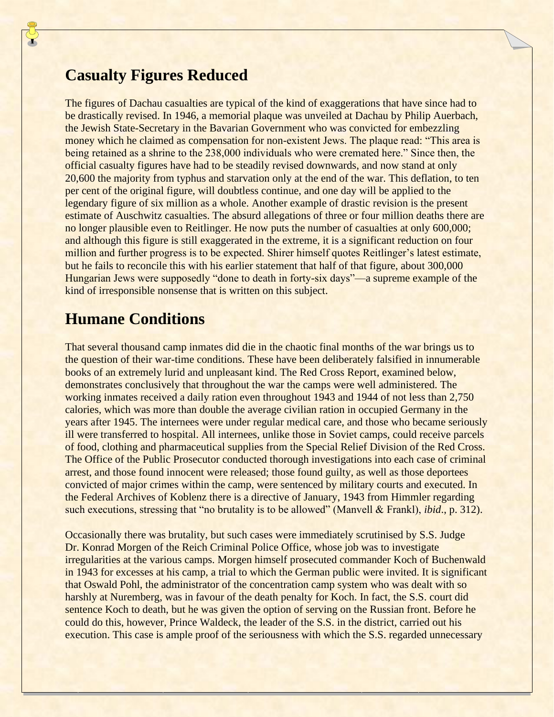#### **Casualty Figures Reduced**

The figures of Dachau casualties are typical of the kind of exaggerations that have since had to be drastically revised. In 1946, a memorial plaque was unveiled at Dachau by Philip Auerbach, the Jewish State-Secretary in the Bavarian Government who was convicted for embezzling money which he claimed as compensation for non-existent Jews. The plaque read: "This area is being retained as a shrine to the 238,000 individuals who were cremated here." Since then, the official casualty figures have had to be steadily revised downwards, and now stand at only 20,600 the majority from typhus and starvation only at the end of the war. This deflation, to ten per cent of the original figure, will doubtless continue, and one day will be applied to the legendary figure of six million as a whole. Another example of drastic revision is the present estimate of Auschwitz casualties. The absurd allegations of three or four million deaths there are no longer plausible even to Reitlinger. He now puts the number of casualties at only 600,000; and although this figure is still exaggerated in the extreme, it is a significant reduction on four million and further progress is to be expected. Shirer himself quotes Reitlinger's latest estimate, but he fails to reconcile this with his earlier statement that half of that figure, about 300,000 Hungarian Jews were supposedly "done to death in forty-six days"—a supreme example of the kind of irresponsible nonsense that is written on this subject.

#### **Humane Conditions**

That several thousand camp inmates did die in the chaotic final months of the war brings us to the question of their war-time conditions. These have been deliberately falsified in innumerable books of an extremely lurid and unpleasant kind. The Red Cross Report, examined below, demonstrates conclusively that throughout the war the camps were well administered. The working inmates received a daily ration even throughout 1943 and 1944 of not less than 2,750 calories, which was more than double the average civilian ration in occupied Germany in the years after 1945. The internees were under regular medical care, and those who became seriously ill were transferred to hospital. All internees, unlike those in Soviet camps, could receive parcels of food, clothing and pharmaceutical supplies from the Special Relief Division of the Red Cross. The Office of the Public Prosecutor conducted thorough investigations into each case of criminal arrest, and those found innocent were released; those found guilty, as well as those deportees convicted of major crimes within the camp, were sentenced by military courts and executed. In the Federal Archives of Koblenz there is a directive of January, 1943 from Himmler regarding such executions, stressing that "no brutality is to be allowed" (Manvell & Frankl), *ibid*., p. 312).

Occasionally there was brutality, but such cases were immediately scrutinised by S.S. Judge Dr. Konrad Morgen of the Reich Criminal Police Office, whose job was to investigate irregularities at the various camps. Morgen himself prosecuted commander Koch of Buchenwald in 1943 for excesses at his camp, a trial to which the German public were invited. It is significant that Oswald Pohl, the administrator of the concentration camp system who was dealt with so harshly at Nuremberg, was in favour of the death penalty for Koch. In fact, the S.S. court did sentence Koch to death, but he was given the option of serving on the Russian front. Before he could do this, however, Prince Waldeck, the leader of the S.S. in the district, carried out his execution. This case is ample proof of the seriousness with which the S.S. regarded unnecessary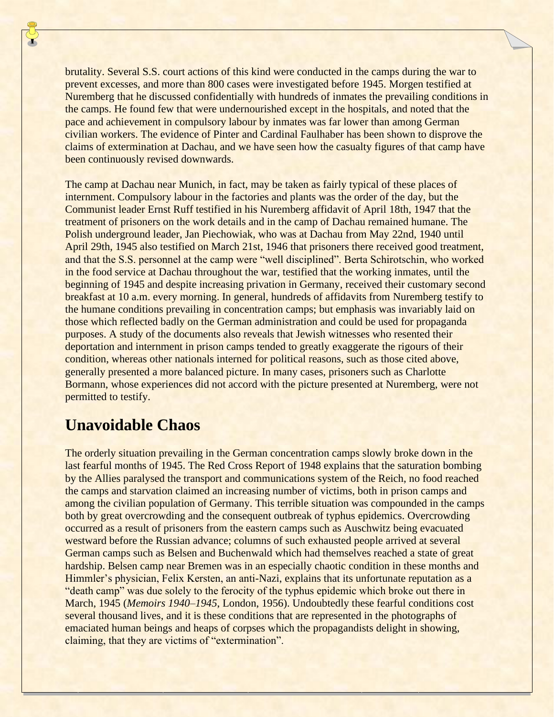brutality. Several S.S. court actions of this kind were conducted in the camps during the war to prevent excesses, and more than 800 cases were investigated before 1945. Morgen testified at Nuremberg that he discussed confidentially with hundreds of inmates the prevailing conditions in the camps. He found few that were undernourished except in the hospitals, and noted that the pace and achievement in compulsory labour by inmates was far lower than among German civilian workers. The evidence of Pinter and Cardinal Faulhaber has been shown to disprove the claims of extermination at Dachau, and we have seen how the casualty figures of that camp have been continuously revised downwards.

The camp at Dachau near Munich, in fact, may be taken as fairly typical of these places of internment. Compulsory labour in the factories and plants was the order of the day, but the Communist leader Ernst Ruff testified in his Nuremberg affidavit of April 18th, 1947 that the treatment of prisoners on the work details and in the camp of Dachau remained humane. The Polish underground leader, Jan Piechowiak, who was at Dachau from May 22nd, 1940 until April 29th, 1945 also testified on March 21st, 1946 that prisoners there received good treatment, and that the S.S. personnel at the camp were "well disciplined". Berta Schirotschin, who worked in the food service at Dachau throughout the war, testified that the working inmates, until the beginning of 1945 and despite increasing privation in Germany, received their customary second breakfast at 10 a.m. every morning. In general, hundreds of affidavits from Nuremberg testify to the humane conditions prevailing in concentration camps; but emphasis was invariably laid on those which reflected badly on the German administration and could be used for propaganda purposes. A study of the documents also reveals that Jewish witnesses who resented their deportation and internment in prison camps tended to greatly exaggerate the rigours of their condition, whereas other nationals interned for political reasons, such as those cited above, generally presented a more balanced picture. In many cases, prisoners such as Charlotte Bormann, whose experiences did not accord with the picture presented at Nuremberg, were not permitted to testify.

## **Unavoidable Chaos**

The orderly situation prevailing in the German concentration camps slowly broke down in the last fearful months of 1945. The Red Cross Report of 1948 explains that the saturation bombing by the Allies paralysed the transport and communications system of the Reich, no food reached the camps and starvation claimed an increasing number of victims, both in prison camps and among the civilian population of Germany. This terrible situation was compounded in the camps both by great overcrowding and the consequent outbreak of typhus epidemics. Overcrowding occurred as a result of prisoners from the eastern camps such as Auschwitz being evacuated westward before the Russian advance; columns of such exhausted people arrived at several German camps such as Belsen and Buchenwald which had themselves reached a state of great hardship. Belsen camp near Bremen was in an especially chaotic condition in these months and Himmler's physician, Felix Kersten, an anti-Nazi, explains that its unfortunate reputation as a "death camp" was due solely to the ferocity of the typhus epidemic which broke out there in March, 1945 (*Memoirs 1940–1945*, London, 1956). Undoubtedly these fearful conditions cost several thousand lives, and it is these conditions that are represented in the photographs of emaciated human beings and heaps of corpses which the propagandists delight in showing, claiming, that they are victims of "extermination".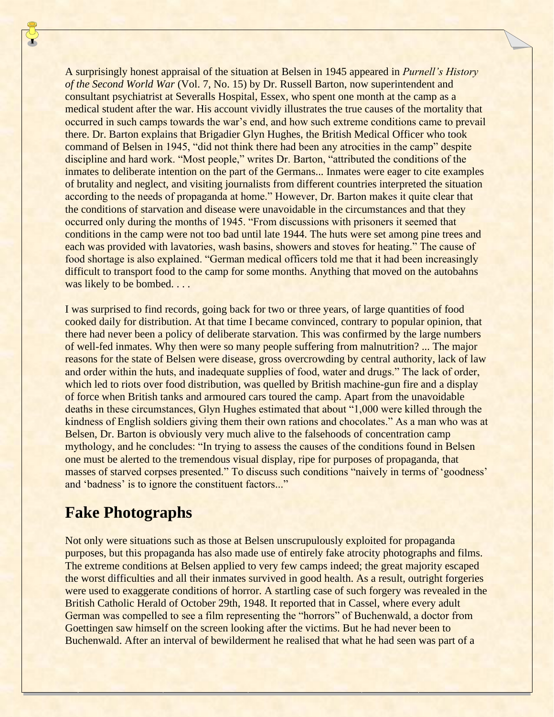A surprisingly honest appraisal of the situation at Belsen in 1945 appeared in *Purnell's History of the Second World War* (Vol. 7, No. 15) by Dr. Russell Barton, now superintendent and consultant psychiatrist at Severalls Hospital, Essex, who spent one month at the camp as a medical student after the war. His account vividly illustrates the true causes of the mortality that occurred in such camps towards the war's end, and how such extreme conditions came to prevail there. Dr. Barton explains that Brigadier Glyn Hughes, the British Medical Officer who took command of Belsen in 1945, "did not think there had been any atrocities in the camp" despite discipline and hard work. "Most people," writes Dr. Barton, "attributed the conditions of the inmates to deliberate intention on the part of the Germans... Inmates were eager to cite examples of brutality and neglect, and visiting journalists from different countries interpreted the situation according to the needs of propaganda at home." However, Dr. Barton makes it quite clear that the conditions of starvation and disease were unavoidable in the circumstances and that they occurred only during the months of 1945. "From discussions with prisoners it seemed that conditions in the camp were not too bad until late 1944. The huts were set among pine trees and each was provided with lavatories, wash basins, showers and stoves for heating." The cause of food shortage is also explained. "German medical officers told me that it had been increasingly difficult to transport food to the camp for some months. Anything that moved on the autobahns was likely to be bombed. . . .

I was surprised to find records, going back for two or three years, of large quantities of food cooked daily for distribution. At that time I became convinced, contrary to popular opinion, that there had never been a policy of deliberate starvation. This was confirmed by the large numbers of well-fed inmates. Why then were so many people suffering from malnutrition? ... The major reasons for the state of Belsen were disease, gross overcrowding by central authority, lack of law and order within the huts, and inadequate supplies of food, water and drugs." The lack of order, which led to riots over food distribution, was quelled by British machine-gun fire and a display of force when British tanks and armoured cars toured the camp. Apart from the unavoidable deaths in these circumstances, Glyn Hughes estimated that about "1,000 were killed through the kindness of English soldiers giving them their own rations and chocolates." As a man who was at Belsen, Dr. Barton is obviously very much alive to the falsehoods of concentration camp mythology, and he concludes: "In trying to assess the causes of the conditions found in Belsen one must be alerted to the tremendous visual display, ripe for purposes of propaganda, that masses of starved corpses presented." To discuss such conditions "naively in terms of 'goodness' and 'badness' is to ignore the constituent factors..."

### **Fake Photographs**

Not only were situations such as those at Belsen unscrupulously exploited for propaganda purposes, but this propaganda has also made use of entirely fake atrocity photographs and films. The extreme conditions at Belsen applied to very few camps indeed; the great majority escaped the worst difficulties and all their inmates survived in good health. As a result, outright forgeries were used to exaggerate conditions of horror. A startling case of such forgery was revealed in the British Catholic Herald of October 29th, 1948. It reported that in Cassel, where every adult German was compelled to see a film representing the "horrors" of Buchenwald, a doctor from Goettingen saw himself on the screen looking after the victims. But he had never been to Buchenwald. After an interval of bewilderment he realised that what he had seen was part of a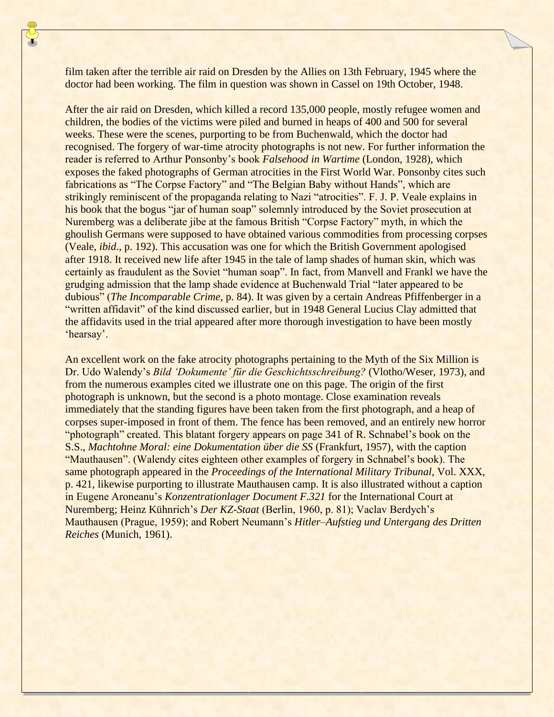film taken after the terrible air raid on Dresden by the Allies on 13th February, 1945 where the doctor had been working. The film in question was shown in Cassel on 19th October, 1948.

After the air raid on Dresden, which killed a record 135,000 people, mostly refugee women and children, the bodies of the victims were piled and burned in heaps of 400 and 500 for several weeks. These were the scenes, purporting to be from Buchenwald, which the doctor had recognised. The forgery of war-time atrocity photographs is not new. For further information the reader is referred to Arthur Ponsonby's book *Falsehood in Wartime* (London, 1928), which exposes the faked photographs of German atrocities in the First World War. Ponsonby cites such fabrications as "The Corpse Factory" and "The Belgian Baby without Hands", which are strikingly reminiscent of the propaganda relating to Nazi "atrocities". F. J. P. Veale explains in his book that the bogus "jar of human soap" solemnly introduced by the Soviet prosecution at Nuremberg was a deliberate jibe at the famous British "Corpse Factory" myth, in which the ghoulish Germans were supposed to have obtained various commodities from processing corpses (Veale, *ibid*., p. 192). This accusation was one for which the British Government apologised after 1918. It received new life after 1945 in the tale of lamp shades of human skin, which was certainly as fraudulent as the Soviet "human soap". In fact, from Manvell and Frankl we have the grudging admission that the lamp shade evidence at Buchenwald Trial "later appeared to be dubious" (*The Incomparable Crime*, p. 84). It was given by a certain Andreas Pfiffenberger in a "written affidavit" of the kind discussed earlier, but in 1948 General Lucius Clay admitted that the affidavits used in the trial appeared after more thorough investigation to have been mostly 'hearsay'.

An excellent work on the fake atrocity photographs pertaining to the Myth of the Six Million is Dr. Udo Walendy's *Bild 'Dokumente' für die Geschichtsschreibung?* (Vlotho/Weser, 1973), and from the numerous examples cited we illustrate one on this page. The origin of the first photograph is unknown, but the second is a photo montage. Close examination reveals immediately that the standing figures have been taken from the first photograph, and a heap of corpses super-imposed in front of them. The fence has been removed, and an entirely new horror "photograph" created. This blatant forgery appears on page 341 of R. Schnabel's book on the S.S., *Machtohne Moral: eine Dokumentation über die SS* (Frankfurt, 1957), with the caption "Mauthausen". (Walendy cites eighteen other examples of forgery in Schnabel's book). The same photograph appeared in the *Proceedings of the International Military Tribunal*, Vol. XXX, p. 421, likewise purporting to illustrate Mauthausen camp. It is also illustrated without a caption in Eugene Aroneanu's *Konzentrationlager Document F.321* for the International Court at Nuremberg; Heinz Kühnrich's *Der KZ-Staat* (Berlin, 1960, p. 81); Vaclav Berdych's Mauthausen (Prague, 1959); and Robert Neumann's *Hitler–Aufstieg und Untergang des Dritten Reiches* (Munich, 1961).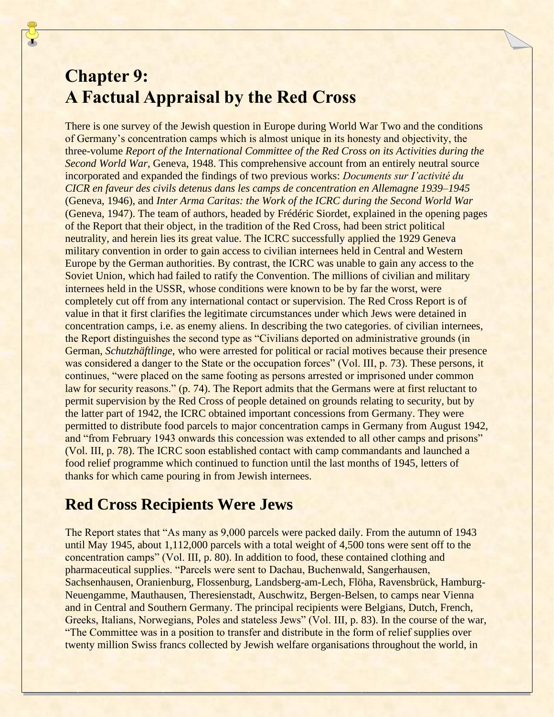# **Chapter 9: A Factual Appraisal by the Red Cross**

There is one survey of the Jewish question in Europe during World War Two and the conditions of Germany's concentration camps which is almost unique in its honesty and objectivity, the three-volume *Report of the International Committee of the Red Cross on its Activities during the Second World War*, Geneva, 1948. This comprehensive account from an entirely neutral source incorporated and expanded the findings of two previous works: *Documents sur I'activité du CICR en faveur des civils detenus dans les camps de concentration en Allemagne 1939–1945* (Geneva, 1946), and *Inter Arma Caritas: the Work of the ICRC during the Second World War* (Geneva, 1947). The team of authors, headed by Frédéric Siordet, explained in the opening pages of the Report that their object, in the tradition of the Red Cross, had been strict political neutrality, and herein lies its great value. The ICRC successfully applied the 1929 Geneva military convention in order to gain access to civilian internees held in Central and Western Europe by the German authorities. By contrast, the ICRC was unable to gain any access to the Soviet Union, which had failed to ratify the Convention. The millions of civilian and military internees held in the USSR, whose conditions were known to be by far the worst, were completely cut off from any international contact or supervision. The Red Cross Report is of value in that it first clarifies the legitimate circumstances under which Jews were detained in concentration camps, i.e. as enemy aliens. In describing the two categories. of civilian internees, the Report distinguishes the second type as "Civilians deported on administrative grounds (in German, *Schutzhäftlinge*, who were arrested for political or racial motives because their presence was considered a danger to the State or the occupation forces" (Vol. III, p. 73). These persons, it continues, "were placed on the same footing as persons arrested or imprisoned under common law for security reasons." (p. 74). The Report admits that the Germans were at first reluctant to permit supervision by the Red Cross of people detained on grounds relating to security, but by the latter part of 1942, the ICRC obtained important concessions from Germany. They were permitted to distribute food parcels to major concentration camps in Germany from August 1942, and "from February 1943 onwards this concession was extended to all other camps and prisons" (Vol. III, p. 78). The ICRC soon established contact with camp commandants and launched a food relief programme which continued to function until the last months of 1945, letters of thanks for which came pouring in from Jewish internees.

# **Red Cross Recipients Were Jews**

The Report states that "As many as 9,000 parcels were packed daily. From the autumn of 1943 until May 1945, about 1,112,000 parcels with a total weight of 4,500 tons were sent off to the concentration camps" (Vol. III, p. 80). In addition to food, these contained clothing and pharmaceutical supplies. "Parcels were sent to Dachau, Buchenwald, Sangerhausen, Sachsenhausen, Oranienburg, Flossenburg, Landsberg-am-Lech, Flöha, Ravensbrück, Hamburg-Neuengamme, Mauthausen, Theresienstadt, Auschwitz, Bergen-Belsen, to camps near Vienna and in Central and Southern Germany. The principal recipients were Belgians, Dutch, French, Greeks, Italians, Norwegians, Poles and stateless Jews" (Vol. III, p. 83). In the course of the war, "The Committee was in a position to transfer and distribute in the form of relief supplies over twenty million Swiss francs collected by Jewish welfare organisations throughout the world, in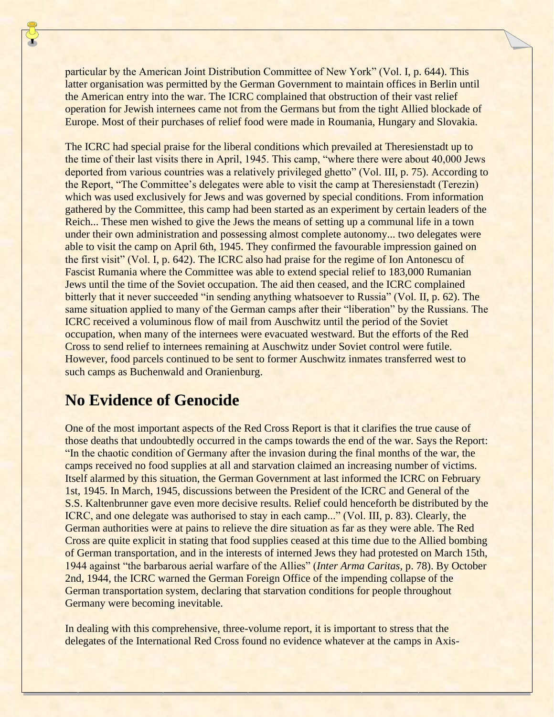particular by the American Joint Distribution Committee of New York" (Vol. I, p. 644). This latter organisation was permitted by the German Government to maintain offices in Berlin until the American entry into the war. The ICRC complained that obstruction of their vast relief operation for Jewish internees came not from the Germans but from the tight Allied blockade of Europe. Most of their purchases of relief food were made in Roumania, Hungary and Slovakia.

The ICRC had special praise for the liberal conditions which prevailed at Theresienstadt up to the time of their last visits there in April, 1945. This camp, "where there were about 40,000 Jews deported from various countries was a relatively privileged ghetto" (Vol. III, p. 75). According to the Report, "The Committee's delegates were able to visit the camp at Theresienstadt (Terezin) which was used exclusively for Jews and was governed by special conditions. From information gathered by the Committee, this camp had been started as an experiment by certain leaders of the Reich... These men wished to give the Jews the means of setting up a communal life in a town under their own administration and possessing almost complete autonomy... two delegates were able to visit the camp on April 6th, 1945. They confirmed the favourable impression gained on the first visit" (Vol. I, p. 642). The ICRC also had praise for the regime of Ion Antonescu of Fascist Rumania where the Committee was able to extend special relief to 183,000 Rumanian Jews until the time of the Soviet occupation. The aid then ceased, and the ICRC complained bitterly that it never succeeded "in sending anything whatsoever to Russia" (Vol. II, p. 62). The same situation applied to many of the German camps after their "liberation" by the Russians. The ICRC received a voluminous flow of mail from Auschwitz until the period of the Soviet occupation, when many of the internees were evacuated westward. But the efforts of the Red Cross to send relief to internees remaining at Auschwitz under Soviet control were futile. However, food parcels continued to be sent to former Auschwitz inmates transferred west to such camps as Buchenwald and Oranienburg.

### **No Evidence of Genocide**

One of the most important aspects of the Red Cross Report is that it clarifies the true cause of those deaths that undoubtedly occurred in the camps towards the end of the war. Says the Report: "In the chaotic condition of Germany after the invasion during the final months of the war, the camps received no food supplies at all and starvation claimed an increasing number of victims. Itself alarmed by this situation, the German Government at last informed the ICRC on February 1st, 1945. In March, 1945, discussions between the President of the ICRC and General of the S.S. Kaltenbrunner gave even more decisive results. Relief could henceforth be distributed by the ICRC, and one delegate was authorised to stay in each camp..." (Vol. III, p. 83). Clearly, the German authorities were at pains to relieve the dire situation as far as they were able. The Red Cross are quite explicit in stating that food supplies ceased at this time due to the Allied bombing of German transportation, and in the interests of interned Jews they had protested on March 15th, 1944 against "the barbarous aerial warfare of the Allies" (*Inter Arma Caritas*, p. 78). By October 2nd, 1944, the ICRC warned the German Foreign Office of the impending collapse of the German transportation system, declaring that starvation conditions for people throughout Germany were becoming inevitable.

In dealing with this comprehensive, three-volume report, it is important to stress that the delegates of the International Red Cross found no evidence whatever at the camps in Axis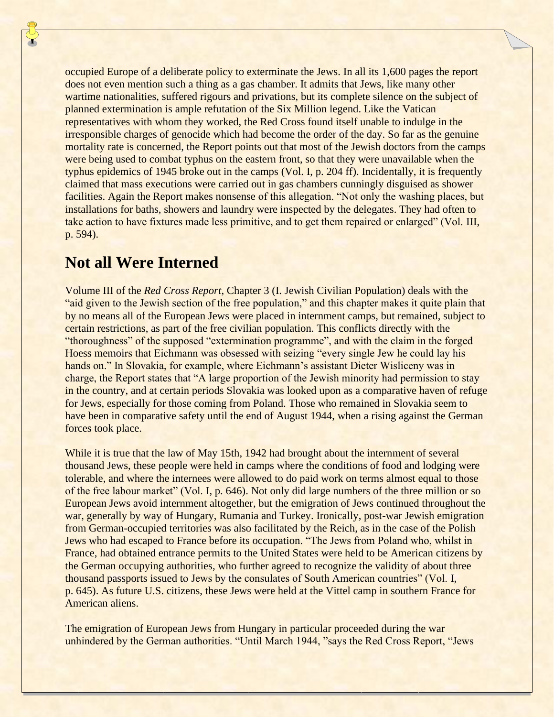occupied Europe of a deliberate policy to exterminate the Jews. In all its 1,600 pages the report does not even mention such a thing as a gas chamber. It admits that Jews, like many other wartime nationalities, suffered rigours and privations, but its complete silence on the subject of planned extermination is ample refutation of the Six Million legend. Like the Vatican representatives with whom they worked, the Red Cross found itself unable to indulge in the irresponsible charges of genocide which had become the order of the day. So far as the genuine mortality rate is concerned, the Report points out that most of the Jewish doctors from the camps were being used to combat typhus on the eastern front, so that they were unavailable when the typhus epidemics of 1945 broke out in the camps (Vol. I, p. 204 ff). Incidentally, it is frequently claimed that mass executions were carried out in gas chambers cunningly disguised as shower facilities. Again the Report makes nonsense of this allegation. "Not only the washing places, but installations for baths, showers and laundry were inspected by the delegates. They had often to take action to have fixtures made less primitive, and to get them repaired or enlarged" (Vol. III, p. 594).

#### **Not all Were Interned**

Volume III of the *Red Cross Report*, Chapter 3 (I. Jewish Civilian Population) deals with the "aid given to the Jewish section of the free population," and this chapter makes it quite plain that by no means all of the European Jews were placed in internment camps, but remained, subject to certain restrictions, as part of the free civilian population. This conflicts directly with the "thoroughness" of the supposed "extermination programme", and with the claim in the forged Hoess memoirs that Eichmann was obsessed with seizing "every single Jew he could lay his hands on." In Slovakia, for example, where Eichmann's assistant Dieter Wisliceny was in charge, the Report states that "A large proportion of the Jewish minority had permission to stay in the country, and at certain periods Slovakia was looked upon as a comparative haven of refuge for Jews, especially for those coming from Poland. Those who remained in Slovakia seem to have been in comparative safety until the end of August 1944, when a rising against the German forces took place.

While it is true that the law of May 15th, 1942 had brought about the internment of several thousand Jews, these people were held in camps where the conditions of food and lodging were tolerable, and where the internees were allowed to do paid work on terms almost equal to those of the free labour market" (Vol. I, p. 646). Not only did large numbers of the three million or so European Jews avoid internment altogether, but the emigration of Jews continued throughout the war, generally by way of Hungary, Rumania and Turkey. Ironically, post-war Jewish emigration from German-occupied territories was also facilitated by the Reich, as in the case of the Polish Jews who had escaped to France before its occupation. "The Jews from Poland who, whilst in France, had obtained entrance permits to the United States were held to be American citizens by the German occupying authorities, who further agreed to recognize the validity of about three thousand passports issued to Jews by the consulates of South American countries" (Vol. I, p. 645). As future U.S. citizens, these Jews were held at the Vittel camp in southern France for American aliens.

The emigration of European Jews from Hungary in particular proceeded during the war unhindered by the German authorities. "Until March 1944, "says the Red Cross Report, "Jews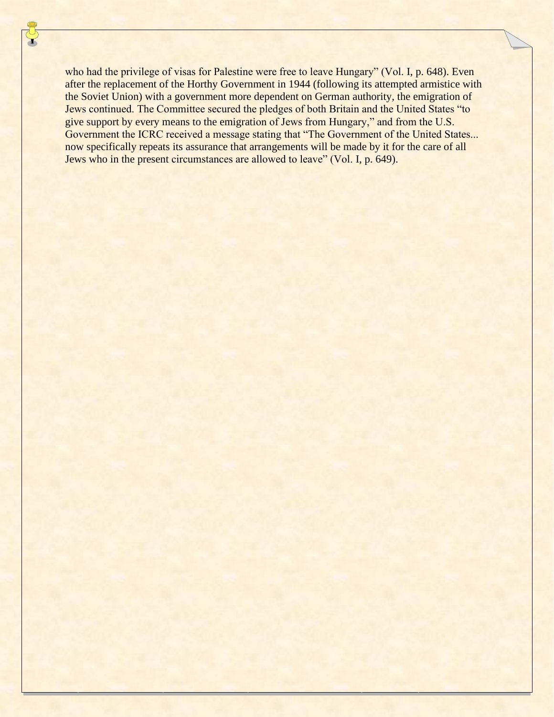who had the privilege of visas for Palestine were free to leave Hungary" (Vol. I, p. 648). Even after the replacement of the Horthy Government in 1944 (following its attempted armistice with the Soviet Union) with a government more dependent on German authority, the emigration of Jews continued. The Committee secured the pledges of both Britain and the United States "to give support by every means to the emigration of Jews from Hungary," and from the U.S. Government the ICRC received a message stating that "The Government of the United States... now specifically repeats its assurance that arrangements will be made by it for the care of all Jews who in the present circumstances are allowed to leave" (Vol. I, p. 649).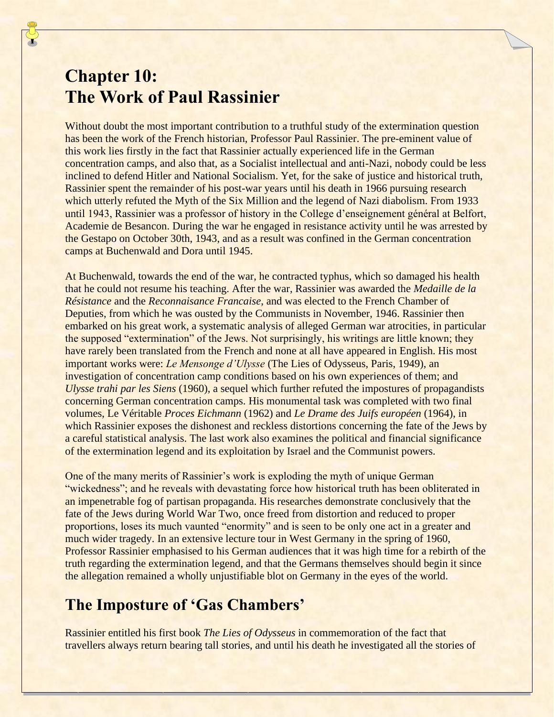# **Chapter 10: The Work of Paul Rassinier**

Without doubt the most important contribution to a truthful study of the extermination question has been the work of the French historian, Professor Paul Rassinier. The pre-eminent value of this work lies firstly in the fact that Rassinier actually experienced life in the German concentration camps, and also that, as a Socialist intellectual and anti-Nazi, nobody could be less inclined to defend Hitler and National Socialism. Yet, for the sake of justice and historical truth, Rassinier spent the remainder of his post-war years until his death in 1966 pursuing research which utterly refuted the Myth of the Six Million and the legend of Nazi diabolism. From 1933 until 1943, Rassinier was a professor of history in the College d'enseignement général at Belfort, Academie de Besancon. During the war he engaged in resistance activity until he was arrested by the Gestapo on October 30th, 1943, and as a result was confined in the German concentration camps at Buchenwald and Dora until 1945.

At Buchenwald, towards the end of the war, he contracted typhus, which so damaged his health that he could not resume his teaching. After the war, Rassinier was awarded the *Medaille de la Résistance* and the *Reconnaisance Francaise*, and was elected to the French Chamber of Deputies, from which he was ousted by the Communists in November, 1946. Rassinier then embarked on his great work, a systematic analysis of alleged German war atrocities, in particular the supposed "extermination" of the Jews. Not surprisingly, his writings are little known; they have rarely been translated from the French and none at all have appeared in English. His most important works were: *Le Mensonge d'Ulysse* (The Lies of Odysseus, Paris, 1949), an investigation of concentration camp conditions based on his own experiences of them; and *Ulysse trahi par les Siens* (1960), a sequel which further refuted the impostures of propagandists concerning German concentration camps. His monumental task was completed with two final volumes, Le Véritable *Proces Eichmann* (1962) and *Le Drame des Juifs européen* (1964), in which Rassinier exposes the dishonest and reckless distortions concerning the fate of the Jews by a careful statistical analysis. The last work also examines the political and financial significance of the extermination legend and its exploitation by Israel and the Communist powers.

One of the many merits of Rassinier's work is exploding the myth of unique German "wickedness"; and he reveals with devastating force how historical truth has been obliterated in an impenetrable fog of partisan propaganda. His researches demonstrate conclusively that the fate of the Jews during World War Two, once freed from distortion and reduced to proper proportions, loses its much vaunted "enormity" and is seen to be only one act in a greater and much wider tragedy. In an extensive lecture tour in West Germany in the spring of 1960, Professor Rassinier emphasised to his German audiences that it was high time for a rebirth of the truth regarding the extermination legend, and that the Germans themselves should begin it since the allegation remained a wholly unjustifiable blot on Germany in the eyes of the world.

# **The Imposture of 'Gas Chambers'**

Rassinier entitled his first book *The Lies of Odysseus* in commemoration of the fact that travellers always return bearing tall stories, and until his death he investigated all the stories of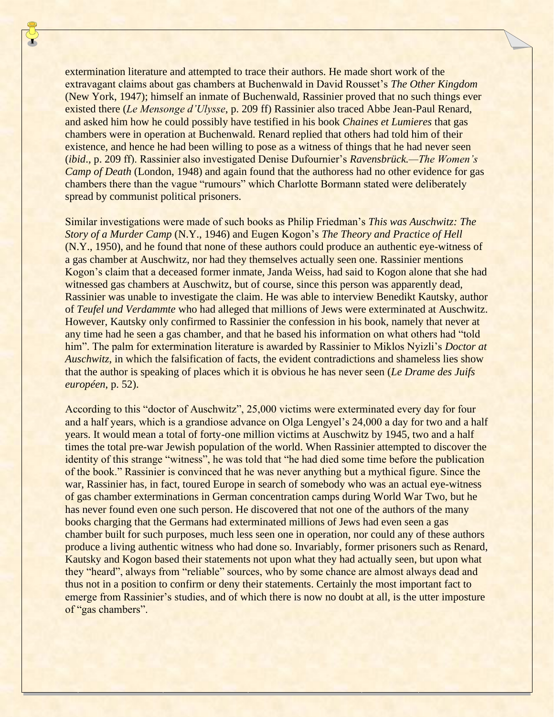extermination literature and attempted to trace their authors. He made short work of the extravagant claims about gas chambers at Buchenwald in David Rousset's *The Other Kingdom* (New York, 1947); himself an inmate of Buchenwald, Rassinier proved that no such things ever existed there (*Le Mensonge d'Ulysse*, p. 209 ff) Rassinier also traced Abbe Jean-Paul Renard, and asked him how he could possibly have testified in his book *Chaines et Lumieres* that gas chambers were in operation at Buchenwald. Renard replied that others had told him of their existence, and hence he had been willing to pose as a witness of things that he had never seen (*ibid*., p. 209 ff). Rassinier also investigated Denise Dufournier's *Ravensbrück.—The Women's Camp of Death* (London, 1948) and again found that the authoress had no other evidence for gas chambers there than the vague "rumours" which Charlotte Bormann stated were deliberately spread by communist political prisoners.

Similar investigations were made of such books as Philip Friedman's *This was Auschwitz: The Story of a Murder Camp* (N.Y., 1946) and Eugen Kogon's *The Theory and Practice of Hell* (N.Y., 1950), and he found that none of these authors could produce an authentic eye-witness of a gas chamber at Auschwitz, nor had they themselves actually seen one. Rassinier mentions Kogon's claim that a deceased former inmate, Janda Weiss, had said to Kogon alone that she had witnessed gas chambers at Auschwitz, but of course, since this person was apparently dead, Rassinier was unable to investigate the claim. He was able to interview Benedikt Kautsky, author of *Teufel und Verdammte* who had alleged that millions of Jews were exterminated at Auschwitz. However, Kautsky only confirmed to Rassinier the confession in his book, namely that never at any time had he seen a gas chamber, and that he based his information on what others had "told him". The palm for extermination literature is awarded by Rassinier to Miklos Nyizli's *Doctor at Auschwitz*, in which the falsification of facts, the evident contradictions and shameless lies show that the author is speaking of places which it is obvious he has never seen (*Le Drame des Juifs européen*, p. 52).

According to this "doctor of Auschwitz", 25,000 victims were exterminated every day for four and a half years, which is a grandiose advance on Olga Lengyel's 24,000 a day for two and a half years. It would mean a total of forty-one million victims at Auschwitz by 1945, two and a half times the total pre-war Jewish population of the world. When Rassinier attempted to discover the identity of this strange "witness", he was told that "he had died some time before the publication of the book." Rassinier is convinced that he was never anything but a mythical figure. Since the war, Rassinier has, in fact, toured Europe in search of somebody who was an actual eye-witness of gas chamber exterminations in German concentration camps during World War Two, but he has never found even one such person. He discovered that not one of the authors of the many books charging that the Germans had exterminated millions of Jews had even seen a gas chamber built for such purposes, much less seen one in operation, nor could any of these authors produce a living authentic witness who had done so. Invariably, former prisoners such as Renard, Kautsky and Kogon based their statements not upon what they had actually seen, but upon what they "heard", always from "reliable" sources, who by some chance are almost always dead and thus not in a position to confirm or deny their statements. Certainly the most important fact to emerge from Rassinier's studies, and of which there is now no doubt at all, is the utter imposture of "gas chambers".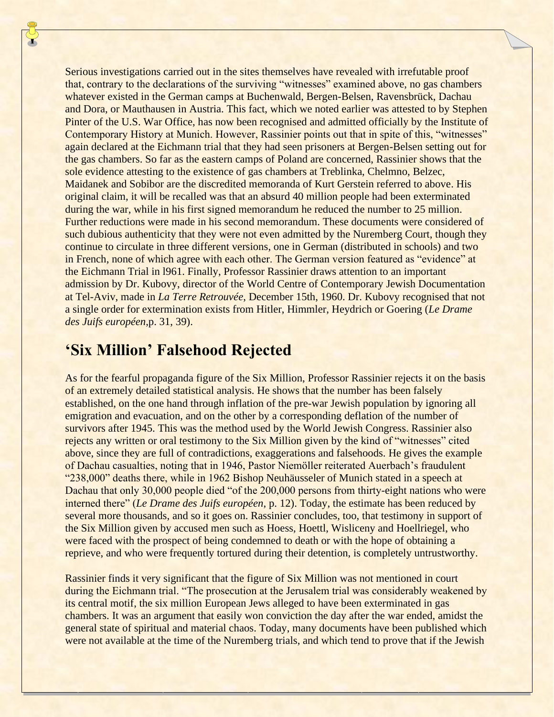Serious investigations carried out in the sites themselves have revealed with irrefutable proof that, contrary to the declarations of the surviving "witnesses" examined above, no gas chambers whatever existed in the German camps at Buchenwald, Bergen-Belsen, Ravensbrück, Dachau and Dora, or Mauthausen in Austria. This fact, which we noted earlier was attested to by Stephen Pinter of the U.S. War Office, has now been recognised and admitted officially by the Institute of Contemporary History at Munich. However, Rassinier points out that in spite of this, "witnesses" again declared at the Eichmann trial that they had seen prisoners at Bergen-Belsen setting out for the gas chambers. So far as the eastern camps of Poland are concerned, Rassinier shows that the sole evidence attesting to the existence of gas chambers at Treblinka, Chelmno, Belzec, Maidanek and Sobibor are the discredited memoranda of Kurt Gerstein referred to above. His original claim, it will be recalled was that an absurd 40 million people had been exterminated during the war, while in his first signed memorandum he reduced the number to 25 million. Further reductions were made in his second memorandum. These documents were considered of such dubious authenticity that they were not even admitted by the Nuremberg Court, though they continue to circulate in three different versions, one in German (distributed in schools) and two in French, none of which agree with each other. The German version featured as "evidence" at the Eichmann Trial in l961. Finally, Professor Rassinier draws attention to an important admission by Dr. Kubovy, director of the World Centre of Contemporary Jewish Documentation at Tel-Aviv, made in *La Terre Retrouvée*, December 15th, 1960. Dr. Kubovy recognised that not a single order for extermination exists from Hitler, Himmler, Heydrich or Goering (*Le Drame des Juifs européen*,p. 31, 39).

#### **'Six Million' Falsehood Rejected**

As for the fearful propaganda figure of the Six Million, Professor Rassinier rejects it on the basis of an extremely detailed statistical analysis. He shows that the number has been falsely established, on the one hand through inflation of the pre-war Jewish population by ignoring all emigration and evacuation, and on the other by a corresponding deflation of the number of survivors after 1945. This was the method used by the World Jewish Congress. Rassinier also rejects any written or oral testimony to the Six Million given by the kind of "witnesses" cited above, since they are full of contradictions, exaggerations and falsehoods. He gives the example of Dachau casualties, noting that in 1946, Pastor Niemöller reiterated Auerbach's fraudulent "238,000" deaths there, while in 1962 Bishop Neuhäusseler of Munich stated in a speech at Dachau that only 30,000 people died "of the 200,000 persons from thirty-eight nations who were interned there" (*Le Drame des Juifs européen*, p. 12). Today, the estimate has been reduced by several more thousands, and so it goes on. Rassinier concludes, too, that testimony in support of the Six Million given by accused men such as Hoess, Hoettl, Wisliceny and Hoellriegel, who were faced with the prospect of being condemned to death or with the hope of obtaining a reprieve, and who were frequently tortured during their detention, is completely untrustworthy.

Rassinier finds it very significant that the figure of Six Million was not mentioned in court during the Eichmann trial. "The prosecution at the Jerusalem trial was considerably weakened by its central motif, the six million European Jews alleged to have been exterminated in gas chambers. It was an argument that easily won conviction the day after the war ended, amidst the general state of spiritual and material chaos. Today, many documents have been published which were not available at the time of the Nuremberg trials, and which tend to prove that if the Jewish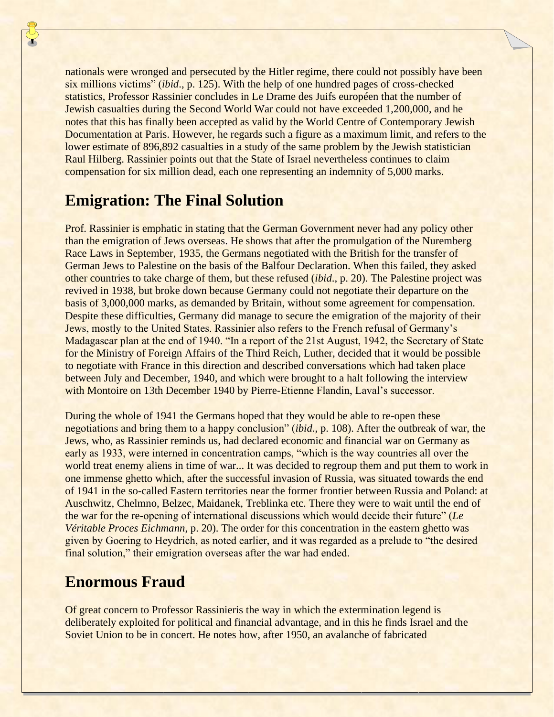nationals were wronged and persecuted by the Hitler regime, there could not possibly have been six millions victims" (*ibid*., p. 125). With the help of one hundred pages of cross-checked statistics, Professor Rassinier concludes in Le Drame des Juifs européen that the number of Jewish casualties during the Second World War could not have exceeded 1,200,000, and he notes that this has finally been accepted as valid by the World Centre of Contemporary Jewish Documentation at Paris. However, he regards such a figure as a maximum limit, and refers to the lower estimate of 896,892 casualties in a study of the same problem by the Jewish statistician Raul Hilberg. Rassinier points out that the State of Israel nevertheless continues to claim compensation for six million dead, each one representing an indemnity of 5,000 marks.

#### **Emigration: The Final Solution**

Prof. Rassinier is emphatic in stating that the German Government never had any policy other than the emigration of Jews overseas. He shows that after the promulgation of the Nuremberg Race Laws in September, 1935, the Germans negotiated with the British for the transfer of German Jews to Palestine on the basis of the Balfour Declaration. When this failed, they asked other countries to take charge of them, but these refused (*ibid*., p. 20). The Palestine project was revived in 1938, but broke down because Germany could not negotiate their departure on the basis of 3,000,000 marks, as demanded by Britain, without some agreement for compensation. Despite these difficulties, Germany did manage to secure the emigration of the majority of their Jews, mostly to the United States. Rassinier also refers to the French refusal of Germany's Madagascar plan at the end of 1940. "In a report of the 21st August, 1942, the Secretary of State for the Ministry of Foreign Affairs of the Third Reich, Luther, decided that it would be possible to negotiate with France in this direction and described conversations which had taken place between July and December, 1940, and which were brought to a halt following the interview with Montoire on 13th December 1940 by Pierre-Etienne Flandin, Laval's successor.

During the whole of 1941 the Germans hoped that they would be able to re-open these negotiations and bring them to a happy conclusion" (*ibid*., p. 108). After the outbreak of war, the Jews, who, as Rassinier reminds us, had declared economic and financial war on Germany as early as 1933, were interned in concentration camps, "which is the way countries all over the world treat enemy aliens in time of war... It was decided to regroup them and put them to work in one immense ghetto which, after the successful invasion of Russia, was situated towards the end of 1941 in the so-called Eastern territories near the former frontier between Russia and Poland: at Auschwitz, Chelmno, Belzec, Maidanek, Treblinka etc. There they were to wait until the end of the war for the re-opening of international discussions which would decide their future" (*Le Véritable Proces Eichmann*, p. 20). The order for this concentration in the eastern ghetto was given by Goering to Heydrich, as noted earlier, and it was regarded as a prelude to "the desired final solution," their emigration overseas after the war had ended.

#### **Enormous Fraud**

Of great concern to Professor Rassinieris the way in which the extermination legend is deliberately exploited for political and financial advantage, and in this he finds Israel and the Soviet Union to be in concert. He notes how, after 1950, an avalanche of fabricated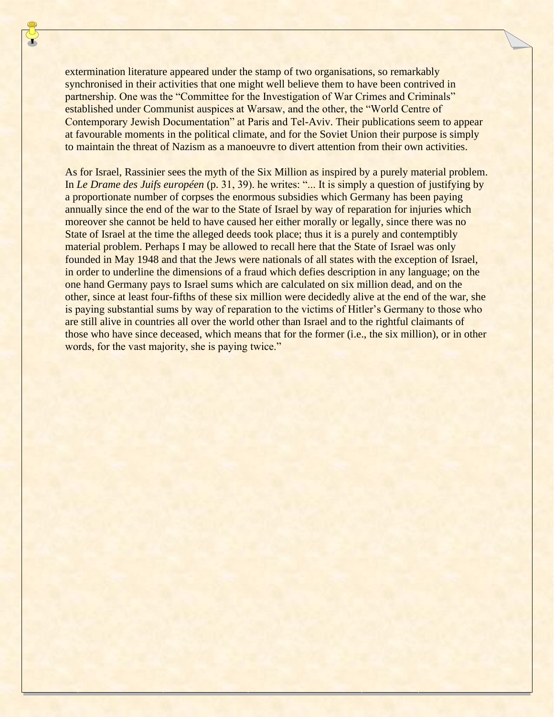extermination literature appeared under the stamp of two organisations, so remarkably synchronised in their activities that one might well believe them to have been contrived in partnership. One was the "Committee for the Investigation of War Crimes and Criminals" established under Communist auspices at Warsaw, and the other, the "World Centre of Contemporary Jewish Documentation" at Paris and Tel-Aviv. Their publications seem to appear at favourable moments in the political climate, and for the Soviet Union their purpose is simply to maintain the threat of Nazism as a manoeuvre to divert attention from their own activities.

As for Israel, Rassinier sees the myth of the Six Million as inspired by a purely material problem. In *Le Drame des Juifs européen* (p. 31, 39). he writes: "... It is simply a question of justifying by a proportionate number of corpses the enormous subsidies which Germany has been paying annually since the end of the war to the State of Israel by way of reparation for injuries which moreover she cannot be held to have caused her either morally or legally, since there was no State of Israel at the time the alleged deeds took place; thus it is a purely and contemptibly material problem. Perhaps I may be allowed to recall here that the State of Israel was only founded in May 1948 and that the Jews were nationals of all states with the exception of Israel, in order to underline the dimensions of a fraud which defies description in any language; on the one hand Germany pays to Israel sums which are calculated on six million dead, and on the other, since at least four-fifths of these six million were decidedly alive at the end of the war, she is paying substantial sums by way of reparation to the victims of Hitler's Germany to those who are still alive in countries all over the world other than Israel and to the rightful claimants of those who have since deceased, which means that for the former (i.e., the six million), or in other words, for the vast majority, she is paying twice."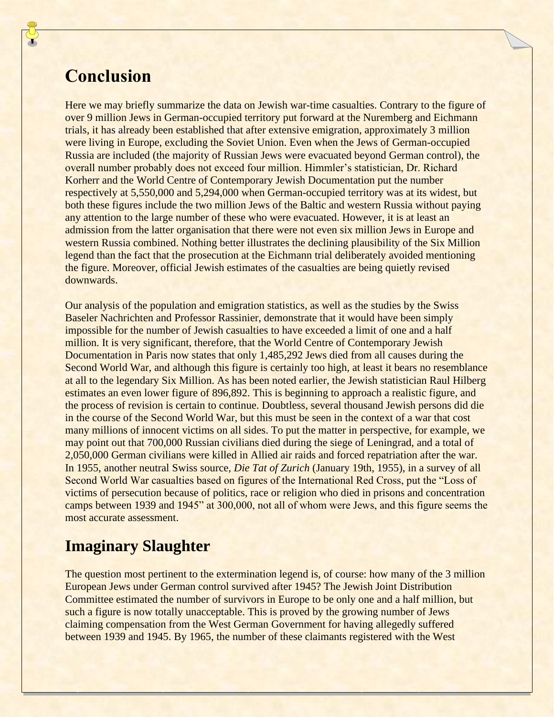# **Conclusion**

Here we may briefly summarize the data on Jewish war-time casualties. Contrary to the figure of over 9 million Jews in German-occupied territory put forward at the Nuremberg and Eichmann trials, it has already been established that after extensive emigration, approximately 3 million were living in Europe, excluding the Soviet Union. Even when the Jews of German-occupied Russia are included (the majority of Russian Jews were evacuated beyond German control), the overall number probably does not exceed four million. Himmler's statistician, Dr. Richard Korherr and the World Centre of Contemporary Jewish Documentation put the number respectively at 5,550,000 and 5,294,000 when German-occupied territory was at its widest, but both these figures include the two million Jews of the Baltic and western Russia without paying any attention to the large number of these who were evacuated. However, it is at least an admission from the latter organisation that there were not even six million Jews in Europe and western Russia combined. Nothing better illustrates the declining plausibility of the Six Million legend than the fact that the prosecution at the Eichmann trial deliberately avoided mentioning the figure. Moreover, official Jewish estimates of the casualties are being quietly revised downwards.

Our analysis of the population and emigration statistics, as well as the studies by the Swiss Baseler Nachrichten and Professor Rassinier, demonstrate that it would have been simply impossible for the number of Jewish casualties to have exceeded a limit of one and a half million. It is very significant, therefore, that the World Centre of Contemporary Jewish Documentation in Paris now states that only 1,485,292 Jews died from all causes during the Second World War, and although this figure is certainly too high, at least it bears no resemblance at all to the legendary Six Million. As has been noted earlier, the Jewish statistician Raul Hilberg estimates an even lower figure of 896,892. This is beginning to approach a realistic figure, and the process of revision is certain to continue. Doubtless, several thousand Jewish persons did die in the course of the Second World War, but this must be seen in the context of a war that cost many millions of innocent victims on all sides. To put the matter in perspective, for example, we may point out that 700,000 Russian civilians died during the siege of Leningrad, and a total of 2,050,000 German civilians were killed in Allied air raids and forced repatriation after the war. In 1955, another neutral Swiss source, *Die Tat of Zurich* (January 19th, 1955), in a survey of all Second World War casualties based on figures of the International Red Cross, put the "Loss of victims of persecution because of politics, race or religion who died in prisons and concentration camps between 1939 and 1945" at 300,000, not all of whom were Jews, and this figure seems the most accurate assessment.

# **Imaginary Slaughter**

The question most pertinent to the extermination legend is, of course: how many of the 3 million European Jews under German control survived after 1945? The Jewish Joint Distribution Committee estimated the number of survivors in Europe to be only one and a half million, but such a figure is now totally unacceptable. This is proved by the growing number of Jews claiming compensation from the West German Government for having allegedly suffered between 1939 and 1945. By 1965, the number of these claimants registered with the West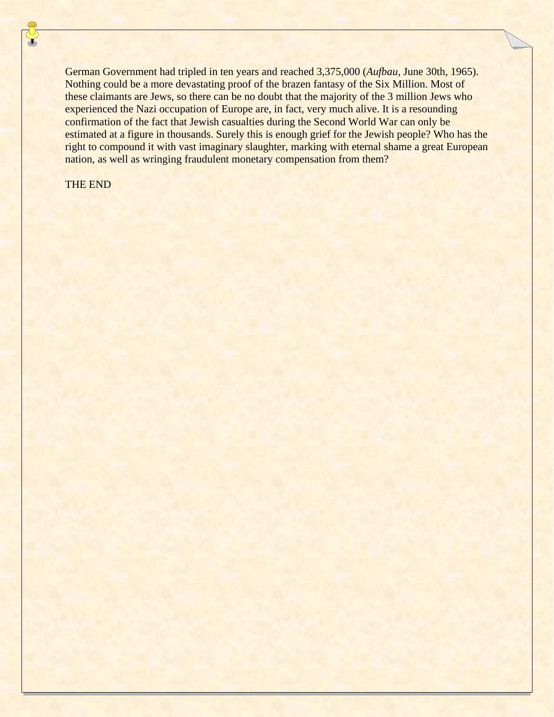German Government had tripled in ten years and reached 3,375,000 (*Aufbau*, June 30th, 1965). Nothing could be a more devastating proof of the brazen fantasy of the Six Million. Most of these claimants are Jews, so there can be no doubt that the majority of the 3 million Jews who experienced the Nazi occupation of Europe are, in fact, very much alive. It is a resounding confirmation of the fact that Jewish casualties during the Second World War can only be estimated at a figure in thousands. Surely this is enough grief for the Jewish people? Who has the right to compound it with vast imaginary slaughter, marking with eternal shame a great European nation, as well as wringing fraudulent monetary compensation from them?

THE END